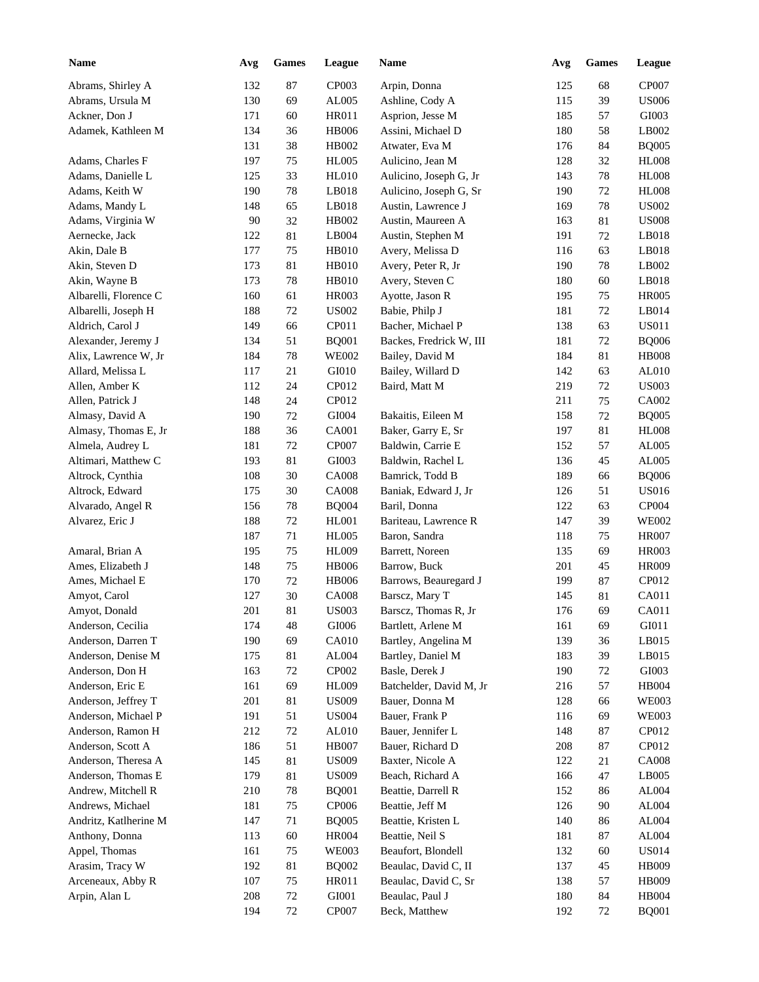| <b>Name</b>           | Avg | <b>Games</b> | League        | Name                    | Avg | <b>Games</b> | <b>League</b> |
|-----------------------|-----|--------------|---------------|-------------------------|-----|--------------|---------------|
| Abrams, Shirley A     | 132 | 87           | CP003         | Arpin, Donna            | 125 | 68           | CP007         |
| Abrams, Ursula M      | 130 | 69           | AL005         | Ashline, Cody A         | 115 | 39           | <b>US006</b>  |
| Ackner, Don J         | 171 | 60           | HR011         | Asprion, Jesse M        | 185 | 57           | GI003         |
| Adamek, Kathleen M    | 134 | 36           | <b>HB006</b>  | Assini, Michael D       | 180 | 58           | LB002         |
|                       | 131 | 38           | HB002         | Atwater, Eva M          | 176 | 84           | <b>BQ005</b>  |
| Adams, Charles F      | 197 | 75           | <b>HL005</b>  | Aulicino, Jean M        | 128 | 32           | <b>HL008</b>  |
| Adams, Danielle L     | 125 | 33           | HL010         | Aulicino, Joseph G, Jr  | 143 | 78           | <b>HL008</b>  |
| Adams, Keith W        | 190 | $78\,$       | LB018         | Aulicino, Joseph G, Sr  | 190 | 72           | <b>HL008</b>  |
| Adams, Mandy L        | 148 | 65           | LB018         | Austin, Lawrence J      | 169 | $78\,$       | <b>US002</b>  |
| Adams, Virginia W     | 90  | 32           | HB002         | Austin, Maureen A       | 163 | 81           | <b>US008</b>  |
| Aernecke, Jack        | 122 | 81           | LB004         | Austin, Stephen M       | 191 | 72           | LB018         |
| Akin, Dale B          | 177 | 75           | HB010         | Avery, Melissa D        | 116 | 63           | LB018         |
| Akin, Steven D        | 173 | 81           | HB010         | Avery, Peter R, Jr      | 190 | 78           | LB002         |
| Akin, Wayne B         | 173 | $78\,$       | HB010         | Avery, Steven C         | 180 | 60           | LB018         |
| Albarelli, Florence C | 160 | 61           | HR003         | Ayotte, Jason R         | 195 | 75           | <b>HR005</b>  |
| Albarelli, Joseph H   | 188 | 72           | <b>US002</b>  | Babie, Philp J          | 181 | 72           | LB014         |
| Aldrich, Carol J      | 149 | 66           | CP011         | Bacher, Michael P       | 138 | 63           | <b>US011</b>  |
| Alexander, Jeremy J   | 134 | 51           | <b>BQ001</b>  | Backes, Fredrick W, III | 181 | 72           | <b>BQ006</b>  |
| Alix, Lawrence W, Jr  | 184 | $78\,$       | <b>WE002</b>  | Bailey, David M         | 184 | 81           | <b>HB008</b>  |
| Allard, Melissa L     | 117 | 21           | GI010         | Bailey, Willard D       | 142 | 63           | AL010         |
| Allen, Amber K        | 112 | 24           | CP012         | Baird, Matt M           | 219 | 72           | <b>US003</b>  |
| Allen, Patrick J      | 148 | 24           | CP012         |                         | 211 | 75           | CA002         |
| Almasy, David A       | 190 | $72\,$       | GI004         | Bakaitis, Eileen M      | 158 | 72           | <b>BQ005</b>  |
| Almasy, Thomas E, Jr  | 188 | 36           | CA001         | Baker, Garry E, Sr      | 197 | 81           | <b>HL008</b>  |
| Almela, Audrey L      | 181 | 72           | <b>CP007</b>  | Baldwin, Carrie E       | 152 | 57           | AL005         |
| Altimari, Matthew C   | 193 | 81           | GI003         | Baldwin, Rachel L       | 136 | 45           | AL005         |
| Altrock, Cynthia      | 108 | 30           | <b>CA008</b>  | Bamrick, Todd B         | 189 | 66           | <b>BQ006</b>  |
| Altrock, Edward       | 175 | 30           | <b>CA008</b>  | Baniak, Edward J, Jr    | 126 | 51           | <b>US016</b>  |
| Alvarado, Angel R     | 156 | 78           | <b>BQ004</b>  | Baril, Donna            | 122 | 63           | CP004         |
| Alvarez, Eric J       | 188 | 72           | HL001         | Bariteau, Lawrence R    | 147 | 39           | <b>WE002</b>  |
|                       | 187 | 71           | <b>HL005</b>  | Baron, Sandra           | 118 | 75           | <b>HR007</b>  |
| Amaral, Brian A       | 195 | 75           | <b>HL009</b>  | Barrett, Noreen         | 135 | 69           | <b>HR003</b>  |
| Ames, Elizabeth J     | 148 | 75           | <b>HB006</b>  | Barrow, Buck            | 201 | 45           | <b>HR009</b>  |
| Ames, Michael E       | 170 | 72           | <b>HB006</b>  | Barrows, Beauregard J   | 199 | 87           | CP012         |
| Amyot, Carol          | 127 | 30           | <b>CA008</b>  | Barscz, Mary T          | 145 | 81           | CA011         |
| Amyot, Donald         | 201 | 81           | <b>US003</b>  | Barscz, Thomas R, Jr    | 176 | 69           | CA011         |
| Anderson, Cecilia     | 174 | 48           | GI006         | Bartlett, Arlene M      | 161 | 69           | GI011         |
| Anderson, Darren T    | 190 | 69           | CA010         | Bartley, Angelina M     | 139 | 36           | LB015         |
| Anderson, Denise M    | 175 | 81           | AL004         | Bartley, Daniel M       | 183 | 39           | LB015         |
| Anderson, Don H       | 163 | $72\,$       | CP002         | Basle, Derek J          | 190 | 72           | GI003         |
| Anderson, Eric E      | 161 | 69           | <b>HL009</b>  | Batchelder, David M, Jr | 216 | 57           | HB004         |
| Anderson, Jeffrey T   | 201 | 81           | <b>US009</b>  | Bauer, Donna M          | 128 | 66           | <b>WE003</b>  |
| Anderson, Michael P   | 191 | 51           | <b>US004</b>  | Bauer, Frank P          | 116 | 69           | <b>WE003</b>  |
| Anderson, Ramon H     | 212 | $72\,$       | AL010         | Bauer, Jennifer L       | 148 | 87           | CP012         |
| Anderson, Scott A     | 186 | 51           | <b>HB007</b>  | Bauer, Richard D        | 208 | 87           | CP012         |
| Anderson, Theresa A   | 145 | $81\,$       | <b>US009</b>  | Baxter, Nicole A        | 122 | 21           | <b>CA008</b>  |
| Anderson, Thomas E    | 179 | 81           | <b>US009</b>  | Beach, Richard A        | 166 | 47           | LB005         |
| Andrew, Mitchell R    | 210 | 78           | <b>BQ001</b>  | Beattie, Darrell R      | 152 | 86           | AL004         |
| Andrews, Michael      | 181 | 75           | CP006         | Beattie, Jeff M         | 126 | 90           | AL004         |
| Andritz, Katlherine M | 147 | 71           | <b>BQ005</b>  | Beattie, Kristen L      | 140 | 86           | AL004         |
| Anthony, Donna        | 113 | $60\,$       | <b>HR004</b>  | Beattie, Neil S         | 181 | 87           | AL004         |
| Appel, Thomas         | 161 | 75           | <b>WE003</b>  | Beaufort, Blondell      | 132 | 60           | <b>US014</b>  |
| Arasim, Tracy W       | 192 | $81\,$       | <b>BQ002</b>  | Beaulac, David C, II    | 137 | 45           | HB009         |
| Arceneaux, Abby R     | 107 | 75           | HR011         | Beaulac, David C, Sr    | 138 | 57           | <b>HB009</b>  |
| Arpin, Alan L         | 208 | 72           | ${\rm GIO}01$ | Beaulac, Paul J         | 180 | 84           | HB004         |
|                       | 194 | 72           | CP007         | Beck, Matthew           | 192 | 72           | <b>BQ001</b>  |
|                       |     |              |               |                         |     |              |               |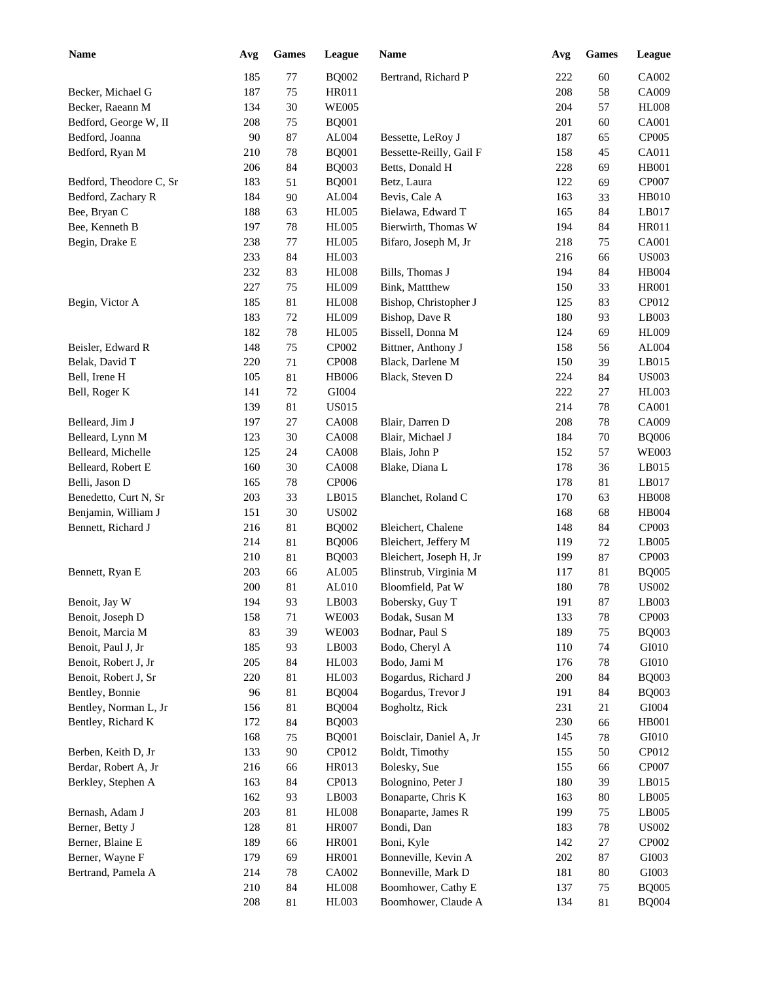| <b>Name</b>             | Avg | <b>Games</b> | League       | <b>Name</b>             | Avg | <b>Games</b> | <b>League</b> |
|-------------------------|-----|--------------|--------------|-------------------------|-----|--------------|---------------|
|                         | 185 | $77 \,$      | <b>BQ002</b> | Bertrand, Richard P     | 222 | 60           | CA002         |
| Becker, Michael G       | 187 | 75           | HR011        |                         | 208 | 58           | CA009         |
| Becker, Raeann M        | 134 | 30           | <b>WE005</b> |                         | 204 | 57           | <b>HL008</b>  |
| Bedford, George W, II   | 208 | 75           | <b>BQ001</b> |                         | 201 | 60           | <b>CA001</b>  |
| Bedford, Joanna         | 90  | $87\,$       | AL004        | Bessette, LeRoy J       | 187 | 65           | CP005         |
| Bedford, Ryan M         | 210 | 78           | <b>BQ001</b> | Bessette-Reilly, Gail F | 158 | 45           | CA011         |
|                         | 206 | 84           | <b>BQ003</b> | Betts, Donald H         | 228 | 69           | <b>HB001</b>  |
| Bedford, Theodore C, Sr | 183 | 51           | <b>BQ001</b> | Betz, Laura             | 122 | 69           | CP007         |
| Bedford, Zachary R      | 184 | 90           | AL004        | Bevis, Cale A           | 163 | 33           | <b>HB010</b>  |
| Bee, Bryan C            | 188 | 63           | <b>HL005</b> | Bielawa, Edward T       | 165 | 84           | LB017         |
| Bee, Kenneth B          | 197 | $78\,$       | <b>HL005</b> | Bierwirth, Thomas W     | 194 | 84           | <b>HR011</b>  |
| Begin, Drake E          | 238 | $77\,$       | <b>HL005</b> | Bifaro, Joseph M, Jr    | 218 | 75           | <b>CA001</b>  |
|                         | 233 | 84           | HL003        |                         | 216 | 66           | <b>US003</b>  |
|                         | 232 | 83           | <b>HL008</b> | Bills, Thomas J         | 194 | 84           | HB004         |
|                         | 227 | 75           | <b>HL009</b> | Bink, Mattthew          | 150 | 33           | <b>HR001</b>  |
| Begin, Victor A         | 185 | 81           | <b>HL008</b> | Bishop, Christopher J   | 125 | 83           | CP012         |
|                         | 183 | 72           | HL009        | Bishop, Dave R          | 180 | 93           | LB003         |
|                         | 182 | 78           | <b>HL005</b> | Bissell, Donna M        | 124 | 69           | <b>HL009</b>  |
| Beisler, Edward R       | 148 | 75           | CP002        | Bittner, Anthony J      | 158 | 56           | AL004         |
| Belak, David T          | 220 | 71           | <b>CP008</b> | Black, Darlene M        | 150 | 39           | LB015         |
| Bell, Irene H           | 105 | 81           | <b>HB006</b> | Black, Steven D         | 224 | 84           | <b>US003</b>  |
| Bell, Roger K           | 141 | 72           | GI004        |                         | 222 | 27           | HL003         |
|                         | 139 | 81           | <b>US015</b> |                         | 214 | 78           | <b>CA001</b>  |
| Belleard, Jim J         | 197 | 27           | <b>CA008</b> | Blair, Darren D         | 208 | 78           | CA009         |
| Belleard, Lynn M        | 123 | 30           | <b>CA008</b> | Blair, Michael J        | 184 | 70           | <b>BQ006</b>  |
| Belleard, Michelle      | 125 | 24           | <b>CA008</b> | Blais, John P           | 152 | 57           | <b>WE003</b>  |
| Belleard, Robert E      | 160 | 30           | <b>CA008</b> | Blake, Diana L          | 178 | 36           | LB015         |
| Belli, Jason D          | 165 | 78           | CP006        |                         | 178 | 81           | LB017         |
| Benedetto, Curt N, Sr   | 203 | 33           | LB015        | Blanchet, Roland C      | 170 | 63           | <b>HB008</b>  |
| Benjamin, William J     | 151 | 30           | <b>US002</b> |                         | 168 | 68           | HB004         |
| Bennett, Richard J      | 216 | 81           | <b>BQ002</b> | Bleichert, Chalene      | 148 | 84           | CP003         |
|                         | 214 | 81           | <b>BQ006</b> | Bleichert, Jeffery M    | 119 | 72           | LB005         |
|                         | 210 | 81           | <b>BQ003</b> | Bleichert, Joseph H, Jr | 199 | 87           | CP003         |
| Bennett, Ryan E         | 203 | 66           | AL005        | Blinstrub, Virginia M   | 117 | 81           | <b>BQ005</b>  |
|                         | 200 | 81           | AL010        | Bloomfield, Pat W       | 180 | 78           | <b>US002</b>  |
| Benoit, Jay W           | 194 | 93           | LB003        | Bobersky, Guy T         | 191 | 87           | LB003         |
| Benoit, Joseph D        | 158 | 71           | <b>WE003</b> | Bodak, Susan M          | 133 | 78           | CP003         |
| Benoit, Marcia M        | 83  | 39           | <b>WE003</b> | Bodnar, Paul S          | 189 | 75           | <b>BQ003</b>  |
| Benoit, Paul J, Jr      | 185 | 93           | LB003        | Bodo, Cheryl A          | 110 | 74           | GI010         |
| Benoit, Robert J, Jr    | 205 | 84           | HL003        | Bodo, Jami M            | 176 | 78           | GI010         |
| Benoit, Robert J, Sr    | 220 | $81\,$       | <b>HL003</b> | Bogardus, Richard J     | 200 | 84           | <b>BQ003</b>  |
| Bentley, Bonnie         | 96  | 81           | <b>BQ004</b> | Bogardus, Trevor J      | 191 | 84           | <b>BQ003</b>  |
| Bentley, Norman L, Jr   | 156 | 81           | <b>BQ004</b> | Bogholtz, Rick          | 231 | 21           | ${\rm GIO}04$ |
| Bentley, Richard K      | 172 | 84           | <b>BQ003</b> |                         | 230 | 66           | HB001         |
|                         | 168 | $75\,$       | <b>BQ001</b> | Boisclair, Daniel A, Jr | 145 | 78           | GI010         |
| Berben, Keith D, Jr     | 133 | $90\,$       | CP012        | Boldt, Timothy          | 155 | 50           | CP012         |
| Berdar, Robert A, Jr    | 216 | 66           | HR013        | Bolesky, Sue            | 155 | 66           | CP007         |
| Berkley, Stephen A      | 163 | 84           | CP013        | Bolognino, Peter J      | 180 | 39           | LB015         |
|                         | 162 | 93           | LB003        | Bonaparte, Chris K      | 163 | 80           | LB005         |
| Bernash, Adam J         | 203 | $81\,$       | <b>HL008</b> | Bonaparte, James R      | 199 | 75           | LB005         |
| Berner, Betty J         | 128 | $81\,$       | <b>HR007</b> | Bondi, Dan              | 183 | 78           | <b>US002</b>  |
| Berner, Blaine E        | 189 | 66           | HR001        | Boni, Kyle              | 142 | 27           | CP002         |
| Berner, Wayne F         | 179 | 69           | HR001        | Bonneville, Kevin A     | 202 | 87           | ${\rm G}1003$ |
| Bertrand, Pamela A      | 214 | $78\,$       | CA002        | Bonneville, Mark D      | 181 | 80           | ${\rm G}1003$ |
|                         | 210 | $84\,$       | <b>HL008</b> | Boomhower, Cathy E      | 137 | 75           | <b>BQ005</b>  |
|                         | 208 | 81           | HL003        | Boomhower, Claude A     | 134 | 81           | <b>BQ004</b>  |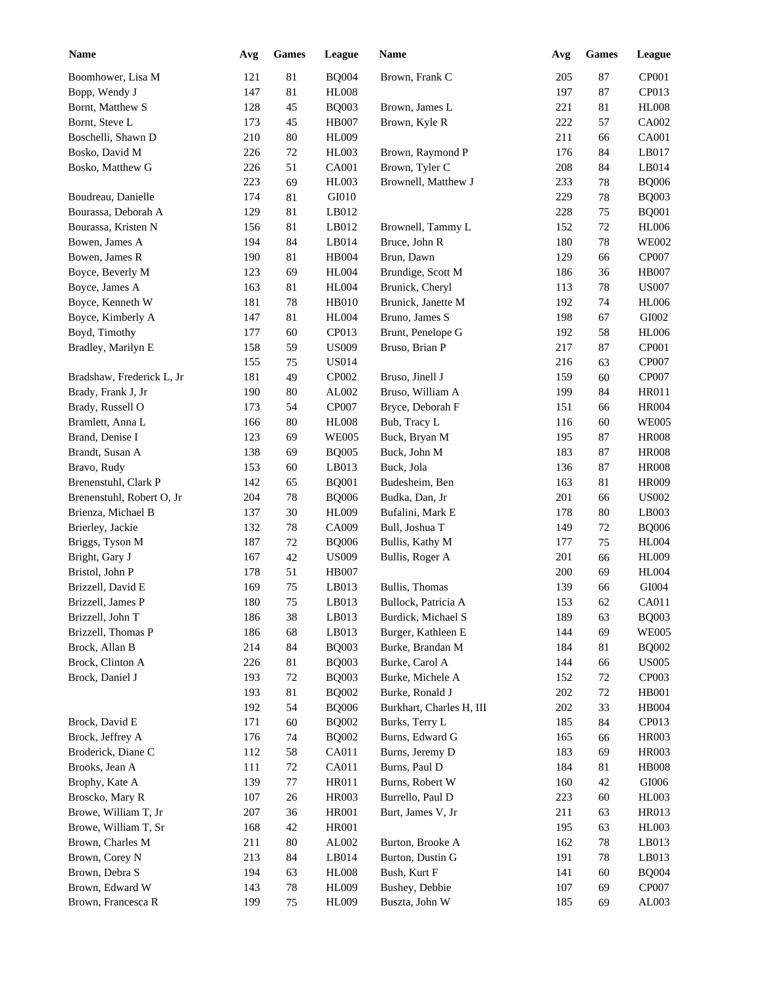| <b>Name</b>               | Avg | <b>Games</b> | League       | <b>Name</b>              | Avg | <b>Games</b> | League        |
|---------------------------|-----|--------------|--------------|--------------------------|-----|--------------|---------------|
| Boomhower, Lisa M         | 121 | 81           | <b>BQ004</b> | Brown, Frank C           | 205 | 87           | CP001         |
| Bopp, Wendy J             | 147 | 81           | <b>HL008</b> |                          | 197 | 87           | CP013         |
| Bornt, Matthew S          | 128 | 45           | <b>BQ003</b> | Brown, James L           | 221 | 81           | <b>HL008</b>  |
| Bornt, Steve L            | 173 | 45           | <b>HB007</b> | Brown, Kyle R            | 222 | 57           | CA002         |
| Boschelli, Shawn D        | 210 | 80           | <b>HL009</b> |                          | 211 | 66           | <b>CA001</b>  |
| Bosko, David M            | 226 | $72\,$       | HL003        | Brown, Raymond P         | 176 | 84           | LB017         |
| Bosko, Matthew G          | 226 | 51           | CA001        | Brown, Tyler C           | 208 | 84           | LB014         |
|                           | 223 | 69           | HL003        | Brownell, Matthew J      | 233 | 78           | <b>BQ006</b>  |
| Boudreau, Danielle        | 174 | 81           | GI010        |                          | 229 | 78           | <b>BQ003</b>  |
| Bourassa, Deborah A       | 129 | 81           | LB012        |                          | 228 | 75           | <b>BQ001</b>  |
| Bourassa, Kristen N       | 156 | 81           | LB012        | Brownell, Tammy L        | 152 | 72           | <b>HL006</b>  |
| Bowen, James A            | 194 | 84           | LB014        | Bruce, John R            | 180 | 78           | <b>WE002</b>  |
| Bowen, James R            | 190 | 81           | HB004        | Brun, Dawn               | 129 | 66           | CP007         |
| Boyce, Beverly M          | 123 | 69           | <b>HL004</b> | Brundige, Scott M        | 186 | 36           | <b>HB007</b>  |
| Boyce, James A            | 163 | 81           | <b>HL004</b> | Brunick, Cheryl          | 113 | 78           | <b>US007</b>  |
| Boyce, Kenneth W          | 181 | $78\,$       | <b>HB010</b> | Brunick, Janette M       | 192 | 74           | <b>HL006</b>  |
| Boyce, Kimberly A         | 147 | 81           | <b>HL004</b> | Bruno, James S           | 198 | 67           | GI002         |
| Boyd, Timothy             | 177 | 60           | CP013        | Brunt, Penelope G        | 192 | 58           | <b>HL006</b>  |
| Bradley, Marilyn E        | 158 | 59           | <b>US009</b> | Bruso, Brian P           | 217 | 87           | CP001         |
|                           | 155 | 75           | <b>US014</b> |                          | 216 | 63           | CP007         |
| Bradshaw, Frederick L, Jr | 181 | 49           | CP002        | Bruso, Jinell J          | 159 | 60           | CP007         |
| Brady, Frank J, Jr        | 190 | 80           | AL002        | Bruso, William A         | 199 | 84           | HR011         |
| Brady, Russell O          | 173 | 54           | <b>CP007</b> | Bryce, Deborah F         | 151 | 66           | <b>HR004</b>  |
| Bramlett, Anna L          | 166 | 80           | <b>HL008</b> | Bub, Tracy L             | 116 | 60           | <b>WE005</b>  |
| Brand, Denise I           | 123 | 69           | <b>WE005</b> | Buck, Bryan M            | 195 | 87           | <b>HR008</b>  |
| Brandt, Susan A           | 138 | 69           | <b>BQ005</b> | Buck, John M             | 183 | 87           | <b>HR008</b>  |
| Bravo, Rudy               | 153 | 60           | LB013        | Buck, Jola               | 136 | 87           | <b>HR008</b>  |
| Brenenstuhl, Clark P      | 142 | 65           | <b>BQ001</b> | Budesheim, Ben           | 163 | 81           | <b>HR009</b>  |
| Brenenstuhl, Robert O, Jr | 204 | 78           | <b>BQ006</b> | Budka, Dan, Jr           | 201 | 66           | <b>US002</b>  |
| Brienza, Michael B        | 137 | 30           | HL009        | Bufalini, Mark E         | 178 | 80           | LB003         |
| Brierley, Jackie          | 132 | 78           | CA009        | Bull, Joshua T           | 149 | 72           | <b>BQ006</b>  |
| Briggs, Tyson M           | 187 | 72           | <b>BQ006</b> | Bullis, Kathy M          | 177 | 75           | <b>HL004</b>  |
| Bright, Gary J            | 167 | 42           | <b>US009</b> | Bullis, Roger A          | 201 | 66           | <b>HL009</b>  |
| Bristol, John P           | 178 | 51           | <b>HB007</b> |                          | 200 | 69           | <b>HL004</b>  |
| Brizzell, David E         | 169 | 75           | LB013        | Bullis, Thomas           | 139 | 66           | GI004         |
| Brizzell, James P         | 180 | $75\,$       | LB013        | Bullock, Patricia A      | 153 | 62           | CA011         |
| Brizzell, John T          | 186 | 38           | LB013        | Burdick, Michael S       | 189 | 63           | <b>BQ003</b>  |
| Brizzell, Thomas P        | 186 | 68           | LB013        | Burger, Kathleen E       | 144 | 69           | <b>WE005</b>  |
| Brock, Allan B            | 214 | 84           | <b>BQ003</b> | Burke, Brandan M         | 184 | 81           | <b>BQ002</b>  |
| Brock, Clinton A          | 226 | 81           | <b>BQ003</b> | Burke, Carol A           | 144 | 66           | <b>US005</b>  |
| Brock, Daniel J           | 193 | $72\,$       | <b>BQ003</b> | Burke, Michele A         | 152 | 72           | CP003         |
|                           | 193 | 81           | <b>BQ002</b> | Burke, Ronald J          | 202 | 72           | <b>HB001</b>  |
|                           | 192 | 54           | <b>BQ006</b> | Burkhart, Charles H, III | 202 | 33           | HB004         |
| Brock, David E            | 171 | 60           | <b>BQ002</b> | Burks, Terry L           | 185 | 84           | CP013         |
| Brock, Jeffrey A          | 176 | 74           | <b>BQ002</b> | Burns, Edward G          | 165 | 66           | HR003         |
| Broderick, Diane C        | 112 | 58           | CA011        | Burns, Jeremy D          | 183 | 69           | HR003         |
| Brooks, Jean A            | 111 | 72           | CA011        | Burns, Paul D            | 184 | 81           | <b>HB008</b>  |
| Brophy, Kate A            | 139 | $77\,$       | HR011        | Burns, Robert W          | 160 | 42           | ${\rm G}1006$ |
| Broscko, Mary R           | 107 | 26           | <b>HR003</b> | Burrello, Paul D         | 223 | $60\,$       | HL003         |
| Browe, William T, Jr      | 207 | 36           | <b>HR001</b> | Burt, James V, Jr        | 211 | 63           | HR013         |
| Browe, William T, Sr      | 168 | 42           | <b>HR001</b> |                          | 195 | 63           | HL003         |
| Brown, Charles M          | 211 | $80\,$       | AL002        | Burton, Brooke A         | 162 | 78           | LB013         |
| Brown, Corey N            | 213 | 84           | LB014        | Burton, Dustin G         | 191 | 78           | LB013         |
| Brown, Debra S            | 194 | 63           | <b>HL008</b> | Bush, Kurt F             | 141 | 60           | <b>BQ004</b>  |
| Brown, Edward W           | 143 | $78\,$       | HL009        | Bushey, Debbie           | 107 | 69           | CP007         |
| Brown, Francesca R        | 199 | 75           | HL009        | Buszta, John W           | 185 | 69           | AL003         |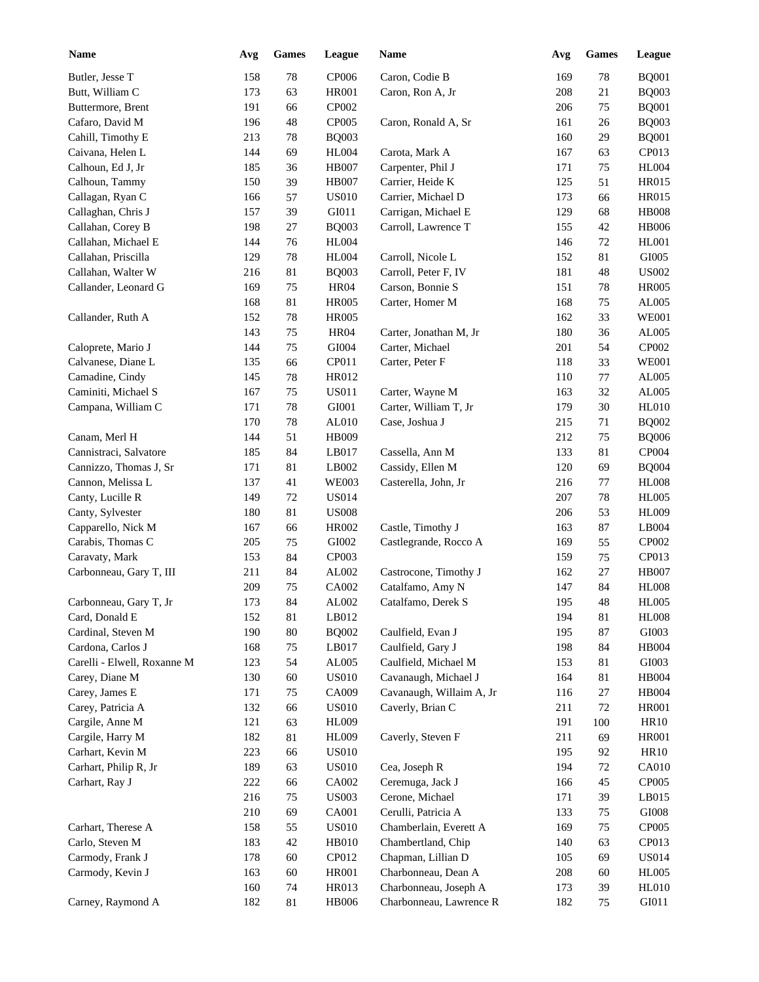| <b>Name</b>                 | Avg | <b>Games</b> | League       | Name                     | Avg | <b>Games</b> | League        |
|-----------------------------|-----|--------------|--------------|--------------------------|-----|--------------|---------------|
| Butler, Jesse T             | 158 | 78           | <b>CP006</b> | Caron, Codie B           | 169 | 78           | <b>BQ001</b>  |
| Butt, William C             | 173 | 63           | <b>HR001</b> | Caron, Ron A, Jr         | 208 | 21           | <b>BQ003</b>  |
| Buttermore, Brent           | 191 | 66           | CP002        |                          | 206 | 75           | <b>BQ001</b>  |
| Cafaro, David M             | 196 | 48           | CP005        | Caron, Ronald A, Sr      | 161 | 26           | <b>BQ003</b>  |
| Cahill, Timothy E           | 213 | 78           | <b>BQ003</b> |                          | 160 | 29           | <b>BQ001</b>  |
| Caivana, Helen L            | 144 | 69           | <b>HL004</b> | Carota, Mark A           | 167 | 63           | CP013         |
| Calhoun, Ed J, Jr           | 185 | 36           | <b>HB007</b> | Carpenter, Phil J        | 171 | 75           | <b>HL004</b>  |
| Calhoun, Tammy              | 150 | 39           | <b>HB007</b> | Carrier, Heide K         | 125 | 51           | <b>HR015</b>  |
| Callagan, Ryan C            | 166 | 57           | <b>US010</b> | Carrier, Michael D       | 173 | 66           | <b>HR015</b>  |
| Callaghan, Chris J          | 157 | 39           | GI011        | Carrigan, Michael E      | 129 | 68           | <b>HB008</b>  |
| Callahan, Corey B           | 198 | 27           | <b>BQ003</b> | Carroll, Lawrence T      | 155 | 42           | <b>HB006</b>  |
| Callahan, Michael E         | 144 | 76           | <b>HL004</b> |                          | 146 | 72           | <b>HL001</b>  |
| Callahan, Priscilla         | 129 | 78           | <b>HL004</b> | Carroll, Nicole L        | 152 | 81           | GI005         |
| Callahan, Walter W          | 216 | 81           | <b>BQ003</b> | Carroll, Peter F, IV     | 181 | 48           | <b>US002</b>  |
| Callander, Leonard G        | 169 | 75           | <b>HR04</b>  | Carson, Bonnie S         | 151 | 78           | <b>HR005</b>  |
|                             | 168 | 81           | <b>HR005</b> | Carter, Homer M          | 168 | 75           | AL005         |
| Callander, Ruth A           | 152 | 78           | <b>HR005</b> |                          | 162 | 33           | <b>WE001</b>  |
|                             | 143 | 75           | <b>HR04</b>  | Carter, Jonathan M, Jr   | 180 | 36           | AL005         |
| Caloprete, Mario J          | 144 | 75           | GI004        | Carter, Michael          | 201 | 54           | CP002         |
| Calvanese, Diane L          | 135 | 66           | CP011        | Carter, Peter F          | 118 | 33           | <b>WE001</b>  |
| Camadine, Cindy             | 145 | 78           | HR012        |                          | 110 | 77           | AL005         |
| Caminiti, Michael S         | 167 | 75           | <b>US011</b> | Carter, Wayne M          | 163 | 32           | AL005         |
| Campana, William C          | 171 | 78           | GI001        | Carter, William T, Jr    | 179 | 30           | <b>HL010</b>  |
|                             | 170 | 78           | AL010        | Case, Joshua J           | 215 | 71           | <b>BQ002</b>  |
| Canam, Merl H               | 144 | 51           | HB009        |                          | 212 | 75           | <b>BQ006</b>  |
| Cannistraci, Salvatore      | 185 | 84           | LB017        | Cassella, Ann M          | 133 | 81           | CP004         |
| Cannizzo, Thomas J, Sr      | 171 | 81           | LB002        | Cassidy, Ellen M         | 120 | 69           | <b>BQ004</b>  |
| Cannon, Melissa L           | 137 | 41           | <b>WE003</b> | Casterella, John, Jr     | 216 | 77           | <b>HL008</b>  |
| Canty, Lucille R            | 149 | 72           | <b>US014</b> |                          | 207 | 78           | <b>HL005</b>  |
| Canty, Sylvester            | 180 | 81           | <b>US008</b> |                          | 206 | 53           | <b>HL009</b>  |
| Capparello, Nick M          | 167 | 66           | <b>HR002</b> | Castle, Timothy J        | 163 | 87           | LB004         |
| Carabis, Thomas C           | 205 | 75           | GI002        | Castlegrande, Rocco A    | 169 | 55           | CP002         |
| Caravaty, Mark              | 153 | 84           | CP003        |                          | 159 | 75           | CP013         |
| Carbonneau, Gary T, III     | 211 | 84           | AL002        | Castrocone, Timothy J    | 162 | 27           | <b>HB007</b>  |
|                             | 209 | 75           | CA002        | Catalfamo, Amy N         | 147 | 84           | <b>HL008</b>  |
| Carbonneau, Gary T, Jr      | 173 | 84           | AL002        | Catalfamo, Derek S       | 195 | 48           | <b>HL005</b>  |
| Card, Donald E              | 152 | 81           | LB012        |                          | 194 | 81           | <b>HL008</b>  |
| Cardinal, Steven M          | 190 | $80\,$       | <b>BQ002</b> | Caulfield, Evan J        | 195 | 87           | GI003         |
| Cardona, Carlos J           | 168 | 75           | LB017        | Caulfield, Gary J        | 198 | 84           | HB004         |
| Carelli - Elwell, Roxanne M | 123 | 54           | AL005        | Caulfield, Michael M     | 153 | $81\,$       | GI003         |
| Carey, Diane M              | 130 | $60\,$       | <b>US010</b> | Cavanaugh, Michael J     | 164 | $81\,$       | HB004         |
| Carey, James E              | 171 | 75           | CA009        | Cavanaugh, Willaim A, Jr | 116 | $27\,$       | HB004         |
| Carey, Patricia A           | 132 | 66           | <b>US010</b> | Caverly, Brian C         | 211 | 72           | <b>HR001</b>  |
| Cargile, Anne M             | 121 | 63           | HL009        |                          | 191 | 100          | HR10          |
| Cargile, Harry M            | 182 | $81\,$       | <b>HL009</b> | Caverly, Steven F        | 211 | 69           | <b>HR001</b>  |
| Carhart, Kevin M            | 223 | 66           | <b>US010</b> |                          | 195 | 92           | HR10          |
| Carhart, Philip R, Jr       | 189 | 63           | <b>US010</b> | Cea, Joseph R            | 194 | 72           | CA010         |
| Carhart, Ray J              | 222 | 66           | CA002        | Ceremuga, Jack J         | 166 | 45           | CP005         |
|                             | 216 | 75           | <b>US003</b> | Cerone, Michael          | 171 | 39           | LB015         |
|                             |     |              |              |                          |     |              |               |
|                             | 210 | 69           | CA001        | Cerulli, Patricia A      | 133 | 75           | $\rm GIO08$   |
| Carhart, Therese A          | 158 | 55           | <b>US010</b> | Chamberlain, Everett A   | 169 | 75           | CP005         |
| Carlo, Steven M             | 183 | $42\,$       | HB010        | Chambertland, Chip       | 140 | 63           | CP013         |
| Carmody, Frank J            | 178 | 60           | CP012        | Chapman, Lillian D       | 105 | 69           | <b>US014</b>  |
| Carmody, Kevin J            | 163 | 60           | HR001        | Charbonneau, Dean A      | 208 | 60           | <b>HL005</b>  |
|                             | 160 | 74           | HR013        | Charbonneau, Joseph A    | 173 | 39           | <b>HL010</b>  |
| Carney, Raymond A           | 182 | 81           | HB006        | Charbonneau, Lawrence R  | 182 | 75           | ${\rm G}I011$ |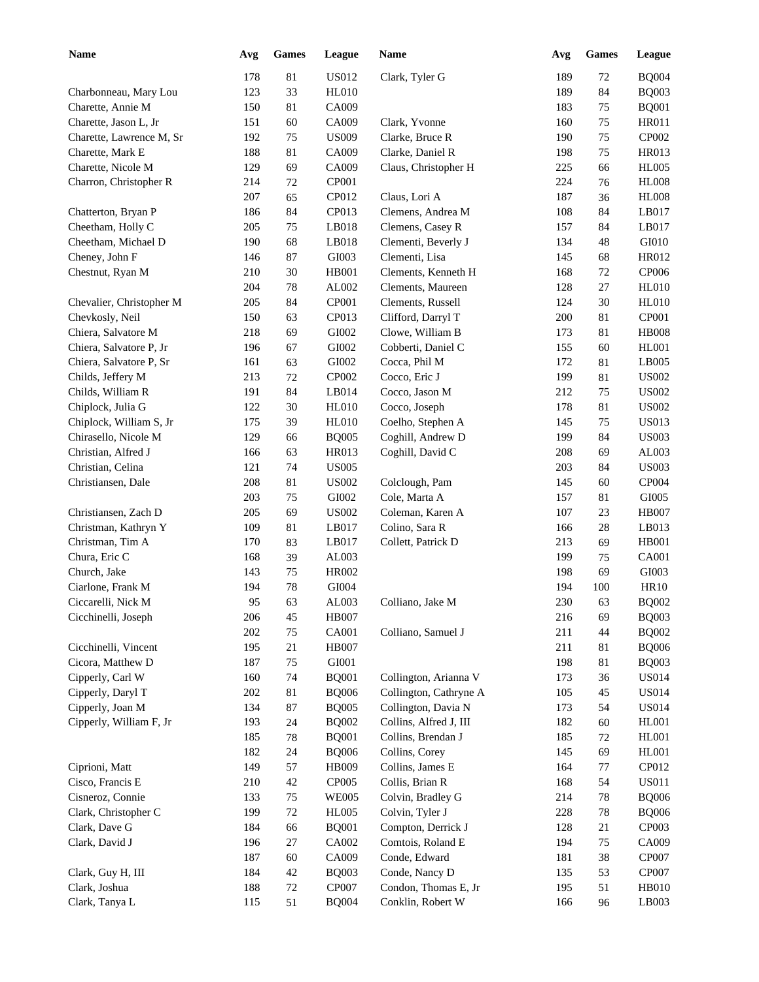| <b>Name</b>              | Avg | <b>Games</b> | League         | <b>Name</b>            | Avg | <b>Games</b> | League       |
|--------------------------|-----|--------------|----------------|------------------------|-----|--------------|--------------|
|                          | 178 | 81           | US012          | Clark, Tyler G         | 189 | 72           | <b>BQ004</b> |
| Charbonneau, Mary Lou    | 123 | 33           | <b>HL010</b>   |                        | 189 | 84           | <b>BQ003</b> |
| Charette, Annie M        | 150 | 81           | CA009          |                        | 183 | 75           | <b>BQ001</b> |
| Charette, Jason L, Jr    | 151 | 60           | CA009          | Clark, Yvonne          | 160 | 75           | HR011        |
| Charette, Lawrence M, Sr | 192 | 75           | <b>US009</b>   | Clarke, Bruce R        | 190 | 75           | CP002        |
| Charette, Mark E         | 188 | 81           | CA009          | Clarke, Daniel R       | 198 | 75           | HR013        |
| Charette, Nicole M       | 129 | 69           | CA009          | Claus, Christopher H   | 225 | 66           | <b>HL005</b> |
| Charron, Christopher R   | 214 | $72\,$       | CP001          |                        | 224 | 76           | <b>HL008</b> |
|                          | 207 | 65           | CP012          | Claus, Lori A          | 187 | 36           | <b>HL008</b> |
| Chatterton, Bryan P      | 186 | 84           | CP013          | Clemens, Andrea M      | 108 | 84           | LB017        |
| Cheetham, Holly C        | 205 | 75           | LB018          | Clemens, Casey R       | 157 | 84           | LB017        |
| Cheetham, Michael D      | 190 | 68           | LB018          | Clementi, Beverly J    | 134 | 48           | GI010        |
| Cheney, John F           | 146 | 87           | GI003          | Clementi, Lisa         | 145 | 68           | HR012        |
| Chestnut, Ryan M         | 210 | 30           | HB001          | Clements, Kenneth H    | 168 |              | CP006        |
|                          | 204 | 78           |                |                        |     | 72<br>$27\,$ | <b>HL010</b> |
|                          |     |              | AL002<br>CP001 | Clements, Maureen      | 128 |              |              |
| Chevalier, Christopher M | 205 | 84           | CP013          | Clements, Russell      | 124 | 30           | <b>HL010</b> |
| Chevkosly, Neil          | 150 | 63           |                | Clifford, Darryl T     | 200 | 81           | CP001        |
| Chiera, Salvatore M      | 218 | 69           | GI002          | Clowe, William B       | 173 | 81           | <b>HB008</b> |
| Chiera, Salvatore P, Jr  | 196 | 67           | GI002          | Cobberti, Daniel C     | 155 | 60           | <b>HL001</b> |
| Chiera, Salvatore P, Sr  | 161 | 63           | GI002          | Cocca, Phil M          | 172 | 81           | LB005        |
| Childs, Jeffery M        | 213 | $72\,$       | CP002          | Cocco, Eric J          | 199 | 81           | <b>US002</b> |
| Childs, William R        | 191 | 84           | LB014          | Cocco, Jason M         | 212 | 75           | <b>US002</b> |
| Chiplock, Julia G        | 122 | 30           | <b>HL010</b>   | Cocco, Joseph          | 178 | 81           | <b>US002</b> |
| Chiplock, William S, Jr  | 175 | 39           | <b>HL010</b>   | Coelho, Stephen A      | 145 | 75           | <b>US013</b> |
| Chirasello, Nicole M     | 129 | 66           | <b>BQ005</b>   | Coghill, Andrew D      | 199 | 84           | <b>US003</b> |
| Christian, Alfred J      | 166 | 63           | HR013          | Coghill, David C       | 208 | 69           | AL003        |
| Christian, Celina        | 121 | 74           | <b>US005</b>   |                        | 203 | 84           | <b>US003</b> |
| Christiansen, Dale       | 208 | 81           | <b>US002</b>   | Colclough, Pam         | 145 | 60           | CP004        |
|                          | 203 | 75           | GI002          | Cole, Marta A          | 157 | 81           | GI005        |
| Christiansen, Zach D     | 205 | 69           | <b>US002</b>   | Coleman, Karen A       | 107 | 23           | <b>HB007</b> |
| Christman, Kathryn Y     | 109 | 81           | LB017          | Colino, Sara R         | 166 | 28           | LB013        |
| Christman, Tim A         | 170 | 83           | LB017          | Collett, Patrick D     | 213 | 69           | <b>HB001</b> |
| Chura, Eric C            | 168 | 39           | AL003          |                        | 199 | 75           | CA001        |
| Church, Jake             | 143 | 75           | HR002          |                        | 198 | 69           | GI003        |
| Ciarlone, Frank M        | 194 | 78           | GI004          |                        | 194 | 100          | <b>HR10</b>  |
| Ciccarelli, Nick M       | 95  | 63           | AL003          | Colliano, Jake M       | 230 | 63           | <b>BQ002</b> |
| Cicchinelli, Joseph      | 206 | 45           | <b>HB007</b>   |                        | 216 | 69           | <b>BQ003</b> |
|                          | 202 | $75\,$       | CA001          | Colliano, Samuel J     | 211 | 44           | <b>BQ002</b> |
| Cicchinelli, Vincent     | 195 | 21           | <b>HB007</b>   |                        | 211 | 81           | <b>BQ006</b> |
| Cicora, Matthew D        | 187 | 75           | GI001          |                        | 198 | 81           | <b>BQ003</b> |
| Cipperly, Carl W         | 160 | 74           | <b>BQ001</b>   | Collington, Arianna V  | 173 | 36           | <b>US014</b> |
| Cipperly, Daryl T        | 202 | 81           | <b>BQ006</b>   | Collington, Cathryne A | 105 | 45           | <b>US014</b> |
| Cipperly, Joan M         | 134 | 87           | <b>BQ005</b>   | Collington, Davia N    | 173 | 54           | <b>US014</b> |
| Cipperly, William F, Jr  | 193 | 24           | <b>BQ002</b>   | Collins, Alfred J, III | 182 | 60           | HL001        |
|                          | 185 | 78           | <b>BQ001</b>   | Collins, Brendan J     | 185 | 72           | <b>HL001</b> |
|                          | 182 | 24           | <b>BQ006</b>   | Collins, Corey         | 145 | 69           | <b>HL001</b> |
| Ciprioni, Matt           | 149 | 57           | HB009          | Collins, James E       | 164 | 77           | CP012        |
| Cisco, Francis E         | 210 | 42           | <b>CP005</b>   | Collis, Brian R        | 168 | 54           | <b>US011</b> |
| Cisneroz, Connie         | 133 | 75           | <b>WE005</b>   | Colvin, Bradley G      | 214 | 78           | <b>BQ006</b> |
| Clark, Christopher C     | 199 | $72\,$       | <b>HL005</b>   | Colvin, Tyler J        | 228 | 78           | <b>BQ006</b> |
| Clark, Dave G            | 184 | 66           | <b>BQ001</b>   | Compton, Derrick J     | 128 | 21           | CP003        |
| Clark, David J           | 196 | 27           | CA002          | Comtois, Roland E      | 194 | 75           | CA009        |
|                          | 187 | 60           | CA009          | Conde, Edward          | 181 | 38           | CP007        |
| Clark, Guy H, III        | 184 | $42\,$       | <b>BQ003</b>   | Conde, Nancy D         | 135 | 53           | CP007        |
| Clark, Joshua            | 188 | $72\,$       | CP007          | Condon, Thomas E, Jr   | 195 | 51           | <b>HB010</b> |
| Clark, Tanya L           | 115 | 51           | <b>BQ004</b>   | Conklin, Robert W      | 166 | 96           | LB003        |
|                          |     |              |                |                        |     |              |              |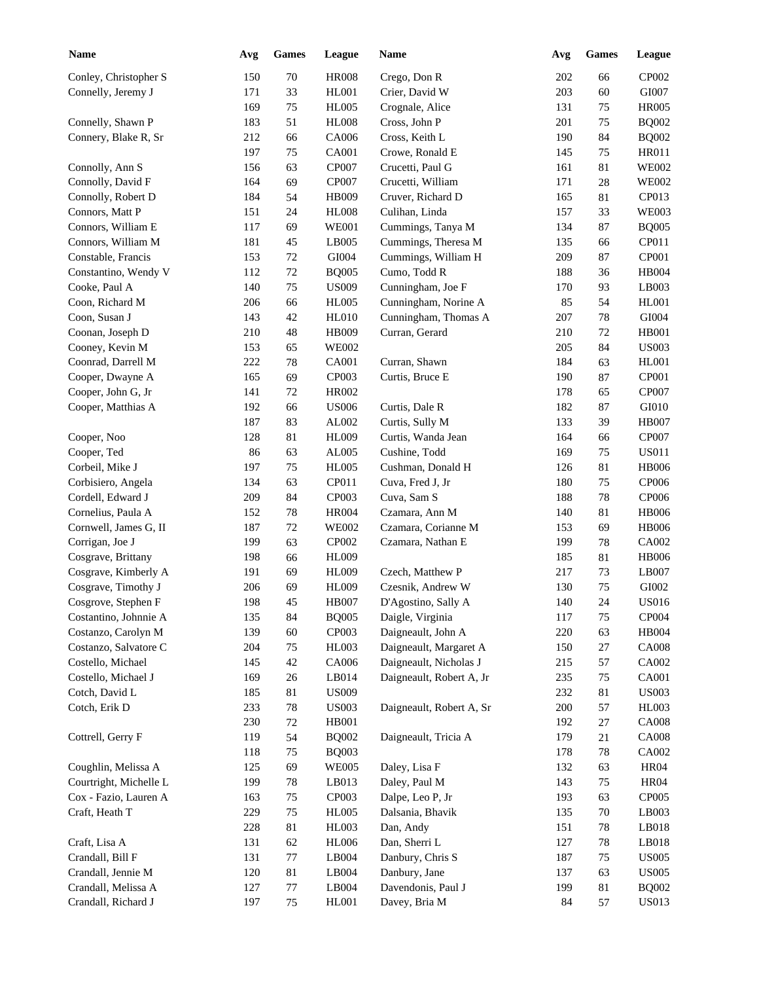| <b>Name</b>            | Avg        | <b>Games</b> | League       | <b>Name</b>                           | Avg        | <b>Games</b> | League         |
|------------------------|------------|--------------|--------------|---------------------------------------|------------|--------------|----------------|
| Conley, Christopher S  | 150        | 70           | <b>HR008</b> | Crego, Don R                          | 202        | 66           | CP002          |
| Connelly, Jeremy J     | 171        | 33           | <b>HL001</b> | Crier, David W                        | 203        | 60           | GI007          |
|                        | 169        | 75           | <b>HL005</b> | Crognale, Alice                       | 131        | 75           | <b>HR005</b>   |
| Connelly, Shawn P      | 183        | 51           | <b>HL008</b> | Cross, John P                         | 201        | 75           | <b>BQ002</b>   |
| Connery, Blake R, Sr   | 212        | 66           | CA006        | Cross, Keith L                        | 190        | 84           | <b>BQ002</b>   |
|                        | 197        | 75           | CA001        | Crowe, Ronald E                       | 145        | 75           | <b>HR011</b>   |
| Connolly, Ann S        | 156        | 63           | CP007        | Crucetti, Paul G                      | 161        | 81           | <b>WE002</b>   |
| Connolly, David F      | 164        | 69           | CP007        | Crucetti, William                     | 171        | 28           | <b>WE002</b>   |
| Connolly, Robert D     | 184        | 54           | HB009        | Cruver, Richard D                     | 165        | 81           | CP013          |
| Connors, Matt P        | 151        | 24           | <b>HL008</b> | Culihan, Linda                        | 157        | 33           | <b>WE003</b>   |
| Connors, William E     | 117        | 69           | <b>WE001</b> | Cummings, Tanya M                     | 134        | 87           | <b>BQ005</b>   |
| Connors, William M     | 181        | 45           | LB005        | Cummings, Theresa M                   | 135        | 66           | CP011          |
| Constable, Francis     | 153        | 72           | GI004        | Cummings, William H                   | 209        | 87           | CP001          |
| Constantino, Wendy V   | 112        | $72\,$       | <b>BQ005</b> | Cumo, Todd R                          | 188        | 36           | HB004          |
| Cooke, Paul A          | 140        | 75           | <b>US009</b> | Cunningham, Joe F                     | 170        | 93           | LB003          |
| Coon, Richard M        | 206        | 66           | <b>HL005</b> | Cunningham, Norine A                  | 85         | 54           | <b>HL001</b>   |
| Coon, Susan J          | 143        | 42           | <b>HL010</b> | Cunningham, Thomas A                  | 207        | 78           | GI004          |
| Coonan, Joseph D       | 210        | 48           | HB009        | Curran, Gerard                        | 210        | 72           | <b>HB001</b>   |
| Cooney, Kevin M        | 153        | 65           | <b>WE002</b> |                                       | 205        | 84           | <b>US003</b>   |
| Coonrad, Darrell M     | 222        | 78           | CA001        | Curran, Shawn                         | 184        | 63           | <b>HL001</b>   |
| Cooper, Dwayne A       | 165        | 69           | CP003        | Curtis, Bruce E                       | 190        | 87           | CP001          |
| Cooper, John G, Jr     | 141        | 72           | <b>HR002</b> |                                       | 178        | 65           | CP007          |
| Cooper, Matthias A     | 192        | 66           | <b>US006</b> | Curtis, Dale R                        | 182        | 87           | GI010          |
|                        | 187        | 83           | AL002        | Curtis, Sully M                       | 133        | 39           | <b>HB007</b>   |
| Cooper, Noo            | 128        | 81           | <b>HL009</b> | Curtis, Wanda Jean                    | 164        | 66           | CP007          |
| Cooper, Ted            | 86         | 63           | AL005        | Cushine, Todd                         | 169        | 75           | <b>US011</b>   |
| Corbeil, Mike J        | 197        | 75           | <b>HL005</b> | Cushman, Donald H                     | 126        | 81           | <b>HB006</b>   |
| Corbisiero, Angela     | 134        | 63           | CP011        | Cuva, Fred J, Jr                      | 180        | 75           | CP006          |
| Cordell, Edward J      | 209        | 84           | CP003        | Cuva, Sam S                           | 188        | 78           | CP006          |
| Cornelius, Paula A     | 152        | 78           | <b>HR004</b> | Czamara, Ann M                        | 140        | 81           | <b>HB006</b>   |
| Cornwell, James G, II  | 187        | 72           | <b>WE002</b> | Czamara, Corianne M                   | 153        | 69           | <b>HB006</b>   |
| Corrigan, Joe J        | 199        | 63           | CP002        | Czamara, Nathan E                     | 199        | 78           | CA002          |
| Cosgrave, Brittany     | 198        |              |              |                                       |            |              |                |
|                        |            | 66           | <b>HL009</b> |                                       | 185        | 81           | <b>HB006</b>   |
| Cosgrave, Kimberly A   | 191<br>206 | 69<br>69     | <b>HL009</b> | Czech, Matthew P<br>Czesnik, Andrew W | 217<br>130 | 73<br>75     | LB007<br>GI002 |
| Cosgrave, Timothy J    |            |              | <b>HL009</b> |                                       |            |              |                |
| Cosgrove, Stephen F    | 198        | 45           | <b>HB007</b> | D'Agostino, Sally A                   | 140        | 24           | <b>US016</b>   |
| Costantino, Johnnie A  | 135        | 84           | <b>BQ005</b> | Daigle, Virginia                      | 117        | 75           | CP004          |
| Costanzo, Carolyn M    | 139        | 60           | CP003        | Daigneault, John A                    | 220        | 63           | HB004          |
| Costanzo, Salvatore C  | 204        | 75           | HL003        | Daigneault, Margaret A                | 150        | 27           | <b>CA008</b>   |
| Costello, Michael      | 145        | $42\,$       | CA006        | Daigneault, Nicholas J                | 215        | 57           | CA002          |
| Costello, Michael J    | 169        | 26           | LB014        | Daigneault, Robert A, Jr              | 235        | 75           | <b>CA001</b>   |
| Cotch, David L         | 185        | 81           | <b>US009</b> |                                       | 232        | 81           | <b>US003</b>   |
| Cotch, Erik D          | 233        | 78           | <b>US003</b> | Daigneault, Robert A, Sr              | 200        | 57           | <b>HL003</b>   |
|                        | 230        | 72           | HB001        |                                       | 192        | 27           | <b>CA008</b>   |
| Cottrell, Gerry F      | 119        | 54           | <b>BQ002</b> | Daigneault, Tricia A                  | 179        | 21           | <b>CA008</b>   |
|                        | 118        | 75           | <b>BQ003</b> |                                       | 178        | 78           | CA002          |
| Coughlin, Melissa A    | 125        | 69           | <b>WE005</b> | Daley, Lisa F                         | 132        | 63           | <b>HR04</b>    |
| Courtright, Michelle L | 199        | 78           | LB013        | Daley, Paul M                         | 143        | 75           | <b>HR04</b>    |
| Cox - Fazio, Lauren A  | 163        | 75           | CP003        | Dalpe, Leo P, Jr                      | 193        | 63           | CP005          |
| Craft, Heath T         | 229        | 75           | <b>HL005</b> | Dalsania, Bhavik                      | 135        | $70\,$       | LB003          |
|                        | 228        | 81           | HL003        | Dan, Andy                             | 151        | 78           | LB018          |
| Craft, Lisa A          | 131        | 62           | <b>HL006</b> | Dan, Sherri L                         | 127        | 78           | LB018          |
| Crandall, Bill F       | 131        | $77$         | LB004        | Danbury, Chris S                      | 187        | 75           | <b>US005</b>   |
| Crandall, Jennie M     | 120        | 81           | LB004        | Danbury, Jane                         | 137        | 63           | <b>US005</b>   |
| Crandall, Melissa A    | 127        | 77           | LB004        | Davendonis, Paul J                    | 199        | 81           | <b>BQ002</b>   |
| Crandall, Richard J    | 197        | 75           | HL001        | Davey, Bria M                         | 84         | 57           | <b>US013</b>   |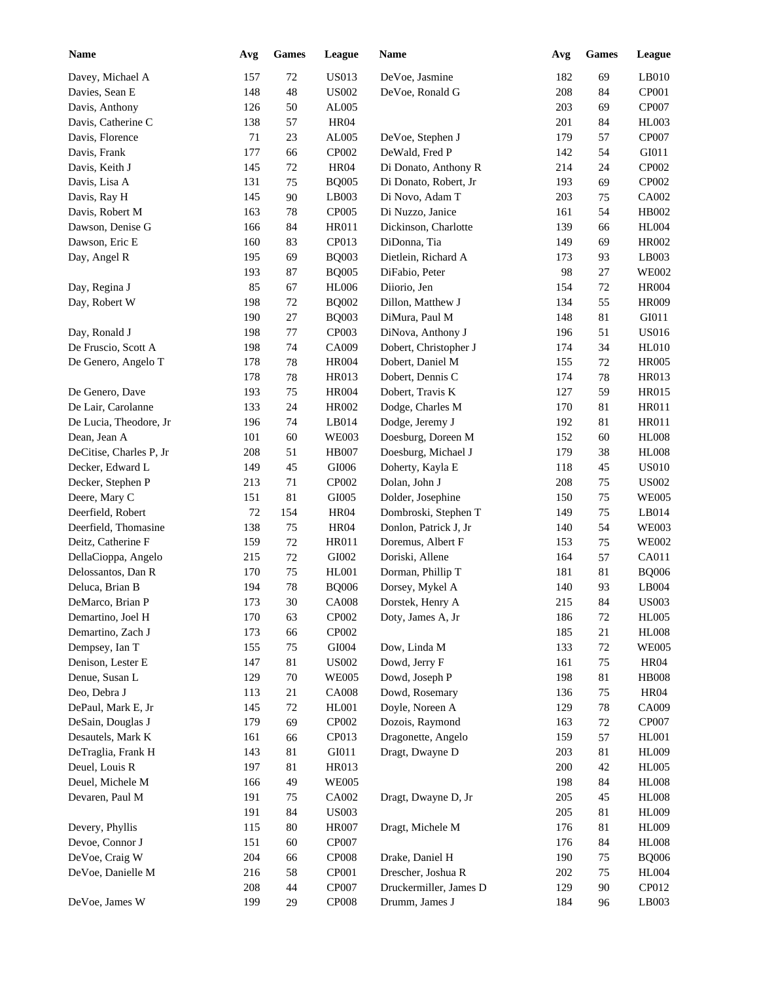| <b>Name</b>             | Avg | <b>Games</b> | League       | <b>Name</b>            | Avg | Games  | League       |
|-------------------------|-----|--------------|--------------|------------------------|-----|--------|--------------|
| Davey, Michael A        | 157 | $72\,$       | <b>US013</b> | DeVoe, Jasmine         | 182 | 69     | LB010        |
| Davies, Sean E          | 148 | 48           | <b>US002</b> | DeVoe, Ronald G        | 208 | 84     | CP001        |
| Davis, Anthony          | 126 | 50           | AL005        |                        | 203 | 69     | CP007        |
| Davis, Catherine C      | 138 | 57           | <b>HR04</b>  |                        | 201 | 84     | HL003        |
| Davis, Florence         | 71  | 23           | AL005        | DeVoe, Stephen J       | 179 | 57     | CP007        |
| Davis, Frank            | 177 | 66           | CP002        | DeWald, Fred P         | 142 | 54     | GI011        |
| Davis, Keith J          | 145 | 72           | <b>HR04</b>  | Di Donato, Anthony R   | 214 | 24     | CP002        |
| Davis, Lisa A           | 131 | 75           | <b>BQ005</b> | Di Donato, Robert, Jr  | 193 | 69     | CP002        |
| Davis, Ray H            | 145 | 90           | LB003        | Di Novo, Adam T        | 203 | 75     | CA002        |
| Davis, Robert M         | 163 | 78           | CP005        | Di Nuzzo, Janice       | 161 | 54     | HB002        |
| Dawson, Denise G        | 166 | 84           | <b>HR011</b> | Dickinson, Charlotte   | 139 | 66     | <b>HL004</b> |
| Dawson, Eric E          | 160 | 83           | CP013        | DiDonna, Tia           | 149 | 69     | <b>HR002</b> |
| Day, Angel R            | 195 | 69           | <b>BQ003</b> | Dietlein, Richard A    | 173 | 93     | LB003        |
|                         | 193 | 87           | <b>BQ005</b> | DiFabio, Peter         | 98  | 27     | <b>WE002</b> |
| Day, Regina J           | 85  | 67           | <b>HL006</b> | Diiorio, Jen           | 154 | 72     | <b>HR004</b> |
| Day, Robert W           | 198 | 72           | <b>BQ002</b> | Dillon, Matthew J      | 134 | 55     | <b>HR009</b> |
|                         | 190 | 27           | <b>BQ003</b> | DiMura, Paul M         | 148 | 81     | GI011        |
| Day, Ronald J           | 198 | 77           | CP003        | DiNova, Anthony J      | 196 | 51     | <b>US016</b> |
| De Fruscio, Scott A     | 198 | 74           | CA009        | Dobert, Christopher J  | 174 | 34     | <b>HL010</b> |
| De Genero, Angelo T     | 178 | 78           | <b>HR004</b> | Dobert, Daniel M       | 155 | 72     | <b>HR005</b> |
|                         | 178 | 78           | HR013        | Dobert, Dennis C       | 174 | 78     | HR013        |
| De Genero, Dave         | 193 | 75           | <b>HR004</b> | Dobert, Travis K       | 127 | 59     | <b>HR015</b> |
| De Lair, Carolanne      | 133 | 24           | <b>HR002</b> | Dodge, Charles M       | 170 | 81     | HR011        |
| De Lucia, Theodore, Jr  | 196 | 74           | LB014        | Dodge, Jeremy J        | 192 | 81     | HR011        |
| Dean, Jean A            | 101 | 60           | <b>WE003</b> | Doesburg, Doreen M     | 152 | 60     | <b>HL008</b> |
| DeCitise, Charles P, Jr | 208 | 51           | <b>HB007</b> | Doesburg, Michael J    | 179 | 38     | <b>HL008</b> |
| Decker, Edward L        | 149 | 45           | GI006        | Doherty, Kayla E       | 118 | 45     | <b>US010</b> |
| Decker, Stephen P       | 213 | 71           | CP002        | Dolan, John J          | 208 | 75     | <b>US002</b> |
| Deere, Mary C           | 151 | 81           | GI005        | Dolder, Josephine      | 150 | 75     | <b>WE005</b> |
| Deerfield, Robert       | 72  | 154          | <b>HR04</b>  | Dombroski, Stephen T   | 149 | 75     | LB014        |
| Deerfield, Thomasine    | 138 | 75           | <b>HR04</b>  | Donlon, Patrick J, Jr  | 140 | 54     | <b>WE003</b> |
| Deitz, Catherine F      | 159 | 72           | HR011        | Doremus, Albert F      | 153 | 75     | <b>WE002</b> |
| DellaCioppa, Angelo     | 215 | 72           | GI002        | Doriski, Allene        | 164 | 57     | CA011        |
| Delossantos, Dan R      | 170 | 75           | <b>HL001</b> | Dorman, Phillip T      | 181 | 81     | <b>BQ006</b> |
| Deluca, Brian B         | 194 | 78           | <b>BQ006</b> | Dorsey, Mykel A        | 140 | 93     | LB004        |
| DeMarco, Brian P        | 173 | $30\,$       | <b>CA008</b> | Dorstek, Henry A       | 215 | 84     | <b>US003</b> |
| Demartino, Joel H       | 170 | 63           | CP002        | Doty, James A, Jr      | 186 | 72     | <b>HL005</b> |
| Demartino, Zach J       | 173 | 66           | CP002        |                        | 185 | 21     | <b>HL008</b> |
| Dempsey, Ian T          | 155 | 75           | GI004        | Dow, Linda M           | 133 | $72\,$ | <b>WE005</b> |
| Denison, Lester E       | 147 | 81           | <b>US002</b> | Dowd, Jerry F          | 161 | 75     | HR04         |
| Denue, Susan L          | 129 | $70\,$       | <b>WE005</b> | Dowd, Joseph P         | 198 | 81     | <b>HB008</b> |
| Deo, Debra J            | 113 | 21           | <b>CA008</b> | Dowd, Rosemary         | 136 | 75     | <b>HR04</b>  |
| DePaul, Mark E, Jr      | 145 | 72           | HL001        | Doyle, Noreen A        | 129 | 78     | CA009        |
| DeSain, Douglas J       | 179 | 69           | CP002        | Dozois, Raymond        | 163 | 72     | CP007        |
| Desautels, Mark K       | 161 |              | CP013        | Dragonette, Angelo     |     | 57     | <b>HL001</b> |
| DeTraglia, Frank H      | 143 | 66<br>81     | GI011        | Dragt, Dwayne D        | 159 | 81     | <b>HL009</b> |
| Deuel, Louis R          | 197 | 81           | HR013        |                        | 203 | 42     | <b>HL005</b> |
|                         |     |              |              |                        | 200 |        | <b>HL008</b> |
| Deuel, Michele M        | 166 | 49           | <b>WE005</b> |                        | 198 | 84     |              |
| Devaren, Paul M         | 191 | 75           | CA002        | Dragt, Dwayne D, Jr    | 205 | 45     | <b>HL008</b> |
|                         | 191 | 84           | <b>US003</b> |                        | 205 | 81     | HL009        |
| Devery, Phyllis         | 115 | $80\,$       | <b>HR007</b> | Dragt, Michele M       | 176 | 81     | HL009        |
| Devoe, Connor J         | 151 | 60           | CP007        |                        | 176 | 84     | <b>HL008</b> |
| DeVoe, Craig W          | 204 | 66           | <b>CP008</b> | Drake, Daniel H        | 190 | 75     | <b>BQ006</b> |
| DeVoe, Danielle M       | 216 | 58           | CP001        | Drescher, Joshua R     | 202 | 75     | <b>HL004</b> |
|                         | 208 | 44           | CP007        | Druckermiller, James D | 129 | 90     | CP012        |
| DeVoe, James W          | 199 | 29           | CP008        | Drumm, James J         | 184 | 96     | LB003        |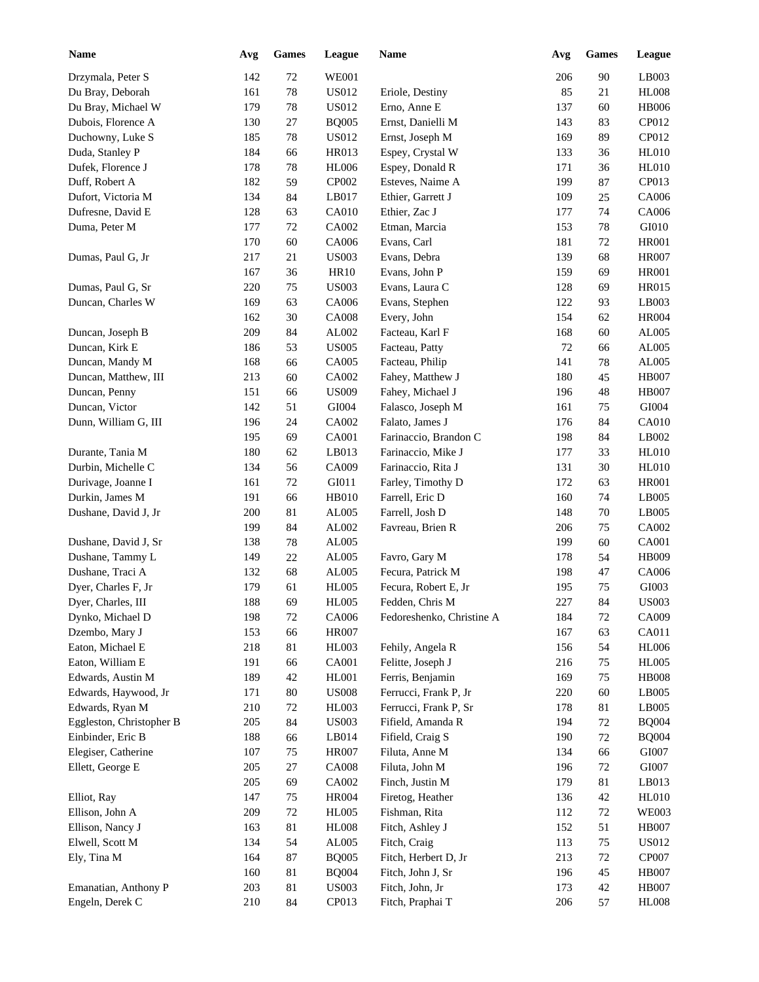| <b>Name</b>              | Avg | <b>Games</b> | League       | <b>Name</b>               | Avg | <b>Games</b> | League        |
|--------------------------|-----|--------------|--------------|---------------------------|-----|--------------|---------------|
| Drzymala, Peter S        | 142 | 72           | <b>WE001</b> |                           | 206 | 90           | LB003         |
| Du Bray, Deborah         | 161 | 78           | US012        | Eriole, Destiny           | 85  | 21           | <b>HL008</b>  |
| Du Bray, Michael W       | 179 | 78           | US012        | Erno, Anne E              | 137 | 60           | <b>HB006</b>  |
| Dubois, Florence A       | 130 | 27           | <b>BQ005</b> | Ernst, Danielli M         | 143 | 83           | CP012         |
| Duchowny, Luke S         | 185 | 78           | US012        | Ernst, Joseph M           | 169 | 89           | CP012         |
| Duda, Stanley P          | 184 | 66           | HR013        | Espey, Crystal W          | 133 | 36           | <b>HL010</b>  |
| Dufek, Florence J        | 178 | 78           | <b>HL006</b> | Espey, Donald R           | 171 | 36           | <b>HL010</b>  |
| Duff, Robert A           | 182 | 59           | CP002        | Esteves, Naime A          | 199 | 87           | CP013         |
| Dufort, Victoria M       | 134 | 84           | LB017        | Ethier, Garrett J         | 109 | 25           | CA006         |
| Dufresne, David E        | 128 | 63           | <b>CA010</b> | Ethier, Zac J             | 177 | 74           | CA006         |
| Duma, Peter M            | 177 | $72\,$       | CA002        | Etman, Marcia             | 153 | 78           | GI010         |
|                          | 170 | 60           | CA006        | Evans, Carl               | 181 | 72           | <b>HR001</b>  |
| Dumas, Paul G, Jr        | 217 | 21           | <b>US003</b> | Evans, Debra              | 139 | 68           | <b>HR007</b>  |
|                          | 167 | 36           | <b>HR10</b>  | Evans, John P             | 159 | 69           | <b>HR001</b>  |
| Dumas, Paul G, Sr        | 220 | 75           | <b>US003</b> | Evans, Laura C            | 128 | 69           | <b>HR015</b>  |
| Duncan, Charles W        | 169 | 63           | CA006        | Evans, Stephen            | 122 | 93           | LB003         |
|                          | 162 | 30           | <b>CA008</b> | Every, John               | 154 | 62           | <b>HR004</b>  |
| Duncan, Joseph B         | 209 | 84           | AL002        | Facteau, Karl F           | 168 | 60           | AL005         |
| Duncan, Kirk E           | 186 | 53           | <b>US005</b> | Facteau, Patty            | 72  | 66           | AL005         |
| Duncan, Mandy M          | 168 | 66           | CA005        | Facteau, Philip           | 141 | 78           | AL005         |
| Duncan, Matthew, III     | 213 | 60           | CA002        | Fahey, Matthew J          | 180 | 45           | <b>HB007</b>  |
| Duncan, Penny            | 151 | 66           | <b>US009</b> | Fahey, Michael J          | 196 | 48           | <b>HB007</b>  |
| Duncan, Victor           | 142 | 51           | GI004        | Falasco, Joseph M         | 161 | 75           | GI004         |
| Dunn, William G, III     | 196 | 24           | CA002        | Falato, James J           | 176 | 84           | <b>CA010</b>  |
|                          | 195 | 69           | CA001        | Farinaccio, Brandon C     | 198 |              | LB002         |
|                          |     |              |              |                           |     | 84           |               |
| Durante, Tania M         | 180 | 62           | LB013        | Farinaccio, Mike J        | 177 | 33           | <b>HL010</b>  |
| Durbin, Michelle C       | 134 | 56           | CA009        | Farinaccio, Rita J        | 131 | 30           | <b>HL010</b>  |
| Durivage, Joanne I       | 161 | 72           | GI011        | Farley, Timothy D         | 172 | 63           | <b>HR001</b>  |
| Durkin, James M          | 191 | 66           | <b>HB010</b> | Farrell, Eric D           | 160 | 74           | LB005         |
| Dushane, David J, Jr     | 200 | 81           | AL005        | Farrell, Josh D           | 148 | 70           | LB005         |
|                          | 199 | 84           | AL002        | Favreau, Brien R          | 206 | 75           | CA002         |
| Dushane, David J, Sr     | 138 | 78           | AL005        |                           | 199 | 60           | <b>CA001</b>  |
| Dushane, Tammy L         | 149 | $22\,$       | AL005        | Favro, Gary M             | 178 | 54           | <b>HB009</b>  |
| Dushane, Traci A         | 132 | 68           | AL005        | Fecura, Patrick M         | 198 | 47           | CA006         |
| Dyer, Charles F, Jr      | 179 | 61           | <b>HL005</b> | Fecura, Robert E, Jr      | 195 | 75           | GI003         |
| Dyer, Charles, III       | 188 | 69           | <b>HL005</b> | Fedden, Chris M           | 227 | 84           | <b>US003</b>  |
| Dynko, Michael D         | 198 | $72\,$       | CA006        | Fedoreshenko, Christine A | 184 | 72           | CA009         |
| Dzembo, Mary J           | 153 | 66           | <b>HR007</b> |                           | 167 | 63           | CA011         |
| Eaton, Michael E         | 218 | 81           | HL003        | Fehily, Angela R          | 156 | 54           | <b>HL006</b>  |
| Eaton, William E         | 191 | 66           | CA001        | Felitte, Joseph J         | 216 | 75           | <b>HL005</b>  |
| Edwards, Austin M        | 189 | 42           | HL001        | Ferris, Benjamin          | 169 | 75           | <b>HB008</b>  |
| Edwards, Haywood, Jr     | 171 | $80\,$       | <b>US008</b> | Ferrucci, Frank P, Jr     | 220 | 60           | LB005         |
| Edwards, Ryan M          | 210 | 72           | HL003        | Ferrucci, Frank P, Sr     | 178 | 81           | LB005         |
| Eggleston, Christopher B | 205 | 84           | <b>US003</b> | Fifield, Amanda R         | 194 | 72           | <b>BQ004</b>  |
| Einbinder, Eric B        | 188 | 66           | LB014        | Fifield, Craig S          | 190 | 72           | <b>BQ004</b>  |
| Elegiser, Catherine      | 107 | 75           | <b>HR007</b> | Filuta, Anne M            | 134 | 66           | GI007         |
| Ellett, George E         | 205 | $27\,$       | <b>CA008</b> | Filuta, John M            | 196 | 72           | ${\rm GIO}07$ |
|                          | 205 | 69           | CA002        | Finch, Justin M           | 179 | 81           | LB013         |
| Elliot, Ray              | 147 | 75           | <b>HR004</b> | Firetog, Heather          | 136 | 42           | <b>HL010</b>  |
| Ellison, John A          | 209 | 72           | <b>HL005</b> | Fishman, Rita             | 112 | $72\,$       | <b>WE003</b>  |
| Ellison, Nancy J         | 163 | 81           | <b>HL008</b> | Fitch, Ashley J           | 152 | 51           | <b>HB007</b>  |
| Elwell, Scott M          | 134 | 54           | AL005        | Fitch, Craig              | 113 | 75           | <b>US012</b>  |
| Ely, Tina M              | 164 | 87           | <b>BQ005</b> | Fitch, Herbert D, Jr      | 213 | 72           | CP007         |
|                          | 160 | 81           | <b>BQ004</b> | Fitch, John J, Sr         | 196 | 45           | <b>HB007</b>  |
| Emanatian, Anthony P     | 203 | $81\,$       | <b>US003</b> | Fitch, John, Jr           | 173 | $42\,$       | <b>HB007</b>  |
| Engeln, Derek C          | 210 | 84           | CP013        | Fitch, Praphai T          | 206 | 57           | <b>HL008</b>  |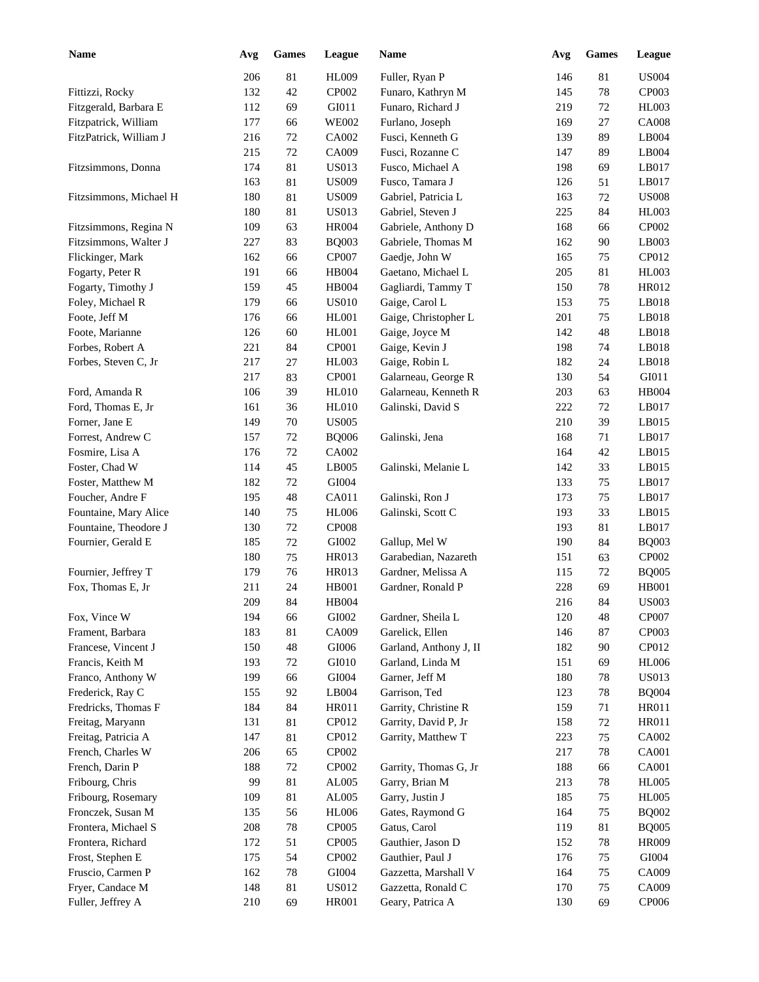| <b>Name</b>                             | Avg        | Games    | League         | <b>Name</b>                                | Avg        | <b>Games</b> | League                |
|-----------------------------------------|------------|----------|----------------|--------------------------------------------|------------|--------------|-----------------------|
|                                         | 206        | 81       | HL009          | Fuller, Ryan P                             | 146        | 81           | <b>US004</b>          |
| Fittizzi, Rocky                         | 132        | 42       | CP002          | Funaro, Kathryn M                          | 145        | 78           | CP003                 |
| Fitzgerald, Barbara E                   | 112        | 69       | GI011          | Funaro, Richard J                          | 219        | 72           | HL003                 |
| Fitzpatrick, William                    | 177        | 66       | <b>WE002</b>   | Furlano, Joseph                            | 169        | $27\,$       | <b>CA008</b>          |
| FitzPatrick, William J                  | 216        | 72       | CA002          | Fusci, Kenneth G                           | 139        | 89           | LB004                 |
|                                         | 215        | $72\,$   | CA009          | Fusci, Rozanne C                           | 147        | 89           | LB004                 |
| Fitzsimmons, Donna                      | 174        | 81       | <b>US013</b>   | Fusco, Michael A                           | 198        | 69           | LB017                 |
|                                         | 163        | 81       | <b>US009</b>   | Fusco, Tamara J                            | 126        | 51           | LB017                 |
| Fitzsimmons, Michael H                  | 180        | 81       | <b>US009</b>   | Gabriel, Patricia L                        | 163        | 72           | <b>US008</b>          |
|                                         | 180        | 81       | <b>US013</b>   | Gabriel, Steven J                          | 225        | 84           | <b>HL003</b>          |
| Fitzsimmons, Regina N                   | 109        | 63       | <b>HR004</b>   | Gabriele, Anthony D                        | 168        | 66           | CP002                 |
| Fitzsimmons, Walter J                   | 227        | 83       | <b>BQ003</b>   | Gabriele, Thomas M                         | 162        | 90           | LB003                 |
| Flickinger, Mark                        | 162        | 66       | CP007          | Gaedje, John W                             | 165        | 75           | CP012                 |
| Fogarty, Peter R                        | 191        | 66       | HB004          | Gaetano, Michael L                         | 205        | 81           | <b>HL003</b>          |
| Fogarty, Timothy J                      | 159        | 45       | HB004          | Gagliardi, Tammy T                         | 150        | 78           | HR012                 |
| Foley, Michael R                        | 179        | 66       | <b>US010</b>   | Gaige, Carol L                             | 153        | 75           | LB018                 |
| Foote, Jeff M                           | 176        | 66       | HL001          | Gaige, Christopher L                       | 201        | 75           | LB018                 |
| Foote, Marianne                         | 126        | 60       | <b>HL001</b>   | Gaige, Joyce M                             | 142        | 48           | LB018                 |
| Forbes, Robert A                        | 221        | 84       | CP001          | Gaige, Kevin J                             | 198        | 74           | LB018                 |
| Forbes, Steven C, Jr                    | 217        | 27       | <b>HL003</b>   | Gaige, Robin L                             | 182        | 24           | LB018                 |
|                                         | 217        | 83       | CP001          | Galarneau, George R                        | 130        | 54           | GI011                 |
| Ford, Amanda R                          | 106        | 39       | <b>HL010</b>   | Galarneau, Kenneth R                       | 203        | 63           | <b>HB004</b>          |
| Ford, Thomas E, Jr                      | 161        | 36       | <b>HL010</b>   | Galinski, David S                          | 222        | 72           | LB017                 |
| Forner, Jane E                          | 149        | 70       | <b>US005</b>   |                                            | 210        | 39           | LB015                 |
| Forrest, Andrew C                       | 157        | 72       | <b>BQ006</b>   | Galinski, Jena                             | 168        | 71           | LB017                 |
| Fosmire, Lisa A                         | 176        | $72\,$   | CA002          |                                            | 164        | 42           | LB015                 |
| Foster, Chad W                          | 114        | 45       | LB005          | Galinski, Melanie L                        | 142        | 33           | LB015                 |
| Foster, Matthew M                       | 182        | $72\,$   | GI004          |                                            | 133        | 75           | LB017                 |
| Foucher, Andre F                        | 195        | 48       | CA011          | Galinski, Ron J                            | 173        | 75           | LB017                 |
| Fountaine, Mary Alice                   | 140        | 75       | <b>HL006</b>   | Galinski, Scott C                          | 193        | 33           | LB015                 |
| Fountaine, Theodore J                   | 130        | $72\,$   | <b>CP008</b>   |                                            | 193        | 81           | LB017                 |
| Fournier, Gerald E                      | 185        | $72\,$   | GI002          | Gallup, Mel W                              | 190        | 84           | <b>BQ003</b>          |
|                                         | 180        | 75       | HR013          | Garabedian, Nazareth                       | 151        | 63           | CP002                 |
| Fournier, Jeffrey T                     | 179        | 76       | HR013          | Gardner, Melissa A                         | 115        | 72           | <b>BQ005</b>          |
| Fox, Thomas E, Jr                       | 211        | 24       | <b>HB001</b>   | Gardner, Ronald P                          | 228        | 69           | <b>HB001</b>          |
|                                         | 209        | 84       | HB004          |                                            | 216        | 84           | <b>US003</b>          |
|                                         |            |          |                |                                            |            |              |                       |
| Fox, Vince W                            | 194<br>183 | 66       | GI002          | Gardner, Sheila L                          | 120        | 48           | CP007<br>CP003        |
| Frament, Barbara                        |            | 81<br>48 | CA009          | Garelick, Ellen                            | 146        | 87           |                       |
| Francese, Vincent J<br>Francis, Keith M | 150<br>193 |          | GI006<br>GI010 | Garland, Anthony J, II<br>Garland, Linda M | 182<br>151 | 90           | CP012<br><b>HL006</b> |
|                                         |            | 72       |                |                                            |            | 69           | <b>US013</b>          |
| Franco, Anthony W<br>Frederick, Ray C   | 199        | 66       | GI004<br>LB004 | Garner, Jeff M<br>Garrison, Ted            | 180        | 78           |                       |
| Fredricks, Thomas F                     | 155<br>184 | 92<br>84 | HR011          | Garrity, Christine R                       | 123<br>159 | 78<br>71     | <b>BQ004</b><br>HR011 |
|                                         |            |          |                |                                            |            |              |                       |
| Freitag, Maryann                        | 131        | 81       | CP012<br>CP012 | Garrity, David P, Jr                       | 158        | 72           | HR011                 |
| Freitag, Patricia A                     | 147        | 81       |                | Garrity, Matthew T                         | 223        | 75           | CA002                 |
| French, Charles W                       | 206        | 65       | CP002          |                                            | 217        | 78           | CA001                 |
| French, Darin P                         | 188        | $72\,$   | CP002          | Garrity, Thomas G, Jr                      | 188        | 66           | CA001                 |
| Fribourg, Chris                         | 99         | 81       | AL005          | Garry, Brian M                             | 213        | 78           | <b>HL005</b>          |
| Fribourg, Rosemary                      | 109        | 81       | AL005          | Garry, Justin J                            | 185        | 75           | <b>HL005</b>          |
| Fronczek, Susan M                       | 135        | 56       | <b>HL006</b>   | Gates, Raymond G                           | 164        | 75           | <b>BQ002</b>          |
| Frontera, Michael S                     | 208        | $78\,$   | CP005          | Gatus, Carol                               | 119        | 81           | <b>BQ005</b>          |
| Frontera, Richard                       | 172        | 51       | CP005          | Gauthier, Jason D                          | 152        | 78           | <b>HR009</b>          |
| Frost, Stephen E                        | 175        | 54       | CP002          | Gauthier, Paul J                           | 176        | 75           | GI004                 |
| Fruscio, Carmen P                       | 162        | $78\,$   | GI004          | Gazzetta, Marshall V                       | 164        | 75           | CA009                 |
| Fryer, Candace M                        | 148        | 81       | <b>US012</b>   | Gazzetta, Ronald C                         | 170        | 75           | CA009                 |
| Fuller, Jeffrey A                       | 210        | 69       | HR001          | Geary, Patrica A                           | 130        | 69           | CP006                 |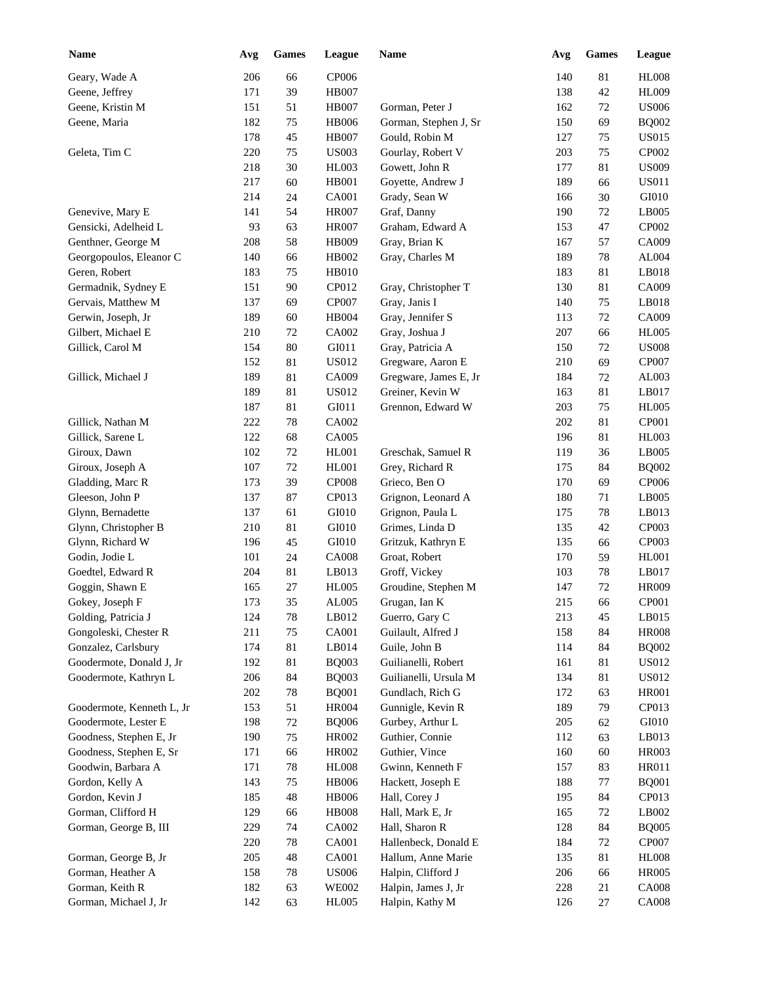| <b>Name</b>                         | Avg | <b>Games</b> | League                | Name                                  | Avg | <b>Games</b> | League                |
|-------------------------------------|-----|--------------|-----------------------|---------------------------------------|-----|--------------|-----------------------|
| Geary, Wade A                       | 206 | 66           | CP006                 |                                       | 140 | 81           | <b>HL008</b>          |
| Geene, Jeffrey                      | 171 | 39           | <b>HB007</b>          |                                       | 138 | 42           | <b>HL009</b>          |
| Geene, Kristin M                    | 151 | 51           | <b>HB007</b>          | Gorman, Peter J                       | 162 | 72           | <b>US006</b>          |
| Geene, Maria                        | 182 | 75           | <b>HB006</b>          | Gorman, Stephen J, Sr                 | 150 | 69           | <b>BQ002</b>          |
|                                     | 178 | 45           | <b>HB007</b>          | Gould, Robin M                        | 127 | 75           | <b>US015</b>          |
| Geleta, Tim C                       | 220 | 75           | <b>US003</b>          | Gourlay, Robert V                     | 203 | 75           | CP002                 |
|                                     | 218 | 30           | <b>HL003</b>          | Gowett, John R                        | 177 | 81           | <b>US009</b>          |
|                                     | 217 | 60           | HB001                 | Goyette, Andrew J                     | 189 | 66           | <b>US011</b>          |
|                                     | 214 | 24           | <b>CA001</b>          | Grady, Sean W                         | 166 | 30           | GI010                 |
| Genevive, Mary E                    | 141 | 54           | <b>HR007</b>          | Graf, Danny                           | 190 | 72           | LB005                 |
| Gensicki, Adelheid L                | 93  | 63           | <b>HR007</b>          | Graham, Edward A                      | 153 | 47           | CP002                 |
| Genthner, George M                  | 208 | 58           | <b>HB009</b>          | Gray, Brian K                         | 167 | 57           | CA009                 |
| Georgopoulos, Eleanor C             | 140 | 66           | HB002                 | Gray, Charles M                       | 189 | 78           | AL004                 |
| Geren, Robert                       | 183 | 75           | <b>HB010</b>          |                                       | 183 | 81           | LB018                 |
| Germadnik, Sydney E                 | 151 | 90           | CP012                 | Gray, Christopher T                   | 130 | 81           | CA009                 |
| Gervais, Matthew M                  | 137 | 69           | CP007                 | Gray, Janis I                         | 140 | 75           | LB018                 |
| Gerwin, Joseph, Jr                  | 189 | 60           | <b>HB004</b>          | Gray, Jennifer S                      | 113 | 72           | CA009                 |
| Gilbert, Michael E                  | 210 | 72           | CA002                 | Gray, Joshua J                        | 207 | 66           | <b>HL005</b>          |
| Gillick, Carol M                    | 154 | 80           | GI011                 | Gray, Patricia A                      | 150 | 72           | <b>US008</b>          |
|                                     | 152 | 81           | <b>US012</b>          | Gregware, Aaron E                     | 210 | 69           | CP007                 |
| Gillick, Michael J                  | 189 | 81           | CA009                 | Gregware, James E, Jr                 | 184 | 72           | AL003                 |
|                                     | 189 | 81           | <b>US012</b>          | Greiner, Kevin W                      | 163 | 81           | LB017                 |
|                                     | 187 | 81           | GI011                 | Grennon, Edward W                     | 203 | 75           | <b>HL005</b>          |
| Gillick, Nathan M                   | 222 | 78           | CA002                 |                                       | 202 | 81           | CP001                 |
| Gillick, Sarene L                   | 122 | 68           | CA005                 |                                       | 196 | 81           | <b>HL003</b>          |
| Giroux, Dawn                        | 102 | 72           | <b>HL001</b>          | Greschak, Samuel R                    | 119 | 36           | LB005                 |
| Giroux, Joseph A                    | 107 |              |                       |                                       |     |              |                       |
|                                     | 173 | 72           | <b>HL001</b>          | Grey, Richard R                       | 175 | 84<br>69     | <b>BQ002</b>          |
| Gladding, Marc R<br>Gleeson, John P | 137 | 39           | <b>CP008</b><br>CP013 | Grieco, Ben O                         | 170 |              | <b>CP006</b><br>LB005 |
|                                     |     | 87           |                       | Grignon, Leonard A                    | 180 | 71           |                       |
| Glynn, Bernadette                   | 137 | 61           | GI010                 | Grignon, Paula L                      | 175 | 78           | LB013                 |
| Glynn, Christopher B                | 210 | 81           | GI010                 | Grimes, Linda D                       | 135 | 42           | CP003                 |
| Glynn, Richard W                    | 196 | 45           | GI010                 | Gritzuk, Kathryn E                    | 135 | 66           | CP003                 |
| Godin, Jodie L                      | 101 | 24           | <b>CA008</b>          | Groat, Robert                         | 170 | 59           | HL001                 |
| Goedtel, Edward R                   | 204 | 81           | LB013                 | Groff, Vickey                         | 103 | 78           | LB017                 |
| Goggin, Shawn E                     | 165 | 27           | <b>HL005</b>          | Groudine, Stephen M                   | 147 | 72           | <b>HR009</b>          |
| Gokey, Joseph F                     | 173 | 35           | AL005                 | Grugan, Ian K                         | 215 | 66           | CP001                 |
| Golding, Patricia J                 | 124 | 78           | LB012                 | Guerro, Gary C                        | 213 | 45           | LB015                 |
| Gongoleski, Chester R               | 211 | 75           | CA001                 | Guilault, Alfred J                    | 158 | 84           | <b>HR008</b>          |
| Gonzalez, Carlsbury                 | 174 | 81           | LB014                 | Guile, John B                         | 114 | 84           | <b>BQ002</b>          |
| Goodermote, Donald J, Jr            | 192 | 81           | <b>BQ003</b>          | Guilianelli, Robert                   | 161 | 81           | <b>US012</b>          |
| Goodermote, Kathryn L               | 206 | 84           | <b>BQ003</b>          | Guilianelli, Ursula M                 | 134 | 81           | <b>US012</b>          |
| Goodermote, Kenneth L, Jr           | 202 | $78\,$       | <b>BQ001</b>          | Gundlach, Rich G                      | 172 | 63           | <b>HR001</b>          |
| Goodermote, Lester E                | 153 | 51           | <b>HR004</b>          | Gunnigle, Kevin R<br>Gurbey, Arthur L | 189 | 79           | CP013                 |
|                                     | 198 | 72           | <b>BQ006</b>          |                                       | 205 | 62           | GI010                 |
| Goodness, Stephen E, Jr             | 190 | 75           | HR002                 | Guthier, Connie                       | 112 | 63           | LB013                 |
| Goodness, Stephen E, Sr             | 171 | 66           | HR002                 | Guthier, Vince                        | 160 | 60           | <b>HR003</b>          |
| Goodwin, Barbara A                  | 171 | 78           | <b>HL008</b>          | Gwinn, Kenneth F                      | 157 | 83           | HR011                 |
| Gordon, Kelly A                     | 143 | 75           | <b>HB006</b>          | Hackett, Joseph E                     | 188 | 77           | <b>BQ001</b>          |
| Gordon, Kevin J                     | 185 | 48           | <b>HB006</b>          | Hall, Corey J                         | 195 | 84           | CP013                 |
| Gorman, Clifford H                  | 129 | 66           | <b>HB008</b>          | Hall, Mark E, Jr                      | 165 | 72           | LB002                 |
| Gorman, George B, III               | 229 | 74           | CA002                 | Hall, Sharon R                        | 128 | 84           | <b>BQ005</b>          |
|                                     | 220 | $78\,$       | CA001                 | Hallenbeck, Donald E                  | 184 | 72           | CP007                 |
| Gorman, George B, Jr                | 205 | 48           | CA001                 | Hallum, Anne Marie                    | 135 | 81           | <b>HL008</b>          |
| Gorman, Heather A                   | 158 | 78           | <b>US006</b>          | Halpin, Clifford J                    | 206 | 66           | <b>HR005</b>          |
| Gorman, Keith R                     | 182 | 63           | <b>WE002</b>          | Halpin, James J, Jr                   | 228 | 21           | <b>CA008</b>          |
| Gorman, Michael J, Jr               | 142 | 63           | <b>HL005</b>          | Halpin, Kathy M                       | 126 | $27\,$       | <b>CA008</b>          |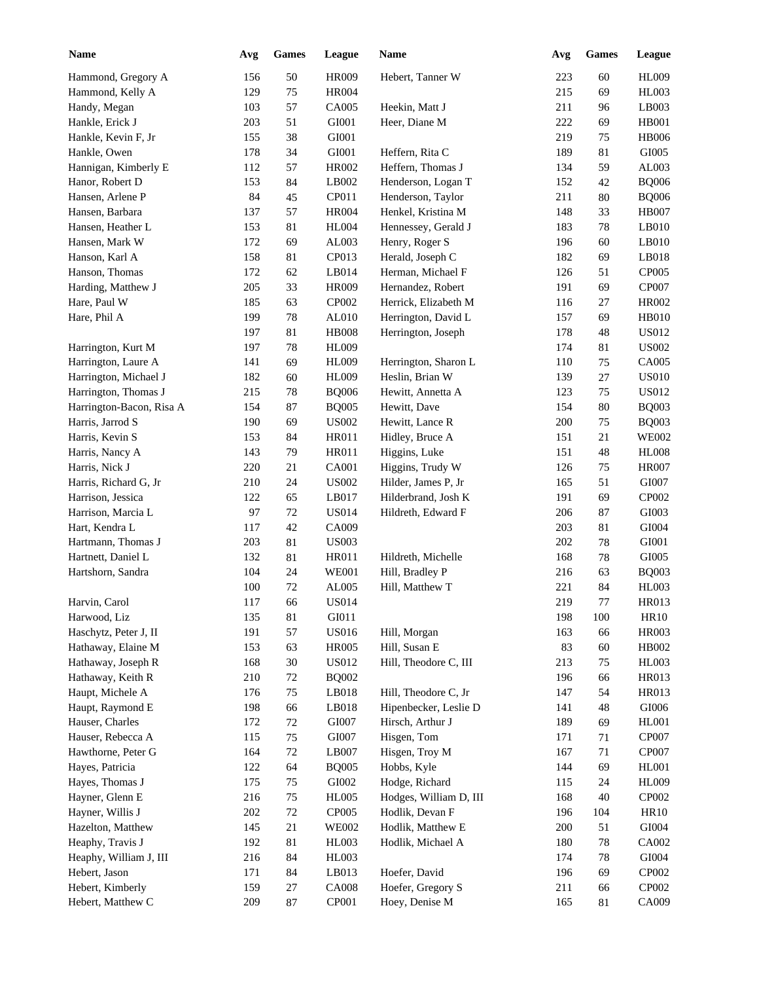| Avg | <b>Games</b>                                                                                                                                                                                                                       | League                                                                                                                                                                                                                                               | <b>Name</b>                                                                                                                                                                                                                                                                                                                                                                                                                                                                                              | Avg                                                                                                                                                                                                                                                                                                                                                                                                                                                                                                                                                                                                                                                                                                                                   | <b>Games</b>                                                                                                                                                                                                                                            | League                                                                                                                                                                                                                |
|-----|------------------------------------------------------------------------------------------------------------------------------------------------------------------------------------------------------------------------------------|------------------------------------------------------------------------------------------------------------------------------------------------------------------------------------------------------------------------------------------------------|----------------------------------------------------------------------------------------------------------------------------------------------------------------------------------------------------------------------------------------------------------------------------------------------------------------------------------------------------------------------------------------------------------------------------------------------------------------------------------------------------------|---------------------------------------------------------------------------------------------------------------------------------------------------------------------------------------------------------------------------------------------------------------------------------------------------------------------------------------------------------------------------------------------------------------------------------------------------------------------------------------------------------------------------------------------------------------------------------------------------------------------------------------------------------------------------------------------------------------------------------------|---------------------------------------------------------------------------------------------------------------------------------------------------------------------------------------------------------------------------------------------------------|-----------------------------------------------------------------------------------------------------------------------------------------------------------------------------------------------------------------------|
| 156 | 50                                                                                                                                                                                                                                 | <b>HR009</b>                                                                                                                                                                                                                                         | Hebert, Tanner W                                                                                                                                                                                                                                                                                                                                                                                                                                                                                         | 223                                                                                                                                                                                                                                                                                                                                                                                                                                                                                                                                                                                                                                                                                                                                   | 60                                                                                                                                                                                                                                                      | <b>HL009</b>                                                                                                                                                                                                          |
| 129 | 75                                                                                                                                                                                                                                 | <b>HR004</b>                                                                                                                                                                                                                                         |                                                                                                                                                                                                                                                                                                                                                                                                                                                                                                          | 215                                                                                                                                                                                                                                                                                                                                                                                                                                                                                                                                                                                                                                                                                                                                   | 69                                                                                                                                                                                                                                                      | HL003                                                                                                                                                                                                                 |
| 103 | 57                                                                                                                                                                                                                                 | CA005                                                                                                                                                                                                                                                | Heekin, Matt J                                                                                                                                                                                                                                                                                                                                                                                                                                                                                           | 211                                                                                                                                                                                                                                                                                                                                                                                                                                                                                                                                                                                                                                                                                                                                   | 96                                                                                                                                                                                                                                                      | LB003                                                                                                                                                                                                                 |
| 203 | 51                                                                                                                                                                                                                                 | GI001                                                                                                                                                                                                                                                | Heer, Diane M                                                                                                                                                                                                                                                                                                                                                                                                                                                                                            | 222                                                                                                                                                                                                                                                                                                                                                                                                                                                                                                                                                                                                                                                                                                                                   | 69                                                                                                                                                                                                                                                      | <b>HB001</b>                                                                                                                                                                                                          |
| 155 | 38                                                                                                                                                                                                                                 | GI001                                                                                                                                                                                                                                                |                                                                                                                                                                                                                                                                                                                                                                                                                                                                                                          | 219                                                                                                                                                                                                                                                                                                                                                                                                                                                                                                                                                                                                                                                                                                                                   | 75                                                                                                                                                                                                                                                      | <b>HB006</b>                                                                                                                                                                                                          |
| 178 | 34                                                                                                                                                                                                                                 | GI001                                                                                                                                                                                                                                                | Heffern, Rita C                                                                                                                                                                                                                                                                                                                                                                                                                                                                                          | 189                                                                                                                                                                                                                                                                                                                                                                                                                                                                                                                                                                                                                                                                                                                                   | 81                                                                                                                                                                                                                                                      | GI005                                                                                                                                                                                                                 |
| 112 | 57                                                                                                                                                                                                                                 | HR002                                                                                                                                                                                                                                                | Heffern, Thomas J                                                                                                                                                                                                                                                                                                                                                                                                                                                                                        | 134                                                                                                                                                                                                                                                                                                                                                                                                                                                                                                                                                                                                                                                                                                                                   | 59                                                                                                                                                                                                                                                      | AL003                                                                                                                                                                                                                 |
| 153 |                                                                                                                                                                                                                                    | LB002                                                                                                                                                                                                                                                |                                                                                                                                                                                                                                                                                                                                                                                                                                                                                                          | 152                                                                                                                                                                                                                                                                                                                                                                                                                                                                                                                                                                                                                                                                                                                                   | 42                                                                                                                                                                                                                                                      | <b>BQ006</b>                                                                                                                                                                                                          |
| 84  |                                                                                                                                                                                                                                    | CP011                                                                                                                                                                                                                                                |                                                                                                                                                                                                                                                                                                                                                                                                                                                                                                          | 211                                                                                                                                                                                                                                                                                                                                                                                                                                                                                                                                                                                                                                                                                                                                   | 80                                                                                                                                                                                                                                                      | <b>BQ006</b>                                                                                                                                                                                                          |
|     |                                                                                                                                                                                                                                    |                                                                                                                                                                                                                                                      |                                                                                                                                                                                                                                                                                                                                                                                                                                                                                                          |                                                                                                                                                                                                                                                                                                                                                                                                                                                                                                                                                                                                                                                                                                                                       |                                                                                                                                                                                                                                                         | <b>HB007</b>                                                                                                                                                                                                          |
|     |                                                                                                                                                                                                                                    |                                                                                                                                                                                                                                                      |                                                                                                                                                                                                                                                                                                                                                                                                                                                                                                          |                                                                                                                                                                                                                                                                                                                                                                                                                                                                                                                                                                                                                                                                                                                                       |                                                                                                                                                                                                                                                         | LB010                                                                                                                                                                                                                 |
| 172 |                                                                                                                                                                                                                                    |                                                                                                                                                                                                                                                      |                                                                                                                                                                                                                                                                                                                                                                                                                                                                                                          |                                                                                                                                                                                                                                                                                                                                                                                                                                                                                                                                                                                                                                                                                                                                       |                                                                                                                                                                                                                                                         | LB010                                                                                                                                                                                                                 |
|     |                                                                                                                                                                                                                                    |                                                                                                                                                                                                                                                      |                                                                                                                                                                                                                                                                                                                                                                                                                                                                                                          |                                                                                                                                                                                                                                                                                                                                                                                                                                                                                                                                                                                                                                                                                                                                       |                                                                                                                                                                                                                                                         | LB018                                                                                                                                                                                                                 |
|     |                                                                                                                                                                                                                                    |                                                                                                                                                                                                                                                      |                                                                                                                                                                                                                                                                                                                                                                                                                                                                                                          |                                                                                                                                                                                                                                                                                                                                                                                                                                                                                                                                                                                                                                                                                                                                       |                                                                                                                                                                                                                                                         | CP005                                                                                                                                                                                                                 |
|     |                                                                                                                                                                                                                                    |                                                                                                                                                                                                                                                      |                                                                                                                                                                                                                                                                                                                                                                                                                                                                                                          |                                                                                                                                                                                                                                                                                                                                                                                                                                                                                                                                                                                                                                                                                                                                       |                                                                                                                                                                                                                                                         | CP007                                                                                                                                                                                                                 |
| 185 |                                                                                                                                                                                                                                    |                                                                                                                                                                                                                                                      |                                                                                                                                                                                                                                                                                                                                                                                                                                                                                                          |                                                                                                                                                                                                                                                                                                                                                                                                                                                                                                                                                                                                                                                                                                                                       |                                                                                                                                                                                                                                                         | <b>HR002</b>                                                                                                                                                                                                          |
| 199 |                                                                                                                                                                                                                                    |                                                                                                                                                                                                                                                      |                                                                                                                                                                                                                                                                                                                                                                                                                                                                                                          |                                                                                                                                                                                                                                                                                                                                                                                                                                                                                                                                                                                                                                                                                                                                       |                                                                                                                                                                                                                                                         | HB010                                                                                                                                                                                                                 |
|     |                                                                                                                                                                                                                                    |                                                                                                                                                                                                                                                      |                                                                                                                                                                                                                                                                                                                                                                                                                                                                                                          |                                                                                                                                                                                                                                                                                                                                                                                                                                                                                                                                                                                                                                                                                                                                       |                                                                                                                                                                                                                                                         | <b>US012</b>                                                                                                                                                                                                          |
|     |                                                                                                                                                                                                                                    |                                                                                                                                                                                                                                                      |                                                                                                                                                                                                                                                                                                                                                                                                                                                                                                          |                                                                                                                                                                                                                                                                                                                                                                                                                                                                                                                                                                                                                                                                                                                                       |                                                                                                                                                                                                                                                         | <b>US002</b>                                                                                                                                                                                                          |
|     |                                                                                                                                                                                                                                    |                                                                                                                                                                                                                                                      |                                                                                                                                                                                                                                                                                                                                                                                                                                                                                                          |                                                                                                                                                                                                                                                                                                                                                                                                                                                                                                                                                                                                                                                                                                                                       |                                                                                                                                                                                                                                                         | CA005                                                                                                                                                                                                                 |
|     |                                                                                                                                                                                                                                    |                                                                                                                                                                                                                                                      |                                                                                                                                                                                                                                                                                                                                                                                                                                                                                                          |                                                                                                                                                                                                                                                                                                                                                                                                                                                                                                                                                                                                                                                                                                                                       |                                                                                                                                                                                                                                                         | <b>US010</b>                                                                                                                                                                                                          |
|     |                                                                                                                                                                                                                                    |                                                                                                                                                                                                                                                      |                                                                                                                                                                                                                                                                                                                                                                                                                                                                                                          |                                                                                                                                                                                                                                                                                                                                                                                                                                                                                                                                                                                                                                                                                                                                       |                                                                                                                                                                                                                                                         | <b>US012</b>                                                                                                                                                                                                          |
|     |                                                                                                                                                                                                                                    |                                                                                                                                                                                                                                                      |                                                                                                                                                                                                                                                                                                                                                                                                                                                                                                          |                                                                                                                                                                                                                                                                                                                                                                                                                                                                                                                                                                                                                                                                                                                                       |                                                                                                                                                                                                                                                         | <b>BQ003</b>                                                                                                                                                                                                          |
|     |                                                                                                                                                                                                                                    |                                                                                                                                                                                                                                                      |                                                                                                                                                                                                                                                                                                                                                                                                                                                                                                          |                                                                                                                                                                                                                                                                                                                                                                                                                                                                                                                                                                                                                                                                                                                                       |                                                                                                                                                                                                                                                         | <b>BQ003</b>                                                                                                                                                                                                          |
|     |                                                                                                                                                                                                                                    |                                                                                                                                                                                                                                                      |                                                                                                                                                                                                                                                                                                                                                                                                                                                                                                          |                                                                                                                                                                                                                                                                                                                                                                                                                                                                                                                                                                                                                                                                                                                                       |                                                                                                                                                                                                                                                         | <b>WE002</b>                                                                                                                                                                                                          |
|     |                                                                                                                                                                                                                                    |                                                                                                                                                                                                                                                      |                                                                                                                                                                                                                                                                                                                                                                                                                                                                                                          |                                                                                                                                                                                                                                                                                                                                                                                                                                                                                                                                                                                                                                                                                                                                       |                                                                                                                                                                                                                                                         | <b>HL008</b>                                                                                                                                                                                                          |
|     |                                                                                                                                                                                                                                    |                                                                                                                                                                                                                                                      |                                                                                                                                                                                                                                                                                                                                                                                                                                                                                                          |                                                                                                                                                                                                                                                                                                                                                                                                                                                                                                                                                                                                                                                                                                                                       |                                                                                                                                                                                                                                                         | <b>HR007</b>                                                                                                                                                                                                          |
|     |                                                                                                                                                                                                                                    |                                                                                                                                                                                                                                                      |                                                                                                                                                                                                                                                                                                                                                                                                                                                                                                          |                                                                                                                                                                                                                                                                                                                                                                                                                                                                                                                                                                                                                                                                                                                                       |                                                                                                                                                                                                                                                         | GI007                                                                                                                                                                                                                 |
|     |                                                                                                                                                                                                                                    |                                                                                                                                                                                                                                                      |                                                                                                                                                                                                                                                                                                                                                                                                                                                                                                          |                                                                                                                                                                                                                                                                                                                                                                                                                                                                                                                                                                                                                                                                                                                                       |                                                                                                                                                                                                                                                         | CP002                                                                                                                                                                                                                 |
|     |                                                                                                                                                                                                                                    |                                                                                                                                                                                                                                                      |                                                                                                                                                                                                                                                                                                                                                                                                                                                                                                          |                                                                                                                                                                                                                                                                                                                                                                                                                                                                                                                                                                                                                                                                                                                                       |                                                                                                                                                                                                                                                         |                                                                                                                                                                                                                       |
|     |                                                                                                                                                                                                                                    |                                                                                                                                                                                                                                                      |                                                                                                                                                                                                                                                                                                                                                                                                                                                                                                          |                                                                                                                                                                                                                                                                                                                                                                                                                                                                                                                                                                                                                                                                                                                                       |                                                                                                                                                                                                                                                         | GI003                                                                                                                                                                                                                 |
|     |                                                                                                                                                                                                                                    |                                                                                                                                                                                                                                                      |                                                                                                                                                                                                                                                                                                                                                                                                                                                                                                          |                                                                                                                                                                                                                                                                                                                                                                                                                                                                                                                                                                                                                                                                                                                                       |                                                                                                                                                                                                                                                         | GI004                                                                                                                                                                                                                 |
|     |                                                                                                                                                                                                                                    |                                                                                                                                                                                                                                                      |                                                                                                                                                                                                                                                                                                                                                                                                                                                                                                          |                                                                                                                                                                                                                                                                                                                                                                                                                                                                                                                                                                                                                                                                                                                                       |                                                                                                                                                                                                                                                         | GI001                                                                                                                                                                                                                 |
|     |                                                                                                                                                                                                                                    |                                                                                                                                                                                                                                                      |                                                                                                                                                                                                                                                                                                                                                                                                                                                                                                          |                                                                                                                                                                                                                                                                                                                                                                                                                                                                                                                                                                                                                                                                                                                                       |                                                                                                                                                                                                                                                         | GI005                                                                                                                                                                                                                 |
|     |                                                                                                                                                                                                                                    |                                                                                                                                                                                                                                                      |                                                                                                                                                                                                                                                                                                                                                                                                                                                                                                          |                                                                                                                                                                                                                                                                                                                                                                                                                                                                                                                                                                                                                                                                                                                                       |                                                                                                                                                                                                                                                         | <b>BQ003</b>                                                                                                                                                                                                          |
|     |                                                                                                                                                                                                                                    |                                                                                                                                                                                                                                                      |                                                                                                                                                                                                                                                                                                                                                                                                                                                                                                          |                                                                                                                                                                                                                                                                                                                                                                                                                                                                                                                                                                                                                                                                                                                                       |                                                                                                                                                                                                                                                         | <b>HL003</b>                                                                                                                                                                                                          |
|     |                                                                                                                                                                                                                                    |                                                                                                                                                                                                                                                      |                                                                                                                                                                                                                                                                                                                                                                                                                                                                                                          |                                                                                                                                                                                                                                                                                                                                                                                                                                                                                                                                                                                                                                                                                                                                       |                                                                                                                                                                                                                                                         | HR013                                                                                                                                                                                                                 |
|     |                                                                                                                                                                                                                                    |                                                                                                                                                                                                                                                      |                                                                                                                                                                                                                                                                                                                                                                                                                                                                                                          |                                                                                                                                                                                                                                                                                                                                                                                                                                                                                                                                                                                                                                                                                                                                       |                                                                                                                                                                                                                                                         | <b>HR10</b>                                                                                                                                                                                                           |
|     |                                                                                                                                                                                                                                    |                                                                                                                                                                                                                                                      |                                                                                                                                                                                                                                                                                                                                                                                                                                                                                                          |                                                                                                                                                                                                                                                                                                                                                                                                                                                                                                                                                                                                                                                                                                                                       |                                                                                                                                                                                                                                                         | <b>HR003</b>                                                                                                                                                                                                          |
|     |                                                                                                                                                                                                                                    |                                                                                                                                                                                                                                                      |                                                                                                                                                                                                                                                                                                                                                                                                                                                                                                          |                                                                                                                                                                                                                                                                                                                                                                                                                                                                                                                                                                                                                                                                                                                                       |                                                                                                                                                                                                                                                         | HB002                                                                                                                                                                                                                 |
|     |                                                                                                                                                                                                                                    |                                                                                                                                                                                                                                                      |                                                                                                                                                                                                                                                                                                                                                                                                                                                                                                          |                                                                                                                                                                                                                                                                                                                                                                                                                                                                                                                                                                                                                                                                                                                                       |                                                                                                                                                                                                                                                         | HL003                                                                                                                                                                                                                 |
|     |                                                                                                                                                                                                                                    |                                                                                                                                                                                                                                                      |                                                                                                                                                                                                                                                                                                                                                                                                                                                                                                          |                                                                                                                                                                                                                                                                                                                                                                                                                                                                                                                                                                                                                                                                                                                                       |                                                                                                                                                                                                                                                         | HR013                                                                                                                                                                                                                 |
|     |                                                                                                                                                                                                                                    |                                                                                                                                                                                                                                                      |                                                                                                                                                                                                                                                                                                                                                                                                                                                                                                          |                                                                                                                                                                                                                                                                                                                                                                                                                                                                                                                                                                                                                                                                                                                                       |                                                                                                                                                                                                                                                         | HR013                                                                                                                                                                                                                 |
|     |                                                                                                                                                                                                                                    |                                                                                                                                                                                                                                                      |                                                                                                                                                                                                                                                                                                                                                                                                                                                                                                          |                                                                                                                                                                                                                                                                                                                                                                                                                                                                                                                                                                                                                                                                                                                                       |                                                                                                                                                                                                                                                         | $\rm GIO06$                                                                                                                                                                                                           |
|     |                                                                                                                                                                                                                                    |                                                                                                                                                                                                                                                      |                                                                                                                                                                                                                                                                                                                                                                                                                                                                                                          |                                                                                                                                                                                                                                                                                                                                                                                                                                                                                                                                                                                                                                                                                                                                       |                                                                                                                                                                                                                                                         | <b>HL001</b>                                                                                                                                                                                                          |
| 115 |                                                                                                                                                                                                                                    |                                                                                                                                                                                                                                                      |                                                                                                                                                                                                                                                                                                                                                                                                                                                                                                          | 171                                                                                                                                                                                                                                                                                                                                                                                                                                                                                                                                                                                                                                                                                                                                   | 71                                                                                                                                                                                                                                                      | CP007                                                                                                                                                                                                                 |
|     |                                                                                                                                                                                                                                    |                                                                                                                                                                                                                                                      |                                                                                                                                                                                                                                                                                                                                                                                                                                                                                                          | 167                                                                                                                                                                                                                                                                                                                                                                                                                                                                                                                                                                                                                                                                                                                                   | 71                                                                                                                                                                                                                                                      | CP007                                                                                                                                                                                                                 |
| 122 |                                                                                                                                                                                                                                    |                                                                                                                                                                                                                                                      |                                                                                                                                                                                                                                                                                                                                                                                                                                                                                                          |                                                                                                                                                                                                                                                                                                                                                                                                                                                                                                                                                                                                                                                                                                                                       |                                                                                                                                                                                                                                                         | <b>HL001</b>                                                                                                                                                                                                          |
| 175 | 75                                                                                                                                                                                                                                 | GI002                                                                                                                                                                                                                                                |                                                                                                                                                                                                                                                                                                                                                                                                                                                                                                          | 115                                                                                                                                                                                                                                                                                                                                                                                                                                                                                                                                                                                                                                                                                                                                   | 24                                                                                                                                                                                                                                                      | <b>HL009</b>                                                                                                                                                                                                          |
| 216 | 75                                                                                                                                                                                                                                 | <b>HL005</b>                                                                                                                                                                                                                                         | Hodges, William D, III                                                                                                                                                                                                                                                                                                                                                                                                                                                                                   | 168                                                                                                                                                                                                                                                                                                                                                                                                                                                                                                                                                                                                                                                                                                                                   | 40                                                                                                                                                                                                                                                      | CP002                                                                                                                                                                                                                 |
| 202 | $72\,$                                                                                                                                                                                                                             | CP005                                                                                                                                                                                                                                                | Hodlik, Devan F                                                                                                                                                                                                                                                                                                                                                                                                                                                                                          | 196                                                                                                                                                                                                                                                                                                                                                                                                                                                                                                                                                                                                                                                                                                                                   | 104                                                                                                                                                                                                                                                     | <b>HR10</b>                                                                                                                                                                                                           |
| 145 | 21                                                                                                                                                                                                                                 | <b>WE002</b>                                                                                                                                                                                                                                         | Hodlik, Matthew E                                                                                                                                                                                                                                                                                                                                                                                                                                                                                        | 200                                                                                                                                                                                                                                                                                                                                                                                                                                                                                                                                                                                                                                                                                                                                   | 51                                                                                                                                                                                                                                                      | GI004                                                                                                                                                                                                                 |
| 192 | 81                                                                                                                                                                                                                                 | HL003                                                                                                                                                                                                                                                | Hodlik, Michael A                                                                                                                                                                                                                                                                                                                                                                                                                                                                                        | 180                                                                                                                                                                                                                                                                                                                                                                                                                                                                                                                                                                                                                                                                                                                                   | 78                                                                                                                                                                                                                                                      | CA002                                                                                                                                                                                                                 |
| 216 | 84                                                                                                                                                                                                                                 | HL003                                                                                                                                                                                                                                                |                                                                                                                                                                                                                                                                                                                                                                                                                                                                                                          | 174                                                                                                                                                                                                                                                                                                                                                                                                                                                                                                                                                                                                                                                                                                                                   | 78                                                                                                                                                                                                                                                      | GI004                                                                                                                                                                                                                 |
| 171 | 84                                                                                                                                                                                                                                 | LB013                                                                                                                                                                                                                                                | Hoefer, David                                                                                                                                                                                                                                                                                                                                                                                                                                                                                            | 196                                                                                                                                                                                                                                                                                                                                                                                                                                                                                                                                                                                                                                                                                                                                   | 69                                                                                                                                                                                                                                                      | CP002                                                                                                                                                                                                                 |
| 159 | 27                                                                                                                                                                                                                                 | <b>CA008</b>                                                                                                                                                                                                                                         | Hoefer, Gregory S                                                                                                                                                                                                                                                                                                                                                                                                                                                                                        | 211                                                                                                                                                                                                                                                                                                                                                                                                                                                                                                                                                                                                                                                                                                                                   | 66                                                                                                                                                                                                                                                      | CP002                                                                                                                                                                                                                 |
| 209 | 87                                                                                                                                                                                                                                 | CP001                                                                                                                                                                                                                                                | Hoey, Denise M                                                                                                                                                                                                                                                                                                                                                                                                                                                                                           | 165                                                                                                                                                                                                                                                                                                                                                                                                                                                                                                                                                                                                                                                                                                                                   | 81                                                                                                                                                                                                                                                      | CA009                                                                                                                                                                                                                 |
|     | 137<br>153<br>158<br>172<br>205<br>197<br>197<br>141<br>182<br>215<br>154<br>190<br>153<br>143<br>220<br>210<br>122<br>97<br>117<br>203<br>132<br>104<br>100<br>117<br>135<br>191<br>153<br>168<br>210<br>176<br>198<br>172<br>164 | 84<br>45<br>57<br>81<br>69<br>81<br>62<br>33<br>63<br>78<br>81<br>78<br>69<br>60<br>78<br>87<br>69<br>84<br>79<br>21<br>24<br>65<br>72<br>42<br>81<br>81<br>24<br>$72\,$<br>66<br>81<br>57<br>63<br>$30\,$<br>72<br>75<br>66<br>72<br>75<br>72<br>64 | <b>HR004</b><br><b>HL004</b><br>AL003<br>CP013<br>LB014<br><b>HR009</b><br>CP002<br>AL010<br><b>HB008</b><br>HL009<br>HL009<br><b>HL009</b><br><b>BQ006</b><br><b>BQ005</b><br>$\ensuremath{\mathrm{USO02}}$<br>HR011<br><b>HR011</b><br>CA001<br><b>US002</b><br>LB017<br><b>US014</b><br>CA009<br><b>US003</b><br>HR011<br><b>WE001</b><br>AL005<br><b>US014</b><br>GI011<br><b>US016</b><br><b>HR005</b><br><b>US012</b><br><b>BQ002</b><br>LB018<br>LB018<br>GI007<br>GI007<br>LB007<br><b>BQ005</b> | Henderson, Logan T<br>Henderson, Taylor<br>Henkel, Kristina M<br>Hennessey, Gerald J<br>Henry, Roger S<br>Herald, Joseph C<br>Herman, Michael F<br>Hernandez, Robert<br>Herrick, Elizabeth M<br>Herrington, David L<br>Herrington, Joseph<br>Herrington, Sharon L<br>Heslin, Brian W<br>Hewitt, Annetta A<br>Hewitt, Dave<br>Hewitt, Lance R<br>Hidley, Bruce A<br>Higgins, Luke<br>Higgins, Trudy W<br>Hilder, James P, Jr<br>Hilderbrand, Josh K<br>Hildreth, Edward F<br>Hildreth, Michelle<br>Hill, Bradley P<br>Hill, Matthew T<br>Hill, Morgan<br>Hill, Susan E<br>Hill, Theodore C, III<br>Hill, Theodore C, Jr<br>Hipenbecker, Leslie D<br>Hirsch, Arthur J<br>Hisgen, Tom<br>Hisgen, Troy M<br>Hobbs, Kyle<br>Hodge, Richard | 148<br>183<br>196<br>182<br>126<br>191<br>116<br>157<br>178<br>174<br>110<br>139<br>123<br>154<br>200<br>151<br>151<br>126<br>165<br>191<br>206<br>203<br>202<br>168<br>216<br>221<br>219<br>198<br>163<br>83<br>213<br>196<br>147<br>141<br>189<br>144 | 33<br>78<br>60<br>69<br>51<br>69<br>27<br>69<br>48<br>81<br>75<br>27<br>75<br>80<br>75<br>21<br>48<br>75<br>51<br>69<br>87<br>81<br>78<br>78<br>63<br>84<br>77<br>100<br>66<br>60<br>75<br>66<br>54<br>48<br>69<br>69 |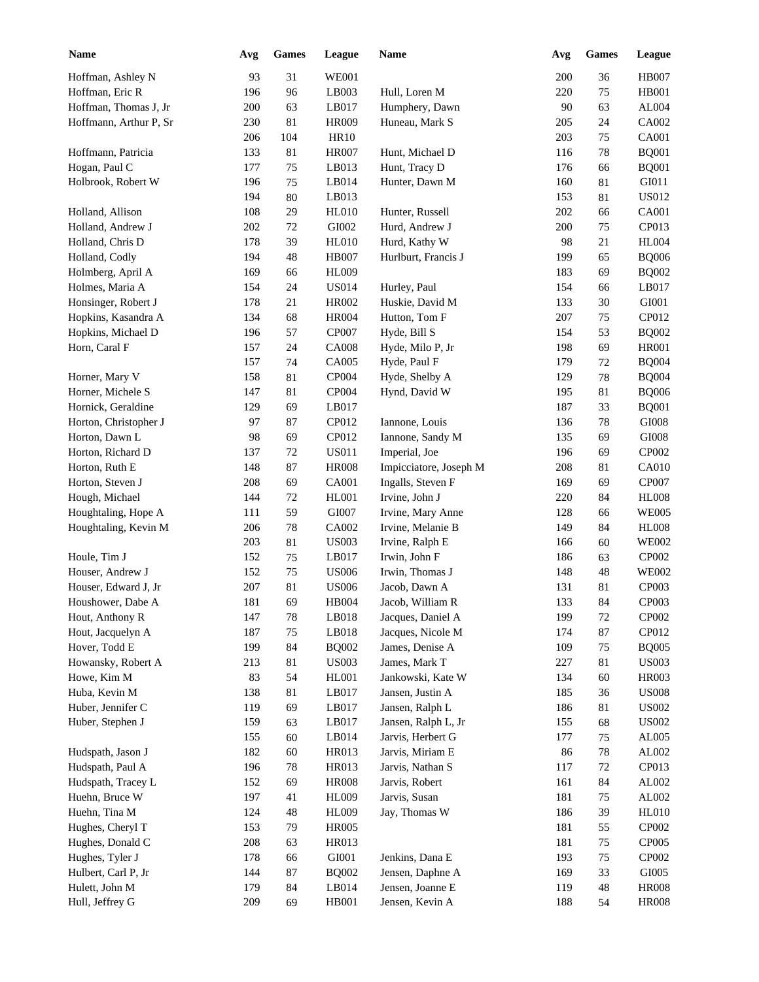| <b>Name</b>                       | Avg        | <b>Games</b> | League                       | Name                              | Avg        | <b>Games</b> | League                       |
|-----------------------------------|------------|--------------|------------------------------|-----------------------------------|------------|--------------|------------------------------|
| Hoffman, Ashley N                 | 93         | 31           | <b>WE001</b>                 |                                   | 200        | 36           | <b>HB007</b>                 |
| Hoffman, Eric R                   | 196        | 96           | LB003                        | Hull, Loren M                     | 220        | 75           | <b>HB001</b>                 |
| Hoffman, Thomas J, Jr             | 200        | 63           | LB017                        | Humphery, Dawn                    | 90         | 63           | AL004                        |
| Hoffmann, Arthur P, Sr            | 230        | 81           | <b>HR009</b>                 | Huneau, Mark S                    | 205        | 24           | CA002                        |
|                                   | 206        | 104          | HR10                         |                                   | 203        | 75           | <b>CA001</b>                 |
| Hoffmann, Patricia                | 133        | 81           | <b>HR007</b>                 | Hunt, Michael D                   | 116        | 78           | <b>BQ001</b>                 |
| Hogan, Paul C                     | 177        | 75           | LB013                        | Hunt, Tracy D                     | 176        | 66           | <b>BQ001</b>                 |
| Holbrook, Robert W                | 196        | 75           | LB014                        | Hunter, Dawn M                    | 160        | 81           | GI011                        |
|                                   | 194        | 80           | LB013                        |                                   | 153        | 81           | <b>US012</b>                 |
| Holland, Allison                  | 108        | 29           | <b>HL010</b>                 | Hunter, Russell                   | 202        | 66           | <b>CA001</b>                 |
| Holland, Andrew J                 | 202        | 72           | GI002                        | Hurd, Andrew J                    | 200        | 75           | CP013                        |
| Holland, Chris D                  | 178        | 39           | HL010                        | Hurd, Kathy W                     | 98         | 21           | <b>HL004</b>                 |
| Holland, Codly                    | 194        | 48           | <b>HB007</b>                 | Hurlburt, Francis J               | 199        | 65           | <b>BQ006</b>                 |
| Holmberg, April A                 | 169        | 66           | <b>HL009</b>                 |                                   | 183        | 69           | <b>BQ002</b>                 |
| Holmes, Maria A                   | 154        | 24           | <b>US014</b>                 | Hurley, Paul                      | 154        | 66           | LB017                        |
| Honsinger, Robert J               | 178        | 21           | HR002                        | Huskie, David M                   | 133        | 30           | GI001                        |
| Hopkins, Kasandra A               | 134        | 68           | <b>HR004</b>                 | Hutton, Tom F                     | 207        | 75           | CP012                        |
| Hopkins, Michael D                | 196        | 57           | <b>CP007</b>                 | Hyde, Bill S                      | 154        | 53           | <b>BQ002</b>                 |
| Horn, Caral F                     | 157        | 24           | <b>CA008</b>                 | Hyde, Milo P, Jr                  | 198        | 69           | <b>HR001</b>                 |
|                                   | 157        | 74           | CA005                        | Hyde, Paul F                      | 179        | 72           | <b>BQ004</b>                 |
| Horner, Mary V                    | 158        | 81           | CP004                        | Hyde, Shelby A                    | 129        | 78           | <b>BQ004</b>                 |
| Horner, Michele S                 | 147        | 81           | CP004                        | Hynd, David W                     | 195        | 81           | <b>BQ006</b>                 |
| Hornick, Geraldine                | 129        | 69           | LB017                        |                                   | 187        | 33           | <b>BQ001</b>                 |
| Horton, Christopher J             | 97         | 87           | CP012                        | Iannone, Louis                    | 136        | 78           | $\rm GIO08$                  |
| Horton, Dawn L                    | 98         | 69           | CP012                        | Iannone, Sandy M                  | 135        | 69           | $\rm GIO08$                  |
| Horton, Richard D                 | 137        | 72           | <b>US011</b>                 | Imperial, Joe                     | 196        | 69           | CP002                        |
| Horton, Ruth E                    | 148        | 87           | <b>HR008</b>                 | Impicciatore, Joseph M            | 208        | 81           | <b>CA010</b>                 |
| Horton, Steven J                  | 208        | 69           | CA001                        | Ingalls, Steven F                 | 169        | 69           | CP007                        |
| Hough, Michael                    | 144        | 72           | HL001                        | Irvine, John J                    | 220        | 84           | <b>HL008</b>                 |
| Houghtaling, Hope A               | 111        | 59           | GI007                        | Irvine, Mary Anne                 | 128        | 66           | <b>WE005</b>                 |
| Houghtaling, Kevin M              | 206        | 78           | CA002                        | Irvine, Melanie B                 | 149        | 84           | <b>HL008</b>                 |
|                                   | 203        | 81           | <b>US003</b>                 |                                   | 166        | 60           | <b>WE002</b>                 |
|                                   |            |              |                              | Irvine, Ralph E                   |            |              |                              |
| Houle, Tim J                      | 152<br>152 | 75<br>75     | LB017<br><b>US006</b>        | Irwin, John F                     | 186        | 63           | CP002<br><b>WE002</b>        |
| Houser, Andrew J                  | 207        | 81           | <b>US006</b>                 | Irwin, Thomas J                   | 148<br>131 | 48<br>81     | CP003                        |
| Houser, Edward J, Jr              | 181        | 69           | $\rm HB004$                  | Jacob, Dawn A<br>Jacob, William R | 133        | 84           | CP003                        |
| Houshower, Dabe A                 |            |              |                              | Jacques, Daniel A                 |            |              |                              |
| Hout, Anthony R                   | 147        | 78<br>75     | LB018                        |                                   | 199        | 72           | CP002<br>CP012               |
| Hout, Jacquelyn A                 | 187        |              | LB018                        | Jacques, Nicole M                 | 174        | 87           |                              |
| Hover, Todd E                     | 199<br>213 | 84           | <b>BQ002</b><br><b>US003</b> | James, Denise A<br>James, Mark T  | 109<br>227 | 75           | <b>BQ005</b><br><b>US003</b> |
| Howansky, Robert A<br>Howe, Kim M | 83         | 81<br>54     | <b>HL001</b>                 | Jankowski, Kate W                 | 134        | 81<br>60     | <b>HR003</b>                 |
| Huba, Kevin M                     | 138        | $81\,$       | LB017                        | Jansen, Justin A                  | 185        | 36           | <b>US008</b>                 |
| Huber, Jennifer C                 | 119        | 69           | LB017                        |                                   | 186        | 81           | <b>US002</b>                 |
|                                   | 159        |              | LB017                        | Jansen, Ralph L                   | 155        |              | <b>US002</b>                 |
| Huber, Stephen J                  |            | 63           |                              | Jansen, Ralph L, Jr               |            | 68           |                              |
|                                   | 155        | 60           | LB014                        | Jarvis, Herbert G                 | 177        | $75\,$       | AL005                        |
| Hudspath, Jason J                 | 182        | 60           | HR013                        | Jarvis, Miriam E                  | 86         | $78\,$       | ${\rm AL}002$                |
| Hudspath, Paul A                  | 196        | $78\,$       | HR013                        | Jarvis, Nathan S                  | 117        | $72\,$       | CP013                        |
| Hudspath, Tracey L                | 152        | 69           | <b>HR008</b>                 | Jarvis, Robert                    | 161        | 84           | ${\rm AL}002$                |
| Huehn, Bruce W                    | 197        | 41           | HL009                        | Jarvis, Susan                     | 181        | $75\,$       | ${\rm AL}002$                |
| Huehn, Tina M                     | 124        | $\sqrt{48}$  | HL009                        | Jay, Thomas W                     | 186        | 39           | <b>HL010</b>                 |
| Hughes, Cheryl T                  | 153        | 79           | <b>HR005</b>                 |                                   | 181        | 55           | CP002                        |
| Hughes, Donald C                  | 208        | 63           | HR013                        |                                   | 181        | $75\,$       | CP005                        |
| Hughes, Tyler J                   | 178        | 66           | ${\rm GIO}01$                | Jenkins, Dana E                   | 193        | $75\,$       | CP002                        |
| Hulbert, Carl P, Jr               | 144        | 87           | <b>BQ002</b>                 | Jensen, Daphne A                  | 169        | 33           | GI005                        |
| Hulett, John M                    | 179        | $\bf 84$     | LB014                        | Jensen, Joanne E                  | 119        | 48           | <b>HR008</b>                 |
| Hull, Jeffrey G                   | 209        | 69           | HB001                        | Jensen, Kevin A                   | 188        | 54           | <b>HR008</b>                 |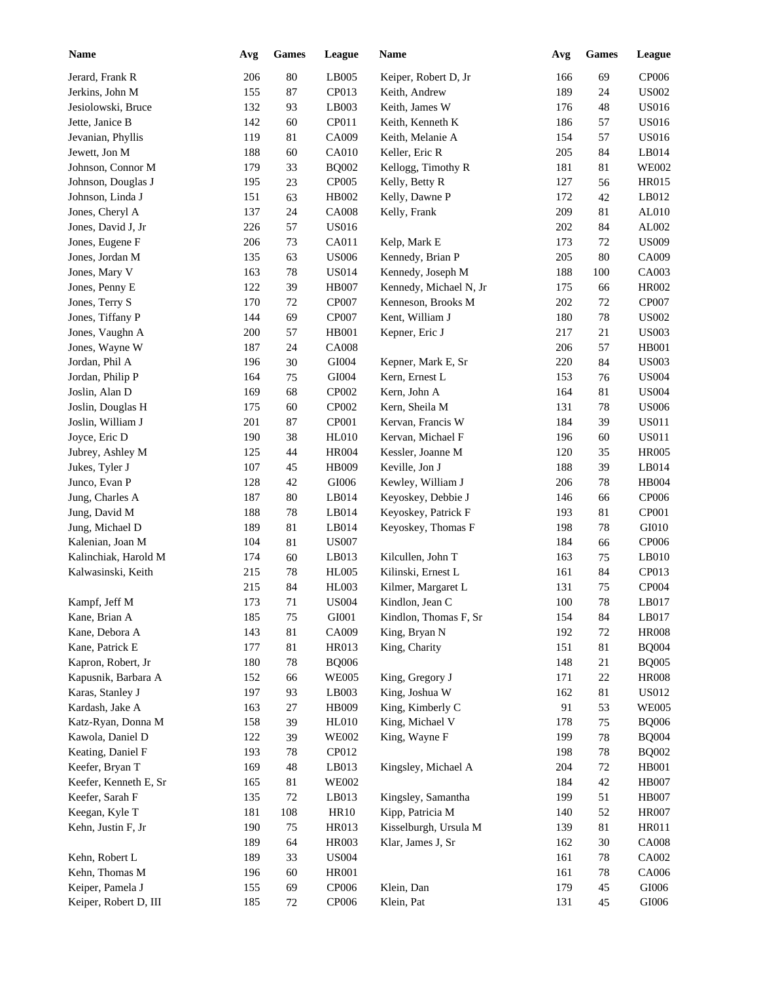| <b>Name</b>           | Avg | Games       | League       | Name                   | Avg     | <b>Games</b> | League       |
|-----------------------|-----|-------------|--------------|------------------------|---------|--------------|--------------|
| Jerard, Frank R       | 206 | 80          | LB005        | Keiper, Robert D, Jr   | 166     | 69           | CP006        |
| Jerkins, John M       | 155 | 87          | CP013        | Keith, Andrew          | 189     | 24           | <b>US002</b> |
| Jesiolowski, Bruce    | 132 | 93          | LB003        | Keith, James W         | 176     | 48           | <b>US016</b> |
| Jette, Janice B       | 142 | 60          | CP011        | Keith, Kenneth K       | 186     | 57           | <b>US016</b> |
| Jevanian, Phyllis     | 119 | 81          | CA009        | Keith, Melanie A       | 154     | 57           | <b>US016</b> |
| Jewett, Jon M         | 188 | 60          | <b>CA010</b> | Keller, Eric R         | 205     | 84           | LB014        |
| Johnson, Connor M     | 179 | 33          | <b>BQ002</b> | Kellogg, Timothy R     | 181     | 81           | <b>WE002</b> |
| Johnson, Douglas J    | 195 | 23          | CP005        | Kelly, Betty R         | 127     | 56           | <b>HR015</b> |
| Johnson, Linda J      | 151 | 63          | HB002        | Kelly, Dawne P         | 172     | 42           | LB012        |
| Jones, Cheryl A       | 137 | 24          | <b>CA008</b> | Kelly, Frank           | 209     | 81           | AL010        |
| Jones, David J, Jr    | 226 | 57          | <b>US016</b> |                        | 202     | 84           | AL002        |
| Jones, Eugene F       | 206 | 73          | CA011        | Kelp, Mark E           | 173     | 72           | <b>US009</b> |
| Jones, Jordan M       | 135 | 63          | <b>US006</b> | Kennedy, Brian P       | 205     | 80           | CA009        |
| Jones, Mary V         | 163 | 78          | <b>US014</b> | Kennedy, Joseph M      | 188     | 100          | CA003        |
| Jones, Penny E        | 122 | 39          | <b>HB007</b> | Kennedy, Michael N, Jr | 175     | 66           | <b>HR002</b> |
| Jones, Terry S        | 170 | 72          | <b>CP007</b> | Kenneson, Brooks M     | 202     | 72           | CP007        |
| Jones, Tiffany P      | 144 | 69          | <b>CP007</b> | Kent, William J        | 180     | 78           | <b>US002</b> |
| Jones, Vaughn A       | 200 | 57          | <b>HB001</b> | Kepner, Eric J         | 217     | 21           | <b>US003</b> |
| Jones, Wayne W        | 187 | 24          | <b>CA008</b> |                        | 206     | 57           | <b>HB001</b> |
| Jordan, Phil A        | 196 | 30          | GI004        | Kepner, Mark E, Sr     | 220     | 84           | <b>US003</b> |
| Jordan, Philip P      | 164 | 75          | GI004        | Kern, Ernest L         | 153     | 76           | <b>US004</b> |
| Joslin, Alan D        | 169 | 68          | CP002        | Kern, John A           | 164     | 81           | <b>US004</b> |
| Joslin, Douglas H     | 175 | 60          | CP002        | Kern, Sheila M         | 131     | 78           | <b>US006</b> |
| Joslin, William J     | 201 | 87          | CP001        | Kervan, Francis W      | 184     | 39           | <b>US011</b> |
| Joyce, Eric D         | 190 | 38          | <b>HL010</b> | Kervan, Michael F      | 196     | 60           | <b>US011</b> |
| Jubrey, Ashley M      | 125 | 44          | <b>HR004</b> | Kessler, Joanne M      | 120     | 35           | <b>HR005</b> |
| Jukes, Tyler J        | 107 | 45          | HB009        | Keville, Jon J         | 188     | 39           | LB014        |
|                       |     |             |              |                        |         |              |              |
| Junco, Evan P         | 128 | 42          | GI006        | Kewley, William J      | 206     | 78           | <b>HB004</b> |
| Jung, Charles A       | 187 | 80          | LB014        | Keyoskey, Debbie J     | 146     | 66           | CP006        |
| Jung, David M         | 188 | 78          | LB014        | Keyoskey, Patrick F    | 193     | 81           | CP001        |
| Jung, Michael D       | 189 | 81          | LB014        | Keyoskey, Thomas F     | 198     | 78           | GI010        |
| Kalenian, Joan M      | 104 | 81          | <b>US007</b> |                        | 184     | 66           | CP006        |
| Kalinchiak, Harold M  | 174 | 60          | LB013        | Kilcullen, John T      | 163     | 75           | LB010        |
| Kalwasinski, Keith    | 215 | 78          | HL005        | Kilinski, Ernest L     | 161     | 84           | CP013        |
|                       | 215 | 84          | <b>HL003</b> | Kilmer, Margaret L     | 131     | 75           | CP004        |
| Kampf, Jeff M         | 173 | $71\,$      | <b>US004</b> | Kindlon, Jean C        | $100\,$ | $78\,$       | LB017        |
| Kane, Brian A         | 185 | 75          | GI001        | Kindlon, Thomas F, Sr  | 154     | 84           | LB017        |
| Kane, Debora A        | 143 | 81          | CA009        | King, Bryan N          | 192     | $72\,$       | <b>HR008</b> |
| Kane, Patrick E       | 177 | 81          | HR013        | King, Charity          | 151     | 81           | <b>BQ004</b> |
| Kapron, Robert, Jr    | 180 | 78          | <b>BQ006</b> |                        | 148     | 21           | <b>BQ005</b> |
| Kapusnik, Barbara A   | 152 | 66          | <b>WE005</b> | King, Gregory J        | 171     | $22\,$       | <b>HR008</b> |
| Karas, Stanley J      | 197 | 93          | LB003        | King, Joshua W         | 162     | 81           | <b>US012</b> |
| Kardash, Jake A       | 163 | 27          | HB009        | King, Kimberly C       | 91      | 53           | <b>WE005</b> |
| Katz-Ryan, Donna M    | 158 | 39          | <b>HL010</b> | King, Michael V        | 178     | 75           | <b>BQ006</b> |
| Kawola, Daniel D      | 122 | 39          | <b>WE002</b> | King, Wayne F          | 199     | 78           | <b>BQ004</b> |
| Keating, Daniel F     | 193 | $78\,$      | CP012        |                        | 198     | 78           | <b>BQ002</b> |
| Keefer, Bryan T       | 169 | $\sqrt{48}$ | LB013        | Kingsley, Michael A    | 204     | $72\,$       | HB001        |
| Keefer, Kenneth E, Sr | 165 | 81          | <b>WE002</b> |                        | 184     | $42\,$       | <b>HB007</b> |
| Keefer, Sarah F       | 135 | 72          | LB013        | Kingsley, Samantha     | 199     | 51           | <b>HB007</b> |
| Keegan, Kyle T        | 181 | 108         | <b>HR10</b>  | Kipp, Patricia M       | 140     | 52           | <b>HR007</b> |
| Kehn, Justin F, Jr    | 190 | 75          | HR013        | Kisselburgh, Ursula M  | 139     | 81           | HR011        |
|                       | 189 | 64          | HR003        | Klar, James J, Sr      | 162     | $30\,$       | <b>CA008</b> |
| Kehn, Robert L        | 189 | 33          | <b>US004</b> |                        | 161     | 78           | CA002        |
| Kehn, Thomas M        | 196 | 60          | HR001        |                        | 161     | 78           | CA006        |
| Keiper, Pamela J      | 155 | 69          | CP006        | Klein, Dan             | 179     | 45           | $\rm GIO06$  |
| Keiper, Robert D, III | 185 | 72          | CP006        | Klein, Pat             | 131     | 45           | $\rm GIO06$  |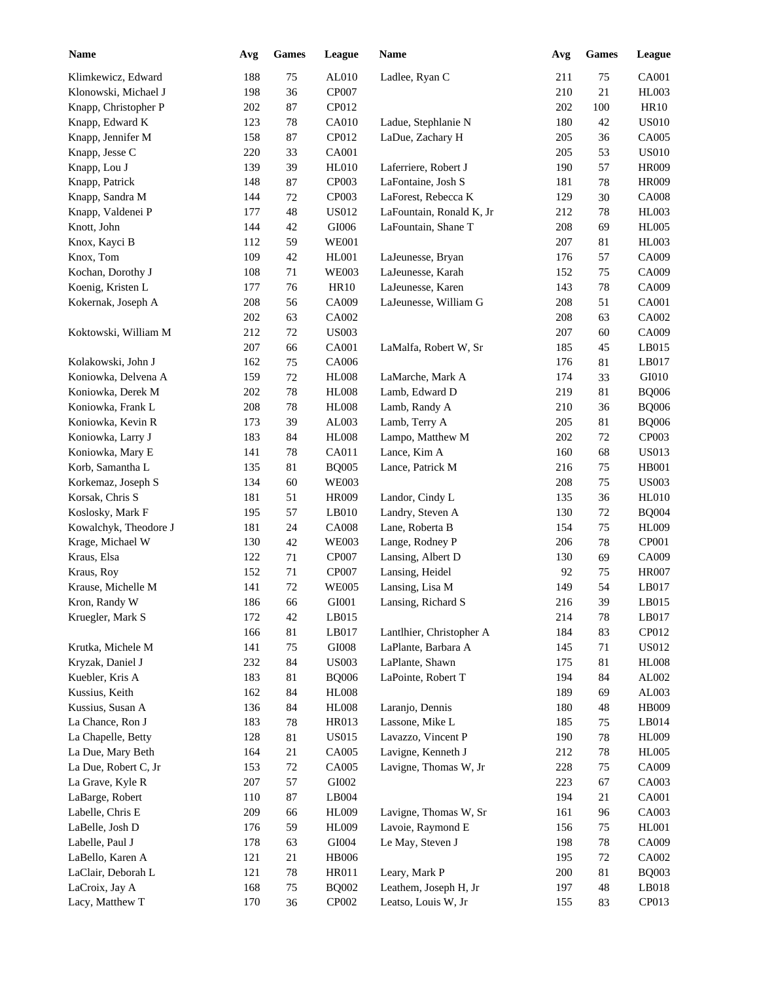| <b>Name</b>           | Avg | Games    | League        | Name                     | Avg        | <b>Games</b> | League       |
|-----------------------|-----|----------|---------------|--------------------------|------------|--------------|--------------|
| Klimkewicz, Edward    | 188 | 75       | AL010         | Ladlee, Ryan C           | 211        | 75           | <b>CA001</b> |
| Klonowski, Michael J  | 198 | 36       | CP007         |                          | 210        | 21           | HL003        |
| Knapp, Christopher P  | 202 | 87       | CP012         |                          | 202        | 100          | <b>HR10</b>  |
| Knapp, Edward K       | 123 | 78       | <b>CA010</b>  | Ladue, Stephlanie N      | 180        | 42           | <b>US010</b> |
| Knapp, Jennifer M     | 158 | 87       | CP012         | LaDue, Zachary H         | 205        | 36           | CA005        |
| Knapp, Jesse C        | 220 | 33       | CA001         |                          | 205        | 53           | <b>US010</b> |
| Knapp, Lou J          | 139 | 39       | <b>HL010</b>  | Laferriere, Robert J     | 190        | 57           | <b>HR009</b> |
| Knapp, Patrick        | 148 | 87       | CP003         | LaFontaine, Josh S       | 181        | 78           | <b>HR009</b> |
| Knapp, Sandra M       | 144 | 72       | CP003         | LaForest, Rebecca K      | 129        | 30           | <b>CA008</b> |
| Knapp, Valdenei P     | 177 | 48       | <b>US012</b>  | LaFountain, Ronald K, Jr | 212        | 78           | <b>HL003</b> |
| Knott, John           | 144 | 42       | GI006         | LaFountain, Shane T      | 208        | 69           | <b>HL005</b> |
| Knox, Kayci B         | 112 | 59       | <b>WE001</b>  |                          | 207        | 81           | <b>HL003</b> |
| Knox, Tom             | 109 | 42       | HL001         | LaJeunesse, Bryan        | 176        | 57           | CA009        |
| Kochan, Dorothy J     | 108 | 71       | <b>WE003</b>  | LaJeunesse, Karah        | 152        | 75           | CA009        |
| Koenig, Kristen L     | 177 | 76       | <b>HR10</b>   | LaJeunesse, Karen        | 143        | 78           | CA009        |
| Kokernak, Joseph A    | 208 | 56       | CA009         | LaJeunesse, William G    | 208        | 51           | CA001        |
|                       | 202 | 63       | CA002         |                          | 208        | 63           | CA002        |
| Koktowski, William M  | 212 | 72       | <b>US003</b>  |                          | 207        | 60           | CA009        |
|                       | 207 | 66       | CA001         | LaMalfa, Robert W, Sr    | 185        | 45           | LB015        |
| Kolakowski, John J    | 162 | 75       | CA006         |                          | 176        | 81           | LB017        |
| Koniowka, Delvena A   | 159 | $72\,$   | <b>HL008</b>  | LaMarche, Mark A         | 174        | 33           | GI010        |
| Koniowka, Derek M     | 202 | 78       | <b>HL008</b>  | Lamb, Edward D           | 219        | 81           | <b>BQ006</b> |
| Koniowka, Frank L     | 208 | 78       | <b>HL008</b>  | Lamb, Randy A            | 210        | 36           | <b>BQ006</b> |
| Koniowka, Kevin R     | 173 | 39       | AL003         | Lamb, Terry A            | 205        | 81           | <b>BQ006</b> |
| Koniowka, Larry J     | 183 | 84       | <b>HL008</b>  | Lampo, Matthew M         | 202        | 72           | CP003        |
| Koniowka, Mary E      | 141 | 78       | CA011         | Lance, Kim A             | 160        | 68           | <b>US013</b> |
| Korb, Samantha L      | 135 | 81       | <b>BQ005</b>  | Lance, Patrick M         | 216        | 75           | <b>HB001</b> |
| Korkemaz, Joseph S    | 134 | 60       | <b>WE003</b>  |                          | 208        | 75           | <b>US003</b> |
| Korsak, Chris S       | 181 | 51       | <b>HR009</b>  | Landor, Cindy L          | 135        | 36           | HL010        |
| Koslosky, Mark F      | 195 | 57       | LB010         | Landry, Steven A         | 130        | 72           | <b>BQ004</b> |
| Kowalchyk, Theodore J | 181 | 24       | <b>CA008</b>  | Lane, Roberta B          | 154        | 75           | <b>HL009</b> |
| Krage, Michael W      | 130 | 42       | <b>WE003</b>  | Lange, Rodney P          | 206        | 78           | CP001        |
| Kraus, Elsa           | 122 | 71       | CP007         | Lansing, Albert D        | 130        | 69           | CA009        |
| Kraus, Roy            | 152 | $71\,$   | CP007         | Lansing, Heidel          | 92         | 75           | <b>HR007</b> |
| Krause, Michelle M    | 141 | $72\,$   | <b>WE005</b>  | Lansing, Lisa M          | 149        | 54           | LB017        |
| Kron, Randy W         | 186 | 66       | ${\rm GIO}01$ | Lansing, Richard S       | $216\,$    | 39           | LB015        |
| Kruegler, Mark S      | 172 | 42       | LB015         |                          | 214        | $78\,$       | LB017        |
|                       | 166 | 81       | LB017         | Lantlhier, Christopher A | 184        | 83           | CP012        |
| Krutka, Michele M     | 141 | 75       | ${\rm GIO}08$ | LaPlante, Barbara A      | 145        | 71           | <b>US012</b> |
| Kryzak, Daniel J      | 232 | $\bf 84$ | <b>US003</b>  | LaPlante, Shawn          | 175        | 81           | $\rm{H}L008$ |
| Kuebler, Kris A       | 183 | $81\,$   | <b>BQ006</b>  | LaPointe, Robert T       | 194        | 84           | AL002        |
| Kussius, Keith        | 162 | $\bf 84$ | <b>HL008</b>  |                          | 189        | 69           | AL003        |
| Kussius, Susan A      | 136 | $\bf 84$ | <b>HL008</b>  | Laranjo, Dennis          | 180        | 48           | HB009        |
| La Chance, Ron J      | 183 | $78\,$   | HR013         | Lassone, Mike L          | 185        | 75           | LB014        |
| La Chapelle, Betty    | 128 | 81       | <b>US015</b>  | Lavazzo, Vincent P       | 190        | 78           | <b>HL009</b> |
| La Due, Mary Beth     | 164 | 21       | CA005         | Lavigne, Kenneth J       | 212        | 78           | <b>HL005</b> |
| La Due, Robert C, Jr  | 153 | 72       | CA005         | Lavigne, Thomas W, Jr    | 228        | 75           | CA009        |
| La Grave, Kyle R      | 207 | 57       | ${\rm GIO}02$ |                          | 223        | 67           | CA003        |
| LaBarge, Robert       | 110 | $87\,$   | LB004         |                          | 194        | 21           | CA001        |
| Labelle, Chris E      | 209 | 66       | HL009         | Lavigne, Thomas W, Sr    |            | 96           | CA003        |
| LaBelle, Josh D       | 176 | 59       | HL009         | Lavoie, Raymond E        | 161<br>156 | 75           | HL001        |
|                       |     |          |               |                          |            |              |              |
| Labelle, Paul J       | 178 | 63       | GI004         | Le May, Steven J         | 198        | 78           | CA009        |
| LaBello, Karen A      | 121 | 21       | <b>HB006</b>  |                          | 195        | 72           | CA002        |
| LaClair, Deborah L    | 121 | $78\,$   | HR011         | Leary, Mark P            | 200        | 81           | <b>BQ003</b> |
| LaCroix, Jay A        | 168 | 75       | <b>BQ002</b>  | Leathem, Joseph H, Jr    | 197        | 48           | LB018        |
| Lacy, Matthew T       | 170 | 36       | CP002         | Leatso, Louis W, Jr      | 155        | 83           | CP013        |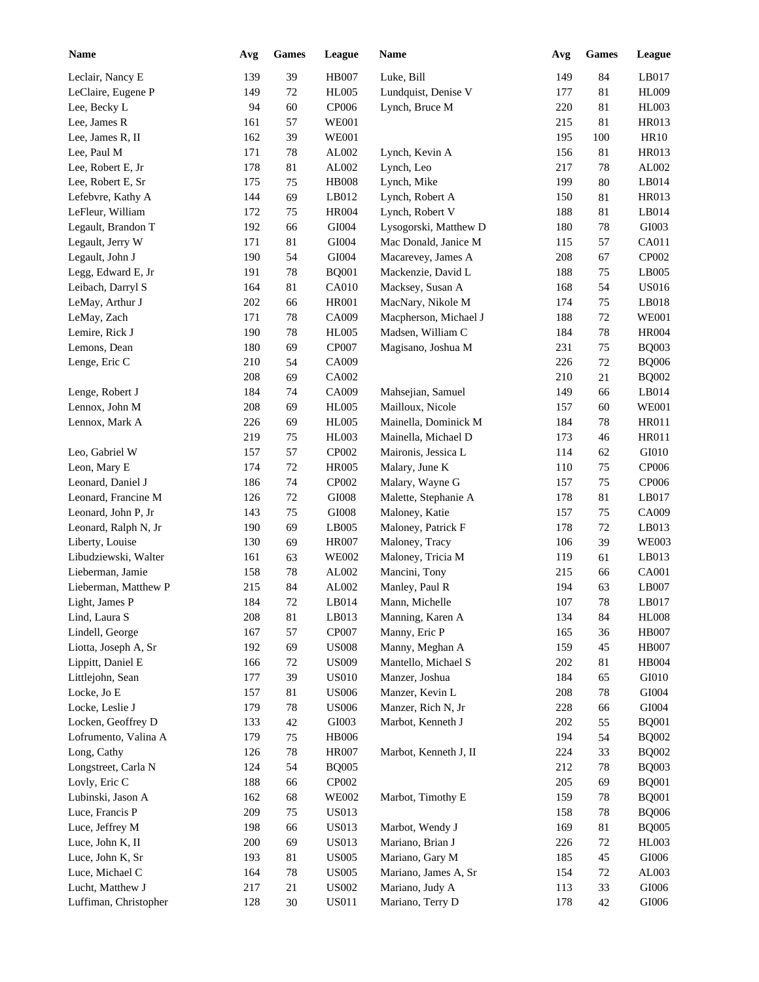| Name                  | Avg | Games  | League       | Name                  | Avg        | <b>Games</b> | League        |
|-----------------------|-----|--------|--------------|-----------------------|------------|--------------|---------------|
| Leclair, Nancy E      | 139 | 39     | <b>HB007</b> | Luke, Bill            | 149        | 84           | LB017         |
| LeClaire, Eugene P    | 149 | 72     | <b>HL005</b> | Lundquist, Denise V   | 177        | 81           | <b>HL009</b>  |
| Lee, Becky L          | 94  | 60     | <b>CP006</b> | Lynch, Bruce M        | 220        | 81           | <b>HL003</b>  |
| Lee, James R          | 161 | 57     | <b>WE001</b> |                       | 215        | 81           | HR013         |
| Lee, James R, II      | 162 | 39     | <b>WE001</b> |                       | 195        | 100          | <b>HR10</b>   |
| Lee, Paul M           | 171 | 78     | AL002        | Lynch, Kevin A        | 156        | 81           | HR013         |
| Lee, Robert E, Jr     | 178 | 81     | AL002        | Lynch, Leo            | 217        | 78           | AL002         |
| Lee, Robert E, Sr     | 175 | 75     | <b>HB008</b> | Lynch, Mike           | 199        | 80           | LB014         |
| Lefebvre, Kathy A     | 144 | 69     | LB012        | Lynch, Robert A       | 150        | 81           | <b>HR013</b>  |
| LeFleur, William      | 172 | 75     | <b>HR004</b> | Lynch, Robert V       | 188        | 81           | LB014         |
| Legault, Brandon T    | 192 | 66     | GI004        | Lysogorski, Matthew D | 180        | 78           | GI003         |
| Legault, Jerry W      | 171 | 81     | GI004        | Mac Donald, Janice M  | 115        | 57           | CA011         |
| Legault, John J       | 190 | 54     | GI004        | Macarevey, James A    | 208        | 67           | CP002         |
| Legg, Edward E, Jr    | 191 | 78     | <b>BQ001</b> | Mackenzie, David L    | 188        | 75           | LB005         |
| Leibach, Darryl S     | 164 | 81     | <b>CA010</b> | Macksey, Susan A      | 168        | 54           | <b>US016</b>  |
| LeMay, Arthur J       | 202 | 66     | <b>HR001</b> | MacNary, Nikole M     | 174        | 75           | LB018         |
| LeMay, Zach           | 171 | 78     | CA009        | Macpherson, Michael J | 188        | 72           | <b>WE001</b>  |
| Lemire, Rick J        | 190 | 78     | <b>HL005</b> | Madsen, William C     | 184        | 78           | <b>HR004</b>  |
| Lemons, Dean          | 180 | 69     | CP007        | Magisano, Joshua M    | 231        | 75           | <b>BQ003</b>  |
| Lenge, Eric C         | 210 | 54     | CA009        |                       | 226        | 72           | <b>BQ006</b>  |
|                       | 208 | 69     | CA002        |                       | 210        | 21           | <b>BQ002</b>  |
| Lenge, Robert J       | 184 | 74     | CA009        | Mahsejian, Samuel     | 149        | 66           | LB014         |
| Lennox, John M        | 208 | 69     | <b>HL005</b> | Mailloux, Nicole      | 157        | 60           | <b>WE001</b>  |
| Lennox, Mark A        | 226 | 69     | <b>HL005</b> | Mainella, Dominick M  | 184        | 78           | <b>HR011</b>  |
|                       | 219 | 75     | HL003        | Mainella, Michael D   | 173        | 46           | <b>HR011</b>  |
| Leo, Gabriel W        | 157 | 57     | CP002        | Maironis, Jessica L   | 114        | 62           | GI010         |
| Leon, Mary E          | 174 | 72     | <b>HR005</b> | Malary, June K        | 110        | 75           | CP006         |
| Leonard, Daniel J     | 186 | 74     | CP002        | Malary, Wayne G       | 157        | 75           | CP006         |
| Leonard, Francine M   | 126 | $72\,$ | GI008        | Malette, Stephanie A  | 178        | $81\,$       | LB017         |
| Leonard, John P, Jr   | 143 | 75     | $\rm GIO08$  | Maloney, Katie        | 157        | 75           | CA009         |
| Leonard, Ralph N, Jr  | 190 | 69     | LB005        | Maloney, Patrick F    | 178        | 72           | LB013         |
| Liberty, Louise       | 130 | 69     | <b>HR007</b> | Maloney, Tracy        | 106        | 39           | <b>WE003</b>  |
| Libudziewski, Walter  | 161 | 63     | <b>WE002</b> | Maloney, Tricia M     | 119        | 61           | LB013         |
| Lieberman, Jamie      | 158 | 78     | AL002        | Mancini, Tony         | 215        | 66           | CA001         |
| Lieberman, Matthew P  | 215 | 84     | AL002        | Manley, Paul R        | 194        | 63           | LB007         |
| Light, James P        | 184 | 72     | LB014        | Mann, Michelle        | $107\,$    | 78           | LB017         |
| Lind, Laura S         | 208 | 81     | LB013        | Manning, Karen A      | 134        | 84           | <b>HL008</b>  |
| Lindell, George       | 167 | 57     | CP007        | Manny, Eric P         |            | 36           | <b>HB007</b>  |
| Liotta, Joseph A, Sr  | 192 | 69     | <b>US008</b> | Manny, Meghan A       | 165<br>159 | 45           | <b>HB007</b>  |
| Lippitt, Daniel E     | 166 | $72\,$ | <b>US009</b> | Mantello, Michael S   | 202        | 81           | HB004         |
| Littlejohn, Sean      | 177 | 39     | <b>US010</b> | Manzer, Joshua        | 184        | 65           | GI010         |
| Locke, Jo E           | 157 | 81     | <b>US006</b> | Manzer, Kevin L       | 208        | 78           | ${\rm GIO}04$ |
| Locke, Leslie J       | 179 | 78     | <b>US006</b> | Manzer, Rich N, Jr    | 228        |              | ${\rm GIO}04$ |
| Locken, Geoffrey D    | 133 |        | GI003        | Marbot, Kenneth J     | 202        | 66           | <b>BQ001</b>  |
| Lofrumento, Valina A  |     | $42\,$ |              |                       |            | 55           |               |
|                       | 179 | 75     | <b>HB006</b> |                       | 194        | 54           | <b>BQ002</b>  |
| Long, Cathy           | 126 | $78\,$ | <b>HR007</b> | Marbot, Kenneth J, II | 224        | 33           | <b>BQ002</b>  |
| Longstreet, Carla N   | 124 | 54     | <b>BQ005</b> |                       | 212        | 78           | <b>BQ003</b>  |
| Lovly, Eric C         | 188 | 66     | CP002        |                       | 205        | 69           | <b>BQ001</b>  |
| Lubinski, Jason A     | 162 | 68     | <b>WE002</b> | Marbot, Timothy E     | 159        | 78           | <b>BQ001</b>  |
| Luce, Francis P       | 209 | 75     | <b>US013</b> |                       | 158        | 78           | <b>BQ006</b>  |
| Luce, Jeffrey M       | 198 | 66     | <b>US013</b> | Marbot, Wendy J       | 169        | 81           | <b>BQ005</b>  |
| Luce, John K, II      | 200 | 69     | <b>US013</b> | Mariano, Brian J      | 226        | $72\,$       | <b>HL003</b>  |
| Luce, John K, Sr      | 193 | 81     | <b>US005</b> | Mariano, Gary M       | 185        | 45           | GI006         |
| Luce, Michael C       | 164 | 78     | <b>US005</b> | Mariano, James A, Sr  | 154        | $72\,$       | AL003         |
| Lucht, Matthew J      | 217 | 21     | <b>US002</b> | Mariano, Judy A       | 113        | 33           | $\rm GIO06$   |
| Luffiman, Christopher | 128 | 30     | <b>US011</b> | Mariano, Terry D      | 178        | 42           | GI006         |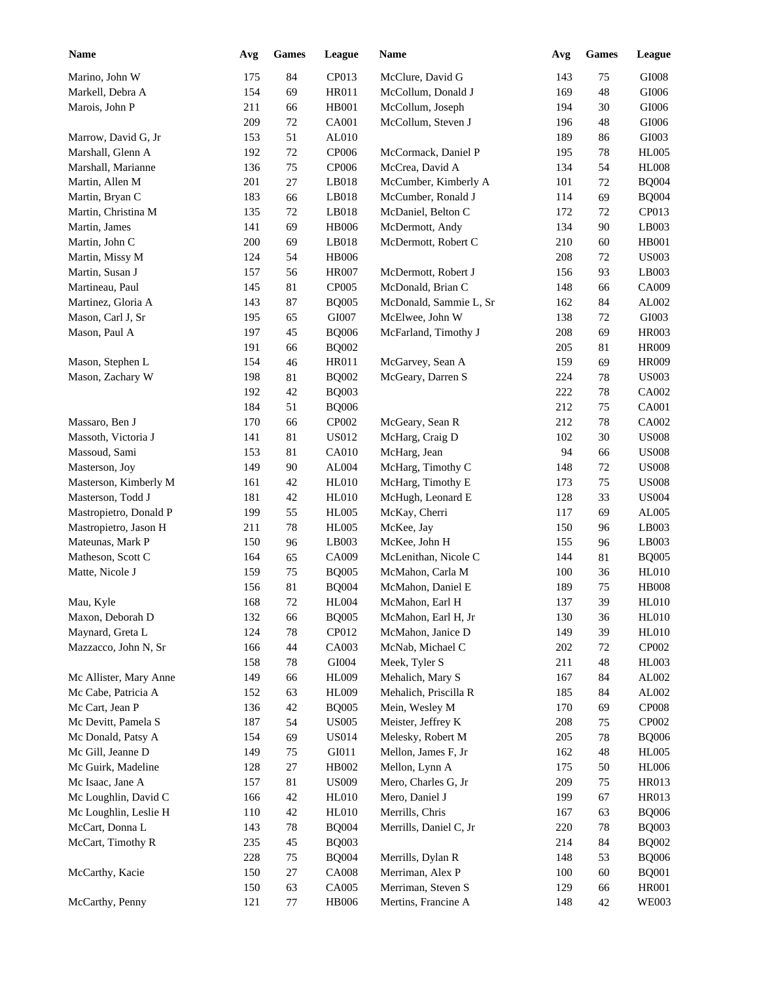| <b>Name</b>                     | Avg | <b>Games</b> | League       | Name                   | Avg | <b>Games</b> | League       |
|---------------------------------|-----|--------------|--------------|------------------------|-----|--------------|--------------|
| Marino, John W                  | 175 | 84           | CP013        | McClure, David G       | 143 | 75           | GI008        |
| Markell, Debra A                | 154 | 69           | HR011        | McCollum, Donald J     | 169 | 48           | GI006        |
| Marois, John P                  | 211 | 66           | HB001        | McCollum, Joseph       | 194 | 30           | GI006        |
|                                 | 209 | 72           | CA001        | McCollum, Steven J     | 196 | 48           | GI006        |
| Marrow, David G, Jr             | 153 | 51           | AL010        |                        | 189 | 86           | GI003        |
| Marshall, Glenn A               | 192 | $72\,$       | CP006        | McCormack, Daniel P    | 195 | 78           | <b>HL005</b> |
| Marshall, Marianne              | 136 | 75           | <b>CP006</b> | McCrea, David A        | 134 | 54           | <b>HL008</b> |
| Martin, Allen M                 | 201 | 27           | LB018        | McCumber, Kimberly A   | 101 | 72           | <b>BQ004</b> |
| Martin, Bryan C                 | 183 | 66           | LB018        | McCumber, Ronald J     | 114 | 69           | <b>BQ004</b> |
| Martin, Christina M             | 135 | 72           | LB018        | McDaniel, Belton C     | 172 | 72           | CP013        |
| Martin, James                   | 141 | 69           | <b>HB006</b> | McDermott, Andy        | 134 | 90           | LB003        |
| Martin, John C                  | 200 | 69           | LB018        | McDermott, Robert C    | 210 | 60           | <b>HB001</b> |
| Martin, Missy M                 | 124 | 54           | <b>HB006</b> |                        | 208 | 72           | <b>US003</b> |
| Martin, Susan J                 | 157 | 56           | <b>HR007</b> | McDermott, Robert J    | 156 | 93           | LB003        |
| Martineau, Paul                 | 145 | 81           | CP005        | McDonald, Brian C      | 148 | 66           | CA009        |
| Martinez, Gloria A              | 143 | 87           | <b>BQ005</b> | McDonald, Sammie L, Sr | 162 | 84           | AL002        |
| Mason, Carl J, Sr               | 195 | 65           | GI007        | McElwee, John W        | 138 | 72           | GI003        |
| Mason, Paul A                   | 197 | 45           | <b>BQ006</b> | McFarland, Timothy J   | 208 | 69           | <b>HR003</b> |
|                                 | 191 | 66           | <b>BQ002</b> |                        | 205 | 81           | <b>HR009</b> |
| Mason, Stephen L                | 154 | 46           | HR011        | McGarvey, Sean A       | 159 | 69           | <b>HR009</b> |
| Mason, Zachary W                | 198 | 81           | <b>BQ002</b> | McGeary, Darren S      | 224 | 78           | <b>US003</b> |
|                                 | 192 | 42           | <b>BQ003</b> |                        | 222 | 78           | CA002        |
|                                 | 184 | 51           | <b>BQ006</b> |                        | 212 | 75           | CA001        |
| Massaro, Ben J                  | 170 | 66           | CP002        | McGeary, Sean R        | 212 | 78           | CA002        |
| Massoth, Victoria J             | 141 | 81           | <b>US012</b> | McHarg, Craig D        | 102 | 30           | <b>US008</b> |
|                                 | 153 | 81           | <b>CA010</b> | McHarg, Jean           | 94  |              | <b>US008</b> |
| Massoud, Sami<br>Masterson, Joy | 149 | 90           | AL004        |                        | 148 | 66<br>72     | <b>US008</b> |
|                                 |     |              |              | McHarg, Timothy C      |     |              |              |
| Masterson, Kimberly M           | 161 | 42           | <b>HL010</b> | McHarg, Timothy E      | 173 | 75           | <b>US008</b> |
| Masterson, Todd J               | 181 | 42           | <b>HL010</b> | McHugh, Leonard E      | 128 | 33           | <b>US004</b> |
| Mastropietro, Donald P          | 199 | 55           | <b>HL005</b> | McKay, Cherri          | 117 | 69           | AL005        |
| Mastropietro, Jason H           | 211 | 78           | <b>HL005</b> | McKee, Jay             | 150 | 96           | LB003        |
| Mateunas, Mark P                | 150 | 96           | LB003        | McKee, John H          | 155 | 96           | LB003        |
| Matheson, Scott C               | 164 | 65           | CA009        | McLenithan, Nicole C   | 144 | 81           | <b>BQ005</b> |
| Matte, Nicole J                 | 159 | 75           | <b>BQ005</b> | McMahon, Carla M       | 100 | 36           | <b>HL010</b> |
|                                 | 156 | 81           | <b>BQ004</b> | McMahon, Daniel E      | 189 | 75           | <b>HB008</b> |
| Mau, Kyle                       | 168 | $72\,$       | <b>HL004</b> | McMahon, Earl H        | 137 | 39           | <b>HL010</b> |
| Maxon, Deborah D                | 132 | 66           | <b>BQ005</b> | McMahon, Earl H, Jr    | 130 | 36           | <b>HL010</b> |
| Maynard, Greta L                | 124 | $78\,$       | CP012        | McMahon, Janice D      | 149 | 39           | <b>HL010</b> |
| Mazzacco, John N, Sr            | 166 | 44           | CA003        | McNab, Michael C       | 202 | 72           | CP002        |
|                                 | 158 | $78\,$       | GI004        | Meek, Tyler S          | 211 | 48           | HL003        |
| Mc Allister, Mary Anne          | 149 | 66           | <b>HL009</b> | Mehalich, Mary S       | 167 | 84           | AL002        |
| Mc Cabe, Patricia A             | 152 | 63           | <b>HL009</b> | Mehalich, Priscilla R  | 185 | 84           | AL002        |
| Mc Cart, Jean P                 | 136 | $42\,$       | <b>BQ005</b> | Mein, Wesley M         | 170 | 69           | <b>CP008</b> |
| Mc Devitt, Pamela S             | 187 | 54           | <b>US005</b> | Meister, Jeffrey K     | 208 | 75           | CP002        |
| Mc Donald, Patsy A              | 154 | 69           | <b>US014</b> | Melesky, Robert M      | 205 | 78           | <b>BQ006</b> |
| Mc Gill, Jeanne D               | 149 | 75           | GI011        | Mellon, James F, Jr    | 162 | 48           | <b>HL005</b> |
| Mc Guirk, Madeline              | 128 | $27\,$       | HB002        | Mellon, Lynn A         | 175 | 50           | <b>HL006</b> |
| Mc Isaac, Jane A                | 157 | 81           | <b>US009</b> | Mero, Charles G, Jr    | 209 | 75           | HR013        |
| Mc Loughlin, David C            | 166 | 42           | <b>HL010</b> | Mero, Daniel J         | 199 | 67           | HR013        |
| Mc Loughlin, Leslie H           | 110 | 42           | <b>HL010</b> | Merrills, Chris        | 167 | 63           | <b>BQ006</b> |
| McCart, Donna L                 | 143 | $78\,$       | <b>BQ004</b> | Merrills, Daniel C, Jr | 220 | 78           | <b>BQ003</b> |
| McCart, Timothy R               | 235 | 45           | <b>BQ003</b> |                        | 214 | 84           | <b>BQ002</b> |
|                                 | 228 | 75           | <b>BQ004</b> | Merrills, Dylan R      | 148 | 53           | <b>BQ006</b> |
| McCarthy, Kacie                 | 150 | $27\,$       | <b>CA008</b> | Merriman, Alex P       | 100 | 60           | <b>BQ001</b> |
|                                 | 150 | 63           | CA005        | Merriman, Steven S     | 129 | 66           | <b>HR001</b> |
| McCarthy, Penny                 | 121 | $77\,$       | <b>HB006</b> | Mertins, Francine A    | 148 | 42           | <b>WE003</b> |
|                                 |     |              |              |                        |     |              |              |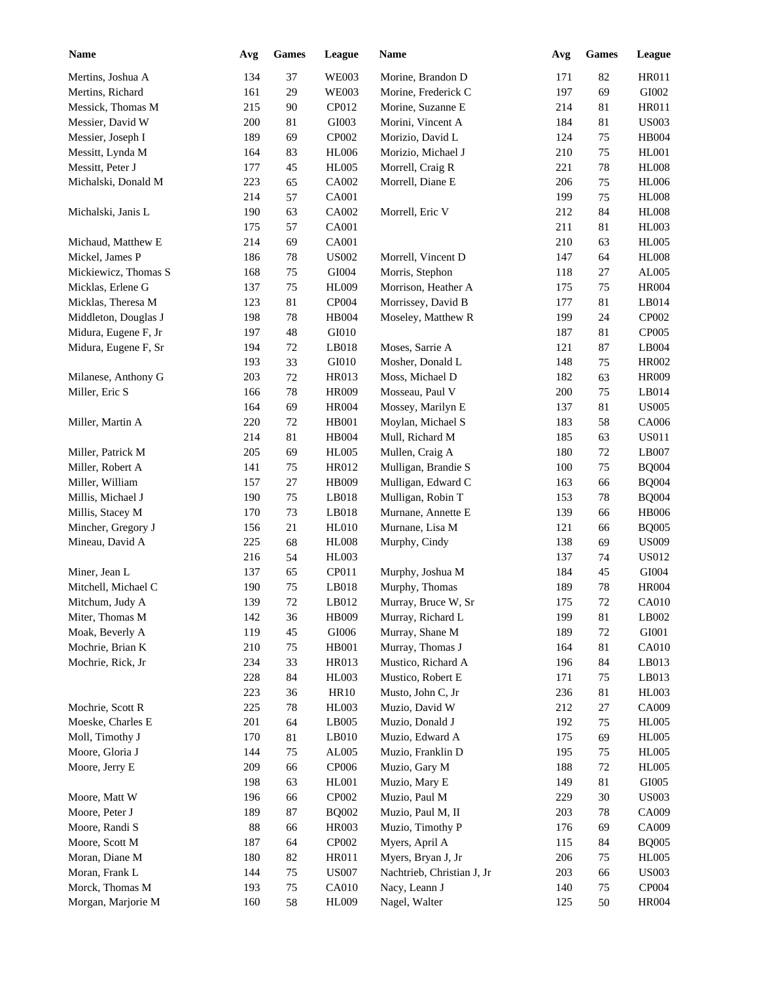| <b>Name</b>          | Avg | <b>Games</b> | League         | Name                       | Avg | <b>Games</b> | League        |
|----------------------|-----|--------------|----------------|----------------------------|-----|--------------|---------------|
| Mertins, Joshua A    | 134 | 37           | <b>WE003</b>   | Morine, Brandon D          | 171 | 82           | HR011         |
| Mertins, Richard     | 161 | 29           | <b>WE003</b>   | Morine, Frederick C        | 197 | 69           | GI002         |
| Messick, Thomas M    | 215 | 90           | CP012          | Morine, Suzanne E          | 214 | 81           | HR011         |
| Messier, David W     | 200 | 81           | GI003          | Morini, Vincent A          | 184 | 81           | <b>US003</b>  |
| Messier, Joseph I    | 189 | 69           | CP002          | Morizio, David L           | 124 | 75           | HB004         |
| Messitt, Lynda M     | 164 | 83           | <b>HL006</b>   | Morizio, Michael J         | 210 | 75           | <b>HL001</b>  |
| Messitt, Peter J     | 177 | 45           | <b>HL005</b>   | Morrell, Craig R           | 221 | 78           | <b>HL008</b>  |
| Michalski, Donald M  | 223 | 65           | CA002          | Morrell, Diane E           | 206 | 75           | <b>HL006</b>  |
|                      | 214 | 57           | CA001          |                            | 199 | 75           | <b>HL008</b>  |
| Michalski, Janis L   | 190 | 63           | CA002          | Morrell, Eric V            | 212 | 84           | <b>HL008</b>  |
|                      | 175 | 57           | <b>CA001</b>   |                            | 211 | 81           | <b>HL003</b>  |
| Michaud, Matthew E   | 214 | 69           | <b>CA001</b>   |                            | 210 | 63           | <b>HL005</b>  |
| Mickel, James P      | 186 | $78\,$       | ${\bf USO02}$  | Morrell, Vincent D         | 147 | 64           | $\rm{H}L008$  |
| Mickiewicz, Thomas S | 168 | 75           | ${\rm G}1004$  | Morris, Stephon            | 118 | 27           | ${\rm AL005}$ |
| Micklas, Erlene G    | 137 | 75           | <b>HL009</b>   | Morrison, Heather A        | 175 | 75           | <b>HR004</b>  |
| Micklas, Theresa M   | 123 | 81           | CP004          | Morrissey, David B         | 177 | 81           | LB014         |
| Middleton, Douglas J | 198 | 78           | <b>HB004</b>   | Moseley, Matthew R         | 199 | 24           | CP002         |
| Midura, Eugene F, Jr | 197 | 48           | GI010          |                            | 187 | 81           | CP005         |
| Midura, Eugene F, Sr | 194 | $72\,$       | LB018          | Moses, Sarrie A            | 121 | 87           | LB004         |
|                      | 193 | 33           | ${\rm G I}010$ | Mosher, Donald L           | 148 | 75           | HR002         |
| Milanese, Anthony G  | 203 | 72           | HR013          | Moss, Michael D            | 182 | 63           | <b>HR009</b>  |
| Miller, Eric S       | 166 | 78           | <b>HR009</b>   | Mosseau, Paul V            | 200 | 75           | LB014         |
|                      |     | 69           |                |                            |     |              | <b>US005</b>  |
|                      | 164 |              | <b>HR004</b>   | Mossey, Marilyn E          | 137 | 81           |               |
| Miller, Martin A     | 220 | 72           | <b>HB001</b>   | Moylan, Michael S          | 183 | 58           | CA006         |
|                      | 214 | 81           | <b>HB004</b>   | Mull, Richard M            | 185 | 63           | <b>US011</b>  |
| Miller, Patrick M    | 205 | 69           | <b>HL005</b>   | Mullen, Craig A            | 180 | 72           | LB007         |
| Miller, Robert A     | 141 | 75           | HR012          | Mulligan, Brandie S        | 100 | 75           | <b>BQ004</b>  |
| Miller, William      | 157 | 27           | <b>HB009</b>   | Mulligan, Edward C         | 163 | 66           | <b>BQ004</b>  |
| Millis, Michael J    | 190 | 75           | LB018          | Mulligan, Robin T          | 153 | 78           | <b>BQ004</b>  |
| Millis, Stacey M     | 170 | 73           | LB018          | Murnane, Annette E         | 139 | 66           | <b>HB006</b>  |
| Mincher, Gregory J   | 156 | 21           | <b>HL010</b>   | Murnane, Lisa M            | 121 | 66           | <b>BQ005</b>  |
| Mineau, David A      | 225 | 68           | <b>HL008</b>   | Murphy, Cindy              | 138 | 69           | <b>US009</b>  |
|                      | 216 | 54           | <b>HL003</b>   |                            | 137 | 74           | <b>US012</b>  |
| Miner, Jean L        | 137 | 65           | CP011          | Murphy, Joshua M           | 184 | 45           | GI004         |
| Mitchell, Michael C  | 190 | 75           | LB018          | Murphy, Thomas             | 189 | 78           | <b>HR004</b>  |
| Mitchum, Judy A      | 139 | $72\,$       | LB012          | Murray, Bruce W, Sr        | 175 | $72\,$       | CA010         |
| Miter, Thomas M      | 142 | 36           | <b>HB009</b>   | Murray, Richard L          | 199 | 81           | LB002         |
| Moak, Beverly A      | 119 | 45           | GI006          | Murray, Shane M            | 189 | 72           | ${\rm GIO}01$ |
| Mochrie, Brian K     | 210 | 75           | HB001          | Murray, Thomas J           | 164 | 81           | CA010         |
| Mochrie, Rick, Jr    | 234 | 33           | HR013          | Mustico, Richard A         | 196 | 84           | LB013         |
|                      | 228 | 84           | HL003          | Mustico, Robert E          | 171 | 75           | LB013         |
|                      | 223 | 36           | <b>HR10</b>    | Musto, John C, Jr          | 236 | 81           | <b>HL003</b>  |
| Mochrie, Scott R     | 225 | 78           | HL003          | Muzio, David W             | 212 | 27           | CA009         |
| Moeske, Charles E    | 201 | 64           | LB005          | Muzio, Donald J            | 192 | 75           | <b>HL005</b>  |
| Moll, Timothy J      | 170 | 81           | LB010          | Muzio, Edward A            | 175 | 69           | <b>HL005</b>  |
| Moore, Gloria J      | 144 | 75           | AL005          | Muzio, Franklin D          | 195 | 75           | <b>HL005</b>  |
| Moore, Jerry E       | 209 | 66           | CP006          | Muzio, Gary M              | 188 | 72           | <b>HL005</b>  |
|                      | 198 | 63           | HL001          | Muzio, Mary E              | 149 | 81           | GI005         |
| Moore, Matt W        | 196 | 66           | CP002          | Muzio, Paul M              | 229 | 30           | <b>US003</b>  |
| Moore, Peter J       | 189 | 87           | <b>BQ002</b>   | Muzio, Paul M, II          | 203 | 78           | CA009         |
| Moore, Randi S       | 88  | 66           | HR003          | Muzio, Timothy P           | 176 | 69           | CA009         |
| Moore, Scott M       | 187 | 64           | CP002          | Myers, April A             | 115 | 84           | <b>BQ005</b>  |
| Moran, Diane M       | 180 | 82           | HR011          | Myers, Bryan J, Jr         | 206 | 75           | <b>HL005</b>  |
| Moran, Frank L       | 144 | 75           | <b>US007</b>   | Nachtrieb, Christian J, Jr | 203 | 66           | <b>US003</b>  |
| Morck, Thomas M      | 193 | $75\,$       | <b>CA010</b>   | Nacy, Leann J              | 140 | 75           | CP004         |
| Morgan, Marjorie M   | 160 | 58           | HL009          | Nagel, Walter              | 125 | 50           | <b>HR004</b>  |
|                      |     |              |                |                            |     |              |               |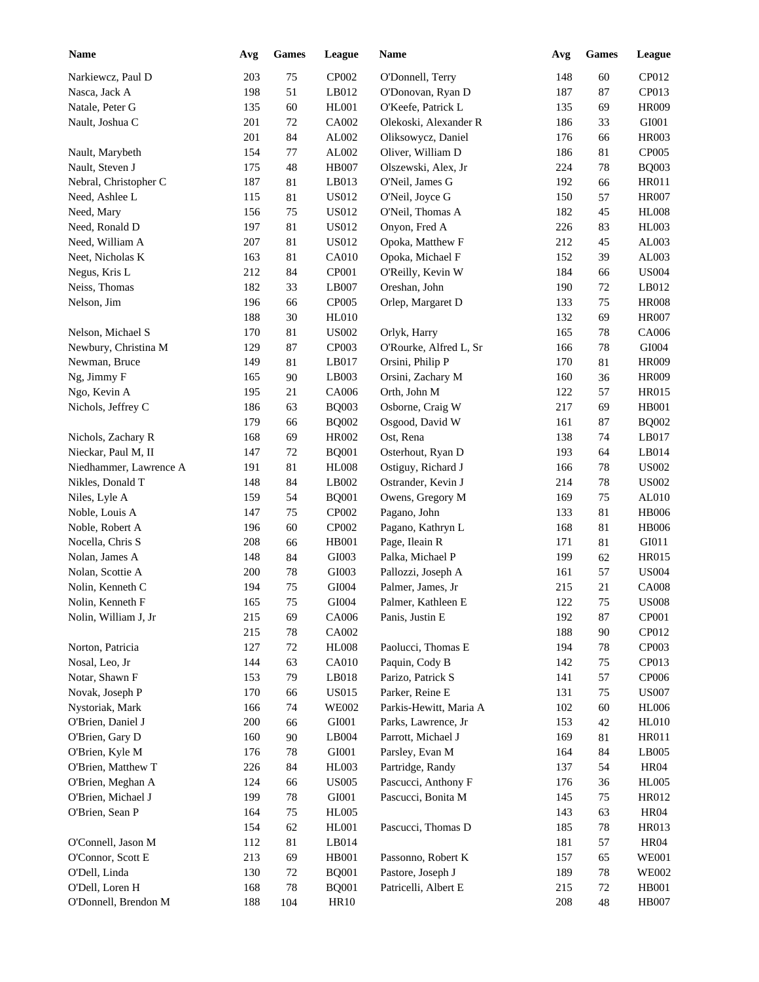| <b>Name</b>            | Avg | <b>Games</b> | League        | <b>Name</b>            | Avg | <b>Games</b> | League       |
|------------------------|-----|--------------|---------------|------------------------|-----|--------------|--------------|
| Narkiewcz, Paul D      | 203 | 75           | CP002         | O'Donnell, Terry       | 148 | 60           | CP012        |
| Nasca, Jack A          | 198 | 51           | LB012         | O'Donovan, Ryan D      | 187 | 87           | CP013        |
| Natale, Peter G        | 135 | 60           | <b>HL001</b>  | O'Keefe, Patrick L     | 135 | 69           | <b>HR009</b> |
| Nault, Joshua C        | 201 | $72\,$       | CA002         | Olekoski, Alexander R  | 186 | 33           | GI001        |
|                        | 201 | 84           | AL002         | Oliksowycz, Daniel     | 176 | 66           | <b>HR003</b> |
| Nault, Marybeth        | 154 | 77           | ${\rm AL}002$ | Oliver, William D      | 186 | 81           | CP005        |
| Nault, Steven J        | 175 | 48           | <b>HB007</b>  | Olszewski, Alex, Jr    | 224 | 78           | <b>BQ003</b> |
| Nebral, Christopher C  | 187 | 81           | LB013         | O'Neil, James G        | 192 | 66           | <b>HR011</b> |
| Need, Ashlee L         | 115 | $81\,$       | <b>US012</b>  | O'Neil, Joyce G        | 150 | 57           | <b>HR007</b> |
| Need, Mary             | 156 | 75           | <b>US012</b>  | O'Neil, Thomas A       | 182 | 45           | <b>HL008</b> |
| Need, Ronald D         | 197 | 81           | <b>US012</b>  | Onyon, Fred A          | 226 | 83           | <b>HL003</b> |
| Need, William A        | 207 | 81           | <b>US012</b>  | Opoka, Matthew F       | 212 | 45           | AL003        |
| Neet, Nicholas K       | 163 | 81           | CA010         | Opoka, Michael F       | 152 | 39           | AL003        |
| Negus, Kris L          | 212 | 84           | CP001         | O'Reilly, Kevin W      | 184 | 66           | <b>US004</b> |
| Neiss, Thomas          | 182 | 33           | LB007         | Oreshan, John          | 190 | 72           | LB012        |
| Nelson, Jim            | 196 | 66           | CP005         | Orlep, Margaret D      | 133 | 75           | <b>HR008</b> |
|                        | 188 | 30           | <b>HL010</b>  |                        | 132 | 69           | <b>HR007</b> |
| Nelson, Michael S      | 170 | 81           | ${\bf USO02}$ | Orlyk, Harry           | 165 | 78           | CA006        |
| Newbury, Christina M   | 129 | 87           | CP003         | O'Rourke, Alfred L, Sr | 166 | 78           | GI004        |
| Newman, Bruce          | 149 | 81           | LB017         | Orsini, Philip P       | 170 | 81           | <b>HR009</b> |
| Ng, Jimmy F            | 165 | 90           | LB003         | Orsini, Zachary M      | 160 | 36           | <b>HR009</b> |
| Ngo, Kevin A           | 195 | 21           | CA006         | Orth, John M           | 122 | 57           | HR015        |
| Nichols, Jeffrey C     | 186 | 63           | <b>BQ003</b>  | Osborne, Craig W       | 217 | 69           | <b>HB001</b> |
|                        | 179 |              |               |                        |     |              |              |
|                        |     | 66           | <b>BQ002</b>  | Osgood, David W        | 161 | 87           | <b>BQ002</b> |
| Nichols, Zachary R     | 168 | 69           | HR002         | Ost, Rena              | 138 | 74           | LB017        |
| Nieckar, Paul M, II    | 147 | 72           | <b>BQ001</b>  | Osterhout, Ryan D      | 193 | 64           | LB014        |
| Niedhammer, Lawrence A | 191 | 81           | <b>HL008</b>  | Ostiguy, Richard J     | 166 | 78           | <b>US002</b> |
| Nikles, Donald T       | 148 | 84           | LB002         | Ostrander, Kevin J     | 214 | 78           | <b>US002</b> |
| Niles, Lyle A          | 159 | 54           | <b>BQ001</b>  | Owens, Gregory M       | 169 | 75           | AL010        |
| Noble, Louis A         | 147 | 75           | CP002         | Pagano, John           | 133 | $81\,$       | <b>HB006</b> |
| Noble, Robert A        | 196 | 60           | CP002         | Pagano, Kathryn L      | 168 | $81\,$       | <b>HB006</b> |
| Nocella, Chris S       | 208 | 66           | HB001         | Page, Ileain R         | 171 | 81           | GI011        |
| Nolan, James A         | 148 | 84           | GI003         | Palka, Michael P       | 199 | 62           | <b>HR015</b> |
| Nolan, Scottie A       | 200 | $78\,$       | GI003         | Pallozzi, Joseph A     | 161 | 57           | <b>US004</b> |
| Nolin, Kenneth C       | 194 | 75           | GI004         | Palmer, James, Jr      | 215 | 21           | <b>CA008</b> |
| Nolin, Kenneth F       | 165 | $75\,$       | GI004         | Palmer, Kathleen E     | 122 | 75           | <b>US008</b> |
| Nolin, William J, Jr   | 215 | 69           | CA006         | Panis, Justin E        | 192 | 87           | CP001        |
|                        | 215 | $78\,$       | CA002         |                        | 188 | 90           | CP012        |
| Norton, Patricia       | 127 | 72           | <b>HL008</b>  | Paolucci, Thomas E     | 194 | 78           | CP003        |
| Nosal, Leo, Jr         | 144 | 63           | <b>CA010</b>  | Paquin, Cody B         | 142 | 75           | CP013        |
| Notar, Shawn F         | 153 | 79           | $L$ B018      | Parizo, Patrick S      | 141 | 57           | CP006        |
| Novak, Joseph P        | 170 | 66           | <b>US015</b>  | Parker, Reine E        | 131 | 75           | <b>US007</b> |
| Nystoriak, Mark        | 166 | 74           | <b>WE002</b>  | Parkis-Hewitt, Maria A | 102 | $60\,$       | <b>HL006</b> |
| O'Brien, Daniel J      | 200 | 66           | GI001         | Parks, Lawrence, Jr    | 153 | 42           | <b>HL010</b> |
| O'Brien, Gary D        | 160 | $90\,$       | LB004         | Parrott, Michael J     | 169 | 81           | HR011        |
| O'Brien, Kyle M        | 176 | 78           | GI001         | Parsley, Evan M        | 164 | 84           | LB005        |
| O'Brien, Matthew T     | 226 | 84           | HL003         | Partridge, Randy       | 137 | 54           | <b>HR04</b>  |
| O'Brien, Meghan A      | 124 | 66           | <b>US005</b>  | Pascucci, Anthony F    | 176 | 36           | <b>HL005</b> |
| O'Brien, Michael J     | 199 | 78           | GI001         | Pascucci, Bonita M     | 145 | 75           | HR012        |
| O'Brien, Sean P        | 164 | 75           | <b>HL005</b>  |                        | 143 | 63           | <b>HR04</b>  |
|                        | 154 | 62           | HL001         | Pascucci, Thomas D     | 185 | 78           | HR013        |
| O'Connell, Jason M     | 112 | 81           | LB014         |                        | 181 | 57           | <b>HR04</b>  |
| O'Connor, Scott E      | 213 | 69           | HB001         | Passonno, Robert K     | 157 | 65           | <b>WE001</b> |
| O'Dell, Linda          | 130 | $72\,$       | <b>BQ001</b>  | Pastore, Joseph J      | 189 | 78           | <b>WE002</b> |
| O'Dell, Loren H        | 168 | $78\,$       | <b>BQ001</b>  | Patricelli, Albert E   | 215 | 72           | <b>HB001</b> |
| O'Donnell, Brendon M   | 188 | 104          | HR10          |                        | 208 | 48           | <b>HB007</b> |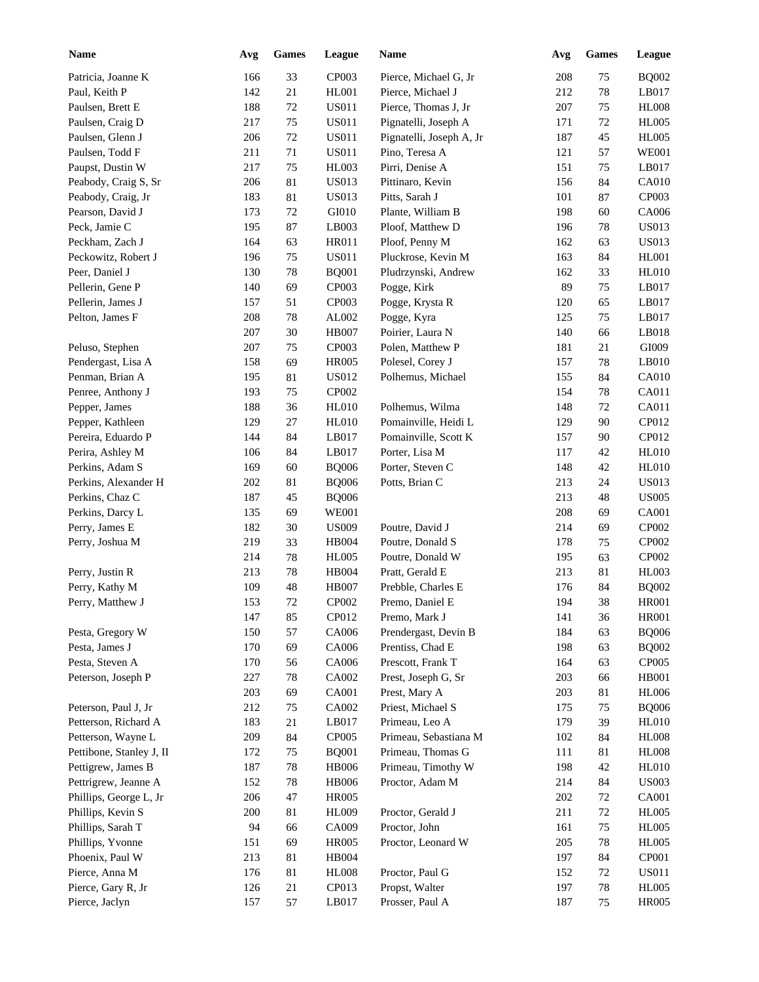| <b>Name</b>                       | Avg | <b>Games</b> | League           | Name                                    | Avg | Games  | <b>League</b>                |
|-----------------------------------|-----|--------------|------------------|-----------------------------------------|-----|--------|------------------------------|
| Patricia, Joanne K                | 166 | 33           | CP003            | Pierce, Michael G, Jr                   | 208 | 75     | <b>BQ002</b>                 |
| Paul, Keith P                     | 142 | 21           | HL001            | Pierce, Michael J                       | 212 | 78     | LB017                        |
| Paulsen, Brett E                  | 188 | $72\,$       | <b>US011</b>     | Pierce, Thomas J, Jr                    | 207 | 75     | <b>HL008</b>                 |
| Paulsen, Craig D                  | 217 | 75           | <b>US011</b>     | Pignatelli, Joseph A                    | 171 | 72     | <b>HL005</b>                 |
| Paulsen, Glenn J                  | 206 | $72\,$       | <b>US011</b>     | Pignatelli, Joseph A, Jr                | 187 | 45     | <b>HL005</b>                 |
| Paulsen, Todd F                   | 211 | 71           | <b>US011</b>     | Pino, Teresa A                          | 121 | 57     | <b>WE001</b>                 |
| Paupst, Dustin W                  | 217 | 75           | HL003            | Pirri, Denise A                         | 151 | 75     | LB017                        |
| Peabody, Craig S, Sr              | 206 | 81           | <b>US013</b>     | Pittinaro, Kevin                        | 156 | 84     | CA010                        |
| Peabody, Craig, Jr                | 183 | 81           | <b>US013</b>     | Pitts, Sarah J                          | 101 | 87     | CP003                        |
| Pearson, David J                  | 173 | 72           | GI010            | Plante, William B                       | 198 | 60     | CA006                        |
| Peck, Jamie C                     | 195 | 87           | LB003            | Ploof, Matthew D                        | 196 | 78     | <b>US013</b>                 |
| Peckham, Zach J                   | 164 | 63           | HR011            | Ploof, Penny M                          | 162 | 63     | <b>US013</b>                 |
| Peckowitz, Robert J               | 196 | 75           | <b>US011</b>     | Pluckrose, Kevin M                      | 163 | 84     | <b>HL001</b>                 |
| Peer, Daniel J                    | 130 | 78           | <b>BQ001</b>     | Pludrzynski, Andrew                     | 162 | 33     | <b>HL010</b>                 |
| Pellerin, Gene P                  | 140 | 69           | CP003            | Pogge, Kirk                             | 89  | 75     | LB017                        |
| Pellerin, James J                 | 157 | 51           | CP003            | Pogge, Krysta R                         | 120 | 65     | LB017                        |
| Pelton, James F                   | 208 | 78           | AL002            | Pogge, Kyra                             | 125 | 75     | LB017                        |
|                                   | 207 | 30           | <b>HB007</b>     | Poirier, Laura N                        | 140 | 66     | LB018                        |
| Peluso, Stephen                   | 207 | 75           | CP003            | Polen, Matthew P                        | 181 | 21     | GI009                        |
| Pendergast, Lisa A                | 158 | 69           | <b>HR005</b>     | Polesel, Corey J                        | 157 | 78     | LB010                        |
| Penman, Brian A                   | 195 | 81           | <b>US012</b>     | Polhemus, Michael                       | 155 | 84     | CA010                        |
| Penree, Anthony J                 | 193 | 75           | CP002            |                                         | 154 | 78     | CA011                        |
| Pepper, James                     | 188 | 36           | HL010            | Polhemus, Wilma                         | 148 | 72     | CA011                        |
| Pepper, Kathleen                  | 129 | 27           | HL010            | Pomainville, Heidi L                    | 129 | 90     | CP012                        |
| Pereira, Eduardo P                | 144 | 84           | LB017            | Pomainville, Scott K                    | 157 | 90     | CP012                        |
| Perira, Ashley M                  | 106 | 84           | LB017            | Porter, Lisa M                          | 117 | 42     | <b>HL010</b>                 |
| Perkins, Adam S                   | 169 | 60           | <b>BQ006</b>     | Porter, Steven C                        | 148 | 42     | <b>HL010</b>                 |
| Perkins, Alexander H              | 202 | 81           | <b>BQ006</b>     | Potts, Brian C                          | 213 | 24     | <b>US013</b>                 |
| Perkins, Chaz C                   | 187 | 45           | <b>BQ006</b>     |                                         | 213 | 48     | <b>US005</b>                 |
| Perkins, Darcy L                  | 135 | 69           | <b>WE001</b>     |                                         | 208 | 69     | <b>CA001</b>                 |
| Perry, James E                    | 182 | 30           | <b>US009</b>     | Poutre, David J                         | 214 | 69     | CP002                        |
| Perry, Joshua M                   | 219 | 33           | HB004            | Poutre, Donald S                        | 178 | 75     | CP002                        |
|                                   | 214 | 78           | <b>HL005</b>     | Poutre, Donald W                        | 195 | 63     | CP002                        |
| Perry, Justin R                   | 213 | 78           | <b>HB004</b>     | Pratt, Gerald E                         | 213 | $81\,$ | <b>HL003</b>                 |
| Perry, Kathy M                    | 109 | 48           | <b>HB007</b>     | Prebble, Charles E                      | 176 | 84     | <b>BQ002</b>                 |
| Perry, Matthew J                  | 153 | $72\,$       | $\mathbf{CPOO2}$ | Premo, Daniel E                         | 194 | $38\,$ | <b>HR001</b>                 |
|                                   | 147 | 85           | CP012            | Premo, Mark J                           | 141 | 36     | <b>HR001</b>                 |
| Pesta, Gregory W                  |     | 57           | CA006            | Prendergast, Devin B                    |     |        | <b>BQ006</b>                 |
|                                   | 150 |              |                  |                                         | 184 | 63     |                              |
| Pesta, James J<br>Pesta, Steven A | 170 | 69           | CA006            | Prentiss, Chad E<br>Prescott, Frank T   | 198 | 63     | <b>BQ002</b><br>CP005        |
|                                   | 170 | 56           | CA006            |                                         | 164 | 63     |                              |
| Peterson, Joseph P                | 227 | 78<br>69     | CA002<br>CA001   | Prest, Joseph G, Sr<br>Prest, Mary A    | 203 | 66     | <b>HB001</b><br><b>HL006</b> |
| Peterson, Paul J, Jr              | 203 |              |                  | Priest, Michael S                       | 203 | 81     | <b>BQ006</b>                 |
| Petterson, Richard A              | 212 | 75           | CA002<br>LB017   |                                         | 175 | 75     | HL010                        |
|                                   | 183 | $21\,$       |                  | Primeau, Leo A<br>Primeau, Sebastiana M | 179 | 39     | HL008                        |
| Petterson, Wayne L                | 209 | $84\,$       | CP005            |                                         | 102 | 84     |                              |
| Pettibone, Stanley J, II          | 172 | $75\,$       | <b>BQ001</b>     | Primeau, Thomas G                       | 111 | 81     | $\rm{H}L008$                 |
| Pettigrew, James B                | 187 | $78\,$       | <b>HB006</b>     | Primeau, Timothy W                      | 198 | $42\,$ | HL010                        |
| Pettrigrew, Jeanne A              | 152 | $78\,$       | <b>HB006</b>     | Proctor, Adam M                         | 214 | 84     | <b>US003</b>                 |
| Phillips, George L, Jr            | 206 | $47\,$       | <b>HR005</b>     |                                         | 202 | 72     | CA001                        |
| Phillips, Kevin S                 | 200 | 81           | HL009            | Proctor, Gerald J                       | 211 | $72\,$ | <b>HL005</b>                 |
| Phillips, Sarah T                 | 94  | 66           | CA009            | Proctor, John                           | 161 | $75\,$ | <b>HL005</b>                 |
| Phillips, Yvonne                  | 151 | 69           | <b>HR005</b>     | Proctor, Leonard W                      | 205 | $78\,$ | <b>HL005</b>                 |
| Phoenix, Paul W                   | 213 | $81\,$       | HB004            |                                         | 197 | 84     | CP001                        |
| Pierce, Anna M                    | 176 | 81           | <b>HL008</b>     | Proctor, Paul G                         | 152 | 72     | <b>US011</b>                 |
| Pierce, Gary R, Jr                | 126 | 21           | CP013            | Propst, Walter                          | 197 | $78\,$ | <b>HL005</b>                 |
| Pierce, Jaclyn                    | 157 | 57           | LB017            | Prosser, Paul A                         | 187 | 75     | <b>HR005</b>                 |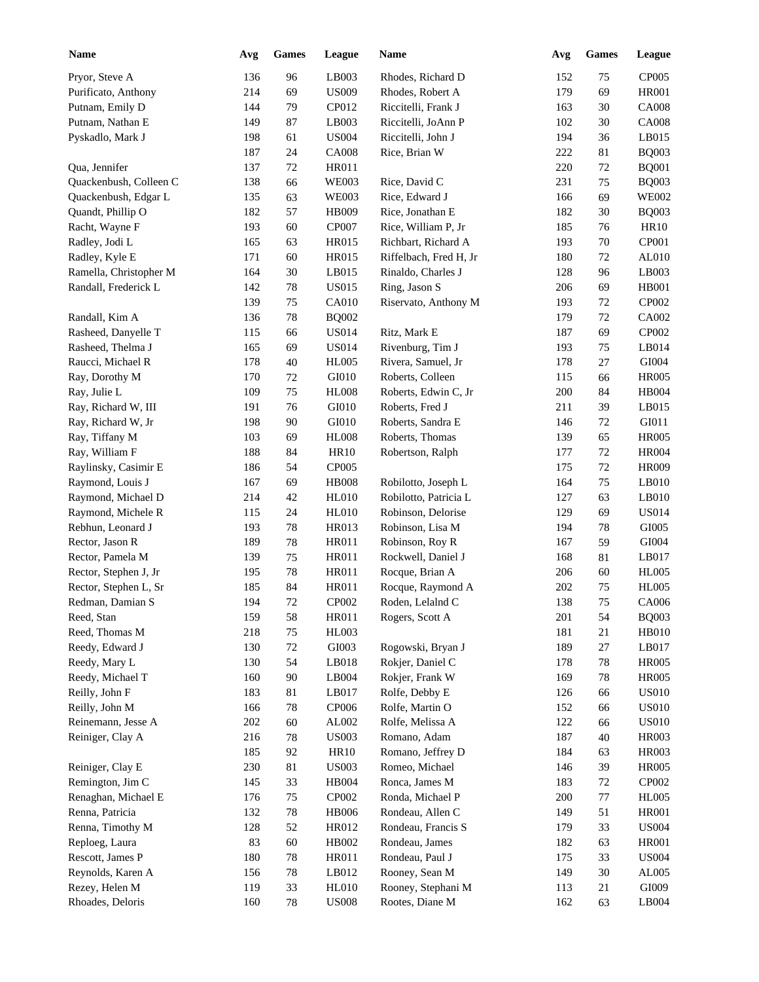| <b>Name</b>            | Avg | <b>Games</b> | League       | <b>Name</b>            | Avg | <b>Games</b> | League       |
|------------------------|-----|--------------|--------------|------------------------|-----|--------------|--------------|
| Pryor, Steve A         | 136 | 96           | LB003        | Rhodes, Richard D      | 152 | 75           | CP005        |
| Purificato, Anthony    | 214 | 69           | <b>US009</b> | Rhodes, Robert A       | 179 | 69           | <b>HR001</b> |
| Putnam, Emily D        | 144 | 79           | CP012        | Riccitelli, Frank J    | 163 | 30           | <b>CA008</b> |
| Putnam, Nathan E       | 149 | 87           | LB003        | Riccitelli, JoAnn P    | 102 | 30           | <b>CA008</b> |
| Pyskadlo, Mark J       | 198 | 61           | <b>US004</b> | Riccitelli, John J     | 194 | 36           | LB015        |
|                        | 187 | 24           | <b>CA008</b> | Rice, Brian W          | 222 | 81           | <b>BQ003</b> |
| Qua, Jennifer          | 137 | $72\,$       | HR011        |                        | 220 | 72           | <b>BQ001</b> |
| Quackenbush, Colleen C | 138 | 66           | <b>WE003</b> | Rice, David C          | 231 | 75           | <b>BQ003</b> |
| Quackenbush, Edgar L   | 135 | 63           | <b>WE003</b> | Rice, Edward J         | 166 | 69           | <b>WE002</b> |
| Quandt, Phillip O      | 182 | 57           | HB009        | Rice, Jonathan E       | 182 | 30           | <b>BQ003</b> |
| Racht, Wayne F         | 193 | 60           | CP007        | Rice, William P, Jr    | 185 | 76           | <b>HR10</b>  |
| Radley, Jodi L         | 165 | 63           | <b>HR015</b> | Richbart, Richard A    | 193 | 70           | CP001        |
| Radley, Kyle E         | 171 | 60           | HR015        | Riffelbach, Fred H, Jr | 180 | 72           | AL010        |
| Ramella, Christopher M | 164 | 30           | LB015        | Rinaldo, Charles J     | 128 | 96           | LB003        |
| Randall, Frederick L   | 142 | $78\,$       | <b>US015</b> | Ring, Jason S          | 206 | 69           | <b>HB001</b> |
|                        | 139 | 75           | <b>CA010</b> | Riservato, Anthony M   | 193 | 72           | CP002        |
| Randall, Kim A         | 136 | 78           | <b>BQ002</b> |                        | 179 | 72           | CA002        |
| Rasheed, Danyelle T    | 115 | 66           | <b>US014</b> | Ritz, Mark E           | 187 | 69           | CP002        |
| Rasheed, Thelma J      | 165 | 69           | <b>US014</b> | Rivenburg, Tim J       | 193 | 75           | LB014        |
| Raucci, Michael R      | 178 | 40           | <b>HL005</b> | Rivera, Samuel, Jr     | 178 | 27           | GI004        |
| Ray, Dorothy M         | 170 | 72           | GI010        | Roberts, Colleen       | 115 | 66           | <b>HR005</b> |
| Ray, Julie L           | 109 | 75           | <b>HL008</b> | Roberts, Edwin C, Jr   | 200 | 84           | HB004        |
| Ray, Richard W, III    | 191 | 76           | GI010        | Roberts, Fred J        | 211 | 39           | LB015        |
| Ray, Richard W, Jr     | 198 | 90           | GI010        | Roberts, Sandra E      | 146 | 72           | GI011        |
| Ray, Tiffany M         | 103 | 69           | <b>HL008</b> | Roberts, Thomas        | 139 | 65           | <b>HR005</b> |
| Ray, William F         | 188 | 84           | <b>HR10</b>  | Robertson, Ralph       | 177 | 72           | <b>HR004</b> |
| Raylinsky, Casimir E   | 186 | 54           | CP005        |                        | 175 | 72           | <b>HR009</b> |
| Raymond, Louis J       | 167 | 69           | <b>HB008</b> | Robilotto, Joseph L    | 164 | 75           | LB010        |
| Raymond, Michael D     | 214 | 42           | <b>HL010</b> | Robilotto, Patricia L  | 127 | 63           | LB010        |
| Raymond, Michele R     | 115 | 24           | <b>HL010</b> | Robinson, Delorise     | 129 | 69           | <b>US014</b> |
| Rebhun, Leonard J      | 193 | 78           | HR013        | Robinson, Lisa M       | 194 | 78           | GI005        |
| Rector, Jason R        | 189 | 78           | <b>HR011</b> | Robinson, Roy R        | 167 | 59           | GI004        |
| Rector, Pamela M       | 139 | 75           | <b>HR011</b> | Rockwell, Daniel J     | 168 | 81           | LB017        |
| Rector, Stephen J, Jr  | 195 | 78           | HR011        | Rocque, Brian A        | 206 | 60           | <b>HL005</b> |
| Rector, Stephen L, Sr  | 185 | 84           | <b>HR011</b> | Rocque, Raymond A      | 202 | 75           | <b>HL005</b> |
| Redman, Damian S       | 194 | 72           | CP002        | Roden, Lelalnd C       | 138 | 75           | CA006        |
| Reed, Stan             | 159 | 58           | HR011        | Rogers, Scott A        | 201 | 54           | <b>BQ003</b> |
| Reed, Thomas M         | 218 | 75           | HL003        |                        | 181 | 21           | HB010        |
| Reedy, Edward J        | 130 | $72\,$       | GI003        | Rogowski, Bryan J      | 189 | 27           | LB017        |
| Reedy, Mary L          | 130 | 54           | LB018        | Rokjer, Daniel C       | 178 | 78           | <b>HR005</b> |
| Reedy, Michael T       | 160 | 90           | LB004        | Rokjer, Frank W        | 169 | 78           | <b>HR005</b> |
| Reilly, John F         | 183 | 81           | LB017        | Rolfe, Debby E         | 126 | 66           | <b>US010</b> |
| Reilly, John M         | 166 | 78           | <b>CP006</b> | Rolfe, Martin O        | 152 | 66           | <b>US010</b> |
| Reinemann, Jesse A     | 202 | 60           | AL002        | Rolfe, Melissa A       | 122 | 66           | <b>US010</b> |
| Reiniger, Clay A       | 216 | 78           | <b>US003</b> | Romano, Adam           | 187 | 40           | HR003        |
|                        | 185 | 92           | <b>HR10</b>  | Romano, Jeffrey D      | 184 | 63           | HR003        |
| Reiniger, Clay E       | 230 | 81           | <b>US003</b> | Romeo, Michael         | 146 | 39           | <b>HR005</b> |
| Remington, Jim C       | 145 | 33           | HB004        | Ronca, James M         | 183 | 72           | CP002        |
| Renaghan, Michael E    | 176 | 75           | CP002        | Ronda, Michael P       | 200 | 77           | <b>HL005</b> |
| Renna, Patricia        | 132 | 78           | <b>HB006</b> | Rondeau, Allen C       | 149 | 51           | <b>HR001</b> |
| Renna, Timothy M       | 128 | 52           | HR012        | Rondeau, Francis S     | 179 | 33           | <b>US004</b> |
| Reploeg, Laura         | 83  | 60           | HB002        | Rondeau, James         | 182 | 63           | <b>HR001</b> |
| Rescott, James P       | 180 | 78           | HR011        | Rondeau, Paul J        | 175 | 33           | <b>US004</b> |
| Reynolds, Karen A      | 156 | 78           | LB012        | Rooney, Sean M         | 149 | 30           | AL005        |
| Rezey, Helen M         | 119 | 33           | <b>HL010</b> | Rooney, Stephani M     | 113 | 21           | GI009        |
| Rhoades, Deloris       | 160 | 78           | <b>US008</b> | Rootes, Diane M        | 162 | 63           | LB004        |
|                        |     |              |              |                        |     |              |              |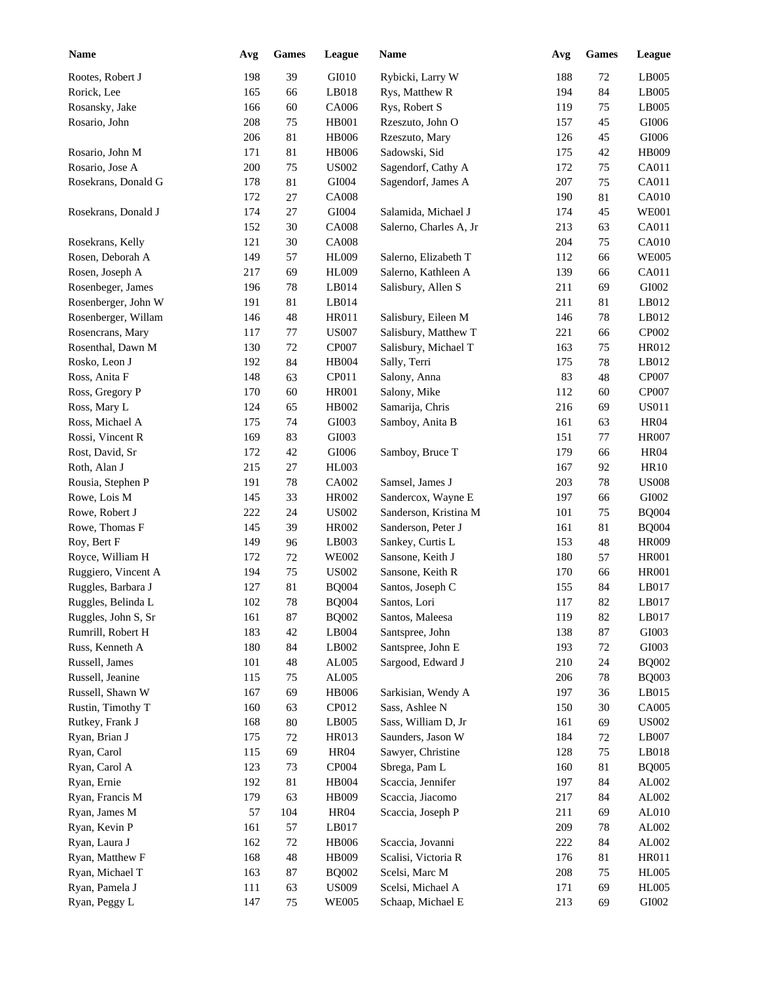| <b>Name</b>         | Avg | Games       | League       | Name                                 | Avg | <b>Games</b> | League       |
|---------------------|-----|-------------|--------------|--------------------------------------|-----|--------------|--------------|
| Rootes, Robert J    | 198 | 39          | GI010        | Rybicki, Larry W                     | 188 | $72\,$       | LB005        |
| Rorick, Lee         | 165 | 66          | LB018        | Rys, Matthew R                       | 194 | 84           | LB005        |
| Rosansky, Jake      | 166 | 60          | CA006        | Rys, Robert S                        | 119 | 75           | LB005        |
| Rosario, John       | 208 | 75          | <b>HB001</b> | Rzeszuto, John O                     | 157 | 45           | $\rm GIO06$  |
|                     | 206 | 81          | <b>HB006</b> | Rzeszuto, Mary                       | 126 | 45           | $\rm GIO06$  |
| Rosario, John M     | 171 | 81          | <b>HB006</b> | Sadowski, Sid                        | 175 | 42           | <b>HB009</b> |
| Rosario, Jose A     | 200 | 75          | <b>US002</b> | Sagendorf, Cathy A                   | 172 | 75           | CA011        |
| Rosekrans, Donald G | 178 | 81          | GI004        | Sagendorf, James A                   | 207 | 75           | CA011        |
|                     | 172 | 27          | <b>CA008</b> |                                      | 190 | 81           | CA010        |
| Rosekrans, Donald J | 174 | 27          | GI004        | Salamida, Michael J                  | 174 | 45           | <b>WE001</b> |
|                     | 152 | 30          | <b>CA008</b> | Salerno, Charles A, Jr               | 213 | 63           | CA011        |
| Rosekrans, Kelly    | 121 | 30          | <b>CA008</b> |                                      | 204 | 75           | CA010        |
| Rosen, Deborah A    | 149 | 57          | <b>HL009</b> | Salerno, Elizabeth T                 | 112 | 66           | <b>WE005</b> |
| Rosen, Joseph A     | 217 | 69          | HL009        | Salerno, Kathleen A                  | 139 | 66           | CA011        |
| Rosenbeger, James   | 196 | 78          | LB014        | Salisbury, Allen S                   | 211 | 69           | GI002        |
| Rosenberger, John W | 191 | 81          | LB014        |                                      | 211 | 81           | LB012        |
| Rosenberger, Willam | 146 | 48          | <b>HR011</b> | Salisbury, Eileen M                  | 146 | 78           | LB012        |
| Rosencrans, Mary    | 117 | 77          | <b>US007</b> | Salisbury, Matthew T                 | 221 | 66           | CP002        |
| Rosenthal, Dawn M   | 130 | 72          | CP007        | Salisbury, Michael T                 | 163 | 75           | HR012        |
| Rosko, Leon J       | 192 | 84          | <b>HB004</b> | Sally, Terri                         | 175 | 78           | LB012        |
| Ross, Anita F       | 148 | 63          | CP011        | Salony, Anna                         | 83  | 48           | CP007        |
| Ross, Gregory P     | 170 | 60          | <b>HR001</b> | Salony, Mike                         | 112 | 60           | <b>CP007</b> |
| Ross, Mary L        | 124 | 65          | HB002        | Samarija, Chris                      | 216 | 69           | <b>US011</b> |
| Ross, Michael A     | 175 | 74          | GI003        | Samboy, Anita B                      | 161 | 63           | <b>HR04</b>  |
| Rossi, Vincent R    | 169 | 83          | GI003        |                                      | 151 | 77           | <b>HR007</b> |
| Rost, David, Sr     | 172 | 42          | GI006        | Samboy, Bruce T                      | 179 | 66           | <b>HR04</b>  |
| Roth, Alan J        | 215 | 27          | <b>HL003</b> |                                      | 167 | 92           | <b>HR10</b>  |
| Rousia, Stephen P   | 191 | 78          | CA002        | Samsel, James J                      | 203 | 78           | <b>US008</b> |
| Rowe, Lois M        | 145 | 33          | HR002        | Sandercox, Wayne E                   | 197 | 66           | GI002        |
| Rowe, Robert J      | 222 | 24          | <b>US002</b> | Sanderson, Kristina M                | 101 | 75           | <b>BQ004</b> |
| Rowe, Thomas F      | 145 | 39          | <b>HR002</b> | Sanderson, Peter J                   | 161 | 81           | <b>BQ004</b> |
| Roy, Bert F         | 149 | 96          | LB003        | Sankey, Curtis L                     | 153 | 48           | <b>HR009</b> |
| Royce, William H    | 172 | 72          | <b>WE002</b> | Sansone, Keith J                     | 180 | 57           | <b>HR001</b> |
| Ruggiero, Vincent A | 194 | 75          | <b>US002</b> | Sansone, Keith R                     | 170 | 66           | <b>HR001</b> |
| Ruggles, Barbara J  | 127 | 81          | <b>BQ004</b> | Santos, Joseph C                     | 155 | 84           | LB017        |
| Ruggles, Belinda L  | 102 | $78\,$      |              |                                      | 117 | 82           | LB017        |
|                     |     |             | <b>BQ004</b> | Santos, Lori                         |     |              |              |
| Ruggles, John S, Sr | 161 | 87          | <b>BQ002</b> | Santos, Maleesa                      | 119 | 82           | LB017        |
| Rumrill, Robert H   | 183 | $42\,$      | LB004        | Santspree, John                      | 138 | 87           | GI003        |
| Russ, Kenneth A     | 180 | 84          | LB002        | Santspree, John E                    | 193 | 72           | GI003        |
| Russell, James      | 101 | $\sqrt{48}$ | AL005        | Sargood, Edward J                    | 210 | 24           | <b>BQ002</b> |
| Russell, Jeanine    | 115 | 75          | AL005        |                                      | 206 | 78           | <b>BQ003</b> |
| Russell, Shawn W    | 167 | 69          | <b>HB006</b> | Sarkisian, Wendy A<br>Sass, Ashlee N | 197 | 36           | LB015        |
| Rustin, Timothy T   | 160 | 63          | CP012        |                                      | 150 | 30           | CA005        |
| Rutkey, Frank J     | 168 | 80          | LB005        | Sass, William D, Jr                  | 161 | 69           | <b>US002</b> |
| Ryan, Brian J       | 175 | $72\,$      | HR013        | Saunders, Jason W                    | 184 | 72           | LB007        |
| Ryan, Carol         | 115 | 69          | <b>HR04</b>  | Sawyer, Christine                    | 128 | 75           | LB018        |
| Ryan, Carol A       | 123 | 73          | CP004        | Sbrega, Pam L                        | 160 | 81           | <b>BQ005</b> |
| Ryan, Ernie         | 192 | 81          | <b>HB004</b> | Scaccia, Jennifer                    | 197 | 84           | AL002        |
| Ryan, Francis M     | 179 | 63          | HB009        | Scaccia, Jiacomo                     | 217 | 84           | AL002        |
| Ryan, James M       | 57  | 104         | <b>HR04</b>  | Scaccia, Joseph P                    | 211 | 69           | AL010        |
| Ryan, Kevin P       | 161 | 57          | LB017        |                                      | 209 | 78           | AL002        |
| Ryan, Laura J       | 162 | 72          | <b>HB006</b> | Scaccia, Jovanni                     | 222 | 84           | AL002        |
| Ryan, Matthew F     | 168 | $\sqrt{48}$ | HB009        | Scalisi, Victoria R                  | 176 | 81           | HR011        |
| Ryan, Michael T     | 163 | 87          | <b>BQ002</b> | Scelsi, Marc M                       | 208 | 75           | <b>HL005</b> |
| Ryan, Pamela J      | 111 | 63          | <b>US009</b> | Scelsi, Michael A                    | 171 | 69           | HL005        |
| Ryan, Peggy L       | 147 | 75          | <b>WE005</b> | Schaap, Michael E                    | 213 | 69           | GI002        |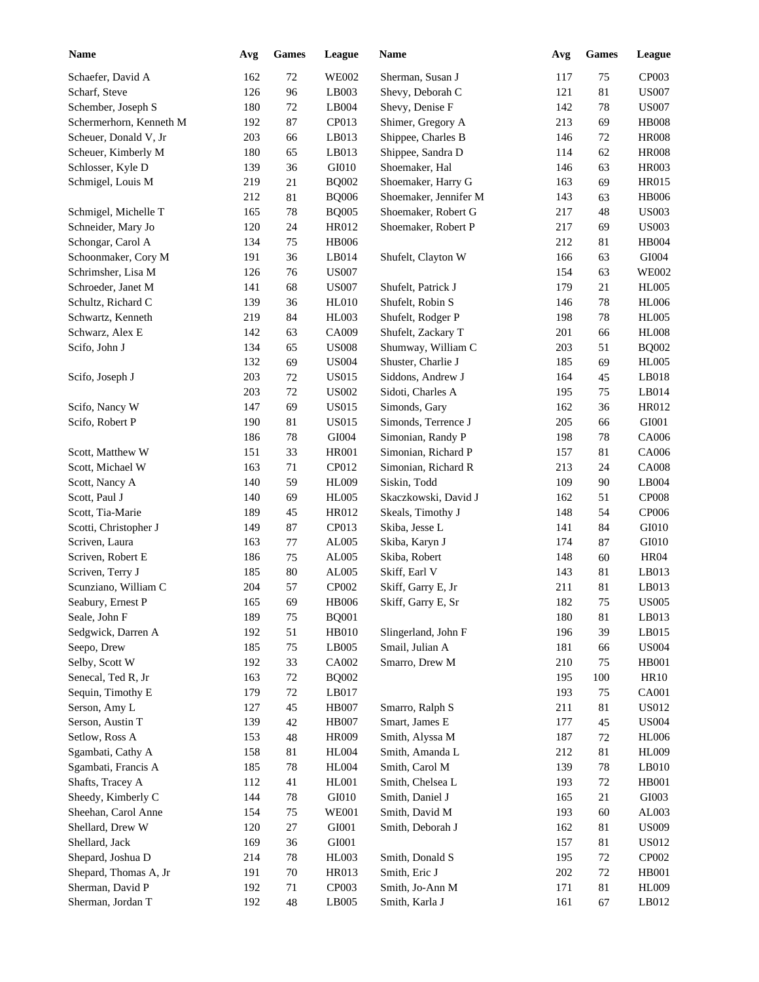| <b>Name</b>             | Avg | <b>Games</b> | League       | Name                  | Avg | <b>Games</b> | League        |
|-------------------------|-----|--------------|--------------|-----------------------|-----|--------------|---------------|
| Schaefer, David A       | 162 | $72\,$       | <b>WE002</b> | Sherman, Susan J      | 117 | 75           | CP003         |
| Scharf, Steve           | 126 | 96           | LB003        | Shevy, Deborah C      | 121 | 81           | <b>US007</b>  |
| Schember, Joseph S      | 180 | $72\,$       | LB004        | Shevy, Denise F       | 142 | 78           | <b>US007</b>  |
| Schermerhorn, Kenneth M | 192 | 87           | CP013        | Shimer, Gregory A     | 213 | 69           | <b>HB008</b>  |
| Scheuer, Donald V, Jr   | 203 | 66           | LB013        | Shippee, Charles B    | 146 | 72           | <b>HR008</b>  |
| Scheuer, Kimberly M     | 180 | 65           | LB013        | Shippee, Sandra D     | 114 | 62           | <b>HR008</b>  |
| Schlosser, Kyle D       | 139 | 36           | GI010        | Shoemaker, Hal        | 146 | 63           | <b>HR003</b>  |
| Schmigel, Louis M       | 219 | 21           | <b>BQ002</b> | Shoemaker, Harry G    | 163 | 69           | <b>HR015</b>  |
|                         | 212 | 81           | <b>BQ006</b> | Shoemaker, Jennifer M | 143 | 63           | <b>HB006</b>  |
| Schmigel, Michelle T    | 165 | $78\,$       | <b>BQ005</b> | Shoemaker, Robert G   | 217 | 48           | <b>US003</b>  |
| Schneider, Mary Jo      | 120 | 24           | HR012        | Shoemaker, Robert P   | 217 | 69           | <b>US003</b>  |
| Schongar, Carol A       | 134 | 75           | <b>HB006</b> |                       | 212 | 81           | <b>HB004</b>  |
| Schoonmaker, Cory M     | 191 | 36           | LB014        | Shufelt, Clayton W    | 166 | 63           | GI004         |
| Schrimsher, Lisa M      | 126 | 76           | <b>US007</b> |                       | 154 | 63           | <b>WE002</b>  |
| Schroeder, Janet M      | 141 | 68           | <b>US007</b> | Shufelt, Patrick J    | 179 | 21           | <b>HL005</b>  |
| Schultz, Richard C      | 139 | 36           | HL010        | Shufelt, Robin S      | 146 | 78           | <b>HL006</b>  |
| Schwartz, Kenneth       | 219 | 84           | HL003        | Shufelt, Rodger P     | 198 | 78           | <b>HL005</b>  |
| Schwarz, Alex E         | 142 | 63           | CA009        | Shufelt, Zackary T    | 201 | 66           | <b>HL008</b>  |
| Scifo, John J           | 134 | 65           | <b>US008</b> | Shumway, William C    | 203 | 51           | <b>BQ002</b>  |
|                         | 132 | 69           | <b>US004</b> | Shuster, Charlie J    | 185 | 69           | <b>HL005</b>  |
| Scifo, Joseph J         | 203 | 72           | <b>US015</b> | Siddons, Andrew J     | 164 | 45           | LB018         |
|                         | 203 | 72           | <b>US002</b> | Sidoti, Charles A     | 195 | 75           | LB014         |
| Scifo, Nancy W          | 147 | 69           | <b>US015</b> | Simonds, Gary         | 162 | 36           | HR012         |
| Scifo, Robert P         | 190 | 81           | <b>US015</b> | Simonds, Terrence J   | 205 | 66           | GI001         |
|                         | 186 | 78           | GI004        | Simonian, Randy P     | 198 | 78           | CA006         |
| Scott, Matthew W        | 151 | 33           | <b>HR001</b> | Simonian, Richard P   | 157 | 81           | CA006         |
| Scott, Michael W        | 163 | 71           | CP012        | Simonian, Richard R   | 213 | 24           | <b>CA008</b>  |
| Scott, Nancy A          | 140 | 59           | <b>HL009</b> | Siskin, Todd          | 109 | 90           | LB004         |
| Scott, Paul J           | 140 | 69           | <b>HL005</b> | Skaczkowski, David J  | 162 | 51           | <b>CP008</b>  |
| Scott, Tia-Marie        | 189 | 45           | HR012        | Skeals, Timothy J     | 148 | 54           | CP006         |
| Scotti, Christopher J   | 149 | 87           | CP013        | Skiba, Jesse L        | 141 | 84           | GI010         |
| Scriven, Laura          | 163 | 77           | AL005        | Skiba, Karyn J        | 174 | 87           | GI010         |
| Scriven, Robert E       | 186 | 75           | AL005        | Skiba, Robert         | 148 | 60           | <b>HR04</b>   |
| Scriven, Terry J        | 185 | 80           | AL005        | Skiff, Earl V         | 143 | 81           | LB013         |
| Scunziano, William C    | 204 | 57           | CP002        | Skiff, Garry E, Jr    | 211 | $81\,$       | LB013         |
| Seabury, Ernest P       | 165 | 69           | <b>HB006</b> | Skiff, Garry E, Sr    | 182 | $75\,$       | <b>US005</b>  |
| Seale, John F           | 189 | 75           | <b>BQ001</b> |                       | 180 | 81           | LB013         |
| Sedgwick, Darren A      | 192 | 51           | HB010        | Slingerland, John F   | 196 | 39           | LB015         |
| Seepo, Drew             | 185 | 75           | LB005        | Smail, Julian A       | 181 | 66           | <b>US004</b>  |
| Selby, Scott W          | 192 | 33           | CA002        | Smarro, Drew M        | 210 | 75           | <b>HB001</b>  |
| Senecal, Ted R, Jr      | 163 | $72\,$       | <b>BQ002</b> |                       | 195 | 100          | HR10          |
| Sequin, Timothy E       | 179 | $72\,$       | LB017        |                       | 193 | 75           | <b>CA001</b>  |
| Serson, Amy L           | 127 | 45           | <b>HB007</b> | Smarro, Ralph S       | 211 | 81           | <b>US012</b>  |
| Serson, Austin T        | 139 | 42           | <b>HB007</b> | Smart, James E        | 177 | 45           | <b>US004</b>  |
| Setlow, Ross A          | 153 | $\sqrt{48}$  | <b>HR009</b> | Smith, Alyssa M       | 187 | $72\,$       | <b>HL006</b>  |
| Sgambati, Cathy A       | 158 | $81\,$       | <b>HL004</b> | Smith, Amanda L       | 212 | 81           | <b>HL009</b>  |
| Sgambati, Francis A     | 185 | $78\,$       | <b>HL004</b> | Smith, Carol M        | 139 | $78\,$       | LB010         |
| Shafts, Tracey A        | 112 | 41           | <b>HL001</b> | Smith, Chelsea L      |     | 72           | <b>HB001</b>  |
| Sheedy, Kimberly C      |     |              | GI010        | Smith, Daniel J       | 193 |              | ${\rm G}1003$ |
| Sheehan, Carol Anne     | 144 | $78\,$       |              | Smith, David M        | 165 | 21           | AL003         |
|                         | 154 | 75           | <b>WE001</b> |                       | 193 | 60           |               |
| Shellard, Drew W        | 120 | $27\,$       | GI001        | Smith, Deborah J      | 162 | 81           | <b>US009</b>  |
| Shellard, Jack          | 169 | 36           | GI001        |                       | 157 | 81           | <b>US012</b>  |
| Shepard, Joshua D       | 214 | $78\,$       | HL003        | Smith, Donald S       | 195 | $72\,$       | CP002         |
| Shepard, Thomas A, Jr   | 191 | $70\,$       | HR013        | Smith, Eric J         | 202 | $72\,$       | <b>HB001</b>  |
| Sherman, David P        | 192 | 71           | CP003        | Smith, Jo-Ann M       | 171 | $81\,$       | <b>HL009</b>  |
| Sherman, Jordan T       | 192 | 48           | LB005        | Smith, Karla J        | 161 | 67           | LB012         |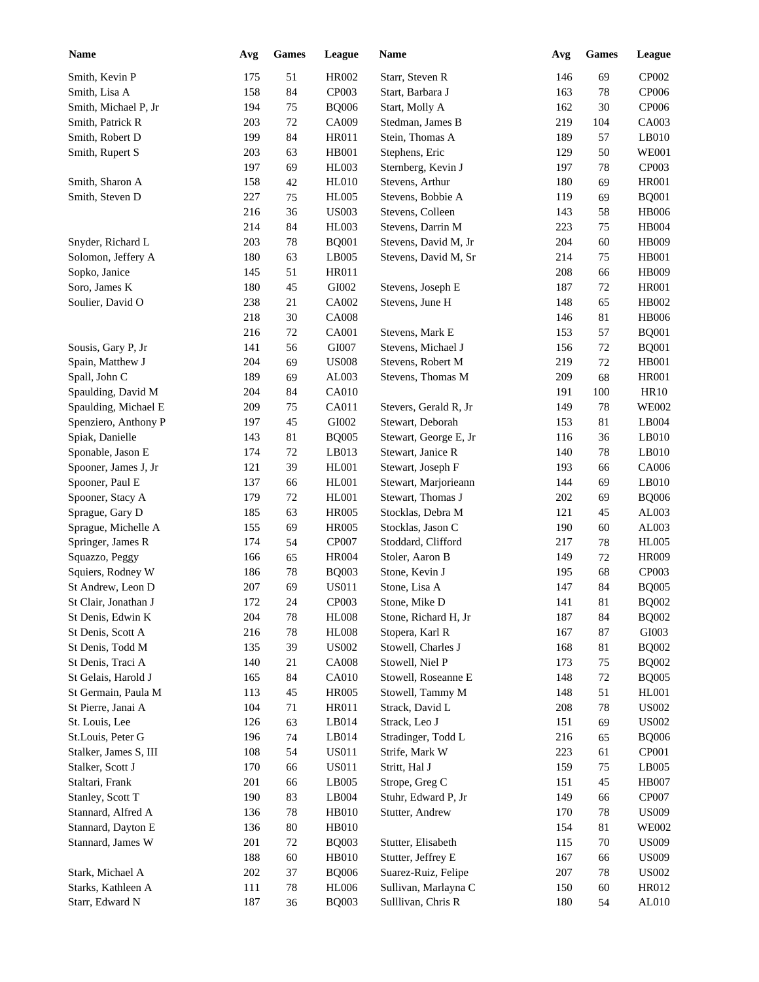| <b>Name</b>           | Avg | <b>Games</b> | League       | Name                  | Avg | <b>Games</b> | League       |
|-----------------------|-----|--------------|--------------|-----------------------|-----|--------------|--------------|
| Smith, Kevin P        | 175 | 51           | <b>HR002</b> | Starr, Steven R       | 146 | 69           | CP002        |
| Smith, Lisa A         | 158 | 84           | CP003        | Start, Barbara J      | 163 | 78           | CP006        |
| Smith, Michael P, Jr  | 194 | 75           | <b>BQ006</b> | Start, Molly A        | 162 | 30           | CP006        |
| Smith, Patrick R      | 203 | 72           | CA009        | Stedman, James B      | 219 | 104          | CA003        |
| Smith, Robert D       | 199 | 84           | HR011        | Stein, Thomas A       | 189 | 57           | LB010        |
| Smith, Rupert S       | 203 | 63           | HB001        | Stephens, Eric        | 129 | 50           | <b>WE001</b> |
|                       | 197 | 69           | <b>HL003</b> | Sternberg, Kevin J    | 197 | 78           | CP003        |
| Smith, Sharon A       | 158 | 42           | <b>HL010</b> | Stevens, Arthur       | 180 | 69           | <b>HR001</b> |
| Smith, Steven D       | 227 | 75           | <b>HL005</b> | Stevens, Bobbie A     | 119 | 69           | <b>BQ001</b> |
|                       | 216 | 36           | <b>US003</b> | Stevens, Colleen      | 143 | 58           | <b>HB006</b> |
|                       | 214 | 84           | <b>HL003</b> | Stevens, Darrin M     | 223 | 75           | HB004        |
| Snyder, Richard L     | 203 | 78           | <b>BQ001</b> | Stevens, David M, Jr  | 204 | 60           | HB009        |
| Solomon, Jeffery A    | 180 | 63           | LB005        | Stevens, David M, Sr  | 214 | 75           | <b>HB001</b> |
| Sopko, Janice         | 145 | 51           | HR011        |                       | 208 | 66           | HB009        |
| Soro, James K         | 180 | 45           | GI002        | Stevens, Joseph E     | 187 | 72           | <b>HR001</b> |
| Soulier, David O      | 238 | 21           | CA002        | Stevens, June H       | 148 | 65           | HB002        |
|                       | 218 | 30           | <b>CA008</b> |                       | 146 | 81           | <b>HB006</b> |
|                       | 216 | 72           | CA001        | Stevens, Mark E       | 153 | 57           | <b>BQ001</b> |
| Sousis, Gary P, Jr    | 141 | 56           | GI007        | Stevens, Michael J    | 156 | 72           | <b>BQ001</b> |
| Spain, Matthew J      | 204 | 69           | <b>US008</b> | Stevens, Robert M     | 219 | 72           | <b>HB001</b> |
| Spall, John C         | 189 | 69           | AL003        | Stevens, Thomas M     | 209 | 68           | <b>HR001</b> |
| Spaulding, David M    | 204 | 84           | <b>CA010</b> |                       | 191 | 100          | <b>HR10</b>  |
| Spaulding, Michael E  | 209 | 75           | CA011        | Stevers, Gerald R, Jr | 149 | 78           | <b>WE002</b> |
| Spenziero, Anthony P  | 197 | 45           | GI002        | Stewart, Deborah      | 153 | 81           | LB004        |
| Spiak, Danielle       | 143 | 81           | <b>BQ005</b> | Stewart, George E, Jr | 116 | 36           | LB010        |
| Sponable, Jason E     | 174 | $72\,$       | LB013        | Stewart, Janice R     | 140 | 78           | LB010        |
| Spooner, James J, Jr  | 121 | 39           | HL001        | Stewart, Joseph F     | 193 | 66           | CA006        |
| Spooner, Paul E       | 137 | 66           | HL001        | Stewart, Marjorieann  | 144 | 69           | LB010        |
| Spooner, Stacy A      | 179 | 72           | HL001        | Stewart, Thomas J     | 202 | 69           | <b>BQ006</b> |
| Sprague, Gary D       | 185 | 63           | <b>HR005</b> | Stocklas, Debra M     | 121 | 45           | AL003        |
| Sprague, Michelle A   | 155 | 69           | <b>HR005</b> | Stocklas, Jason C     | 190 | 60           | AL003        |
| Springer, James R     | 174 | 54           | CP007        | Stoddard, Clifford    | 217 | 78           | <b>HL005</b> |
| Squazzo, Peggy        | 166 | 65           | <b>HR004</b> | Stoler, Aaron B       | 149 | 72           | <b>HR009</b> |
| Squiers, Rodney W     | 186 | 78           | <b>BQ003</b> | Stone, Kevin J        | 195 | 68           | CP003        |
| St Andrew, Leon D     | 207 | 69           | <b>US011</b> | Stone, Lisa A         | 147 | 84           | <b>BQ005</b> |
| St Clair, Jonathan J  | 172 | 24           | CP003        | Stone, Mike D         | 141 | 81           | <b>BQ002</b> |
| St Denis, Edwin K     | 204 | 78           | <b>HL008</b> | Stone, Richard H, Jr  | 187 | 84           | <b>BQ002</b> |
| St Denis, Scott A     | 216 | 78           | <b>HL008</b> | Stopera, Karl R       | 167 | 87           | GI003        |
| St Denis, Todd M      | 135 | 39           | <b>US002</b> | Stowell, Charles J    | 168 | 81           | <b>BQ002</b> |
| St Denis, Traci A     | 140 | 21           | <b>CA008</b> | Stowell, Niel P       | 173 | 75           | <b>BQ002</b> |
| St Gelais, Harold J   | 165 | 84           | <b>CA010</b> | Stowell, Roseanne E   | 148 | 72           | <b>BQ005</b> |
| St Germain, Paula M   | 113 | 45           | <b>HR005</b> | Stowell, Tammy M      | 148 | 51           | <b>HL001</b> |
| St Pierre, Janai A    | 104 | 71           | HR011        | Strack, David L       | 208 | 78           | <b>US002</b> |
| St. Louis, Lee        | 126 | 63           | LB014        | Strack, Leo J         | 151 | 69           | <b>US002</b> |
| St.Louis, Peter G     | 196 | 74           | LB014        | Stradinger, Todd L    | 216 | 65           | <b>BQ006</b> |
| Stalker, James S, III | 108 | 54           | <b>US011</b> | Strife, Mark W        | 223 | 61           | CP001        |
| Stalker, Scott J      | 170 | 66           | <b>US011</b> | Stritt, Hal J         | 159 | 75           | LB005        |
| Staltari, Frank       | 201 | 66           | LB005        | Strope, Greg C        | 151 | 45           | <b>HB007</b> |
| Stanley, Scott T      | 190 | 83           | LB004        | Stuhr, Edward P, Jr   | 149 | 66           | CP007        |
| Stannard, Alfred A    | 136 | 78           | <b>HB010</b> | Stutter, Andrew       | 170 | 78           | <b>US009</b> |
| Stannard, Dayton E    | 136 | 80           | <b>HB010</b> |                       | 154 | 81           | <b>WE002</b> |
| Stannard, James W     | 201 |              | <b>BQ003</b> | Stutter, Elisabeth    |     | 70           | <b>US009</b> |
|                       | 188 | 72<br>60     | <b>HB010</b> |                       | 115 |              | <b>US009</b> |
|                       |     |              |              | Stutter, Jeffrey E    | 167 | 66           |              |
| Stark, Michael A      | 202 | 37           | <b>BQ006</b> | Suarez-Ruiz, Felipe   | 207 | 78           | <b>US002</b> |
| Starks, Kathleen A    | 111 | 78           | <b>HL006</b> | Sullivan, Marlayna C  | 150 | 60           | HR012        |
| Starr, Edward N       | 187 | 36           | <b>BQ003</b> | Sulllivan, Chris R    | 180 | 54           | AL010        |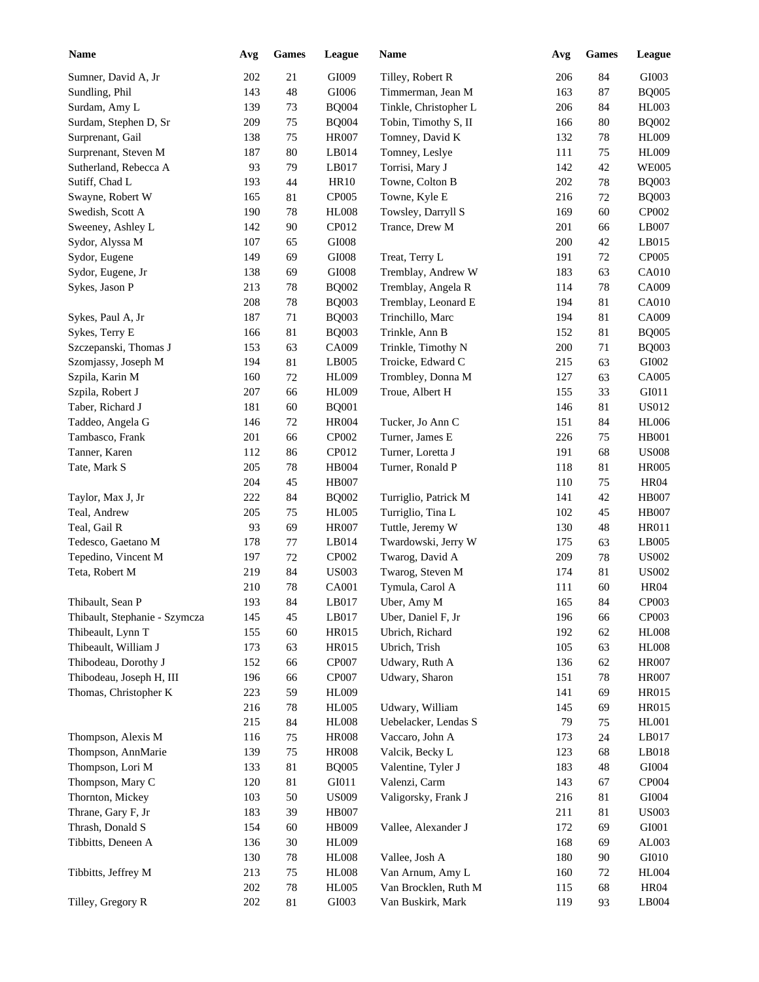| <b>Name</b>                   | Avg | Games  | League        | Name                  | Avg | <b>Games</b> | <b>League</b> |
|-------------------------------|-----|--------|---------------|-----------------------|-----|--------------|---------------|
| Sumner, David A, Jr           | 202 | 21     | GI009         | Tilley, Robert R      | 206 | 84           | GI003         |
| Sundling, Phil                | 143 | 48     | GI006         | Timmerman, Jean M     | 163 | 87           | <b>BQ005</b>  |
| Surdam, Amy L                 | 139 | 73     | <b>BQ004</b>  | Tinkle, Christopher L | 206 | 84           | <b>HL003</b>  |
| Surdam, Stephen D, Sr         | 209 | $75\,$ | <b>BQ004</b>  | Tobin, Timothy S, II  | 166 | 80           | <b>BQ002</b>  |
| Surprenant, Gail              | 138 | 75     | <b>HR007</b>  | Tomney, David K       | 132 | $78\,$       | <b>HL009</b>  |
| Surprenant, Steven M          | 187 | 80     | LB014         | Tomney, Leslye        | 111 | 75           | <b>HL009</b>  |
| Sutherland, Rebecca A         | 93  | 79     | LB017         | Torrisi, Mary J       | 142 | 42           | <b>WE005</b>  |
| Sutiff, Chad L                | 193 | 44     | <b>HR10</b>   | Towne, Colton B       | 202 | 78           | <b>BQ003</b>  |
| Swayne, Robert W              | 165 | 81     | CP005         | Towne, Kyle E         | 216 | 72           | <b>BQ003</b>  |
| Swedish, Scott A              | 190 | 78     | <b>HL008</b>  | Towsley, Darryll S    | 169 | 60           | CP002         |
| Sweeney, Ashley L             | 142 | 90     | CP012         | Trance, Drew M        | 201 | 66           | LB007         |
| Sydor, Alyssa M               | 107 | 65     | ${\rm G}1008$ |                       | 200 | 42           | LB015         |
| Sydor, Eugene                 | 149 | 69     | ${\rm G}1008$ | Treat, Terry L        | 191 | 72           | CP005         |
| Sydor, Eugene, Jr             | 138 | 69     | ${\rm G}1008$ | Tremblay, Andrew W    | 183 | 63           | CA010         |
| Sykes, Jason P                | 213 | 78     | <b>BQ002</b>  | Tremblay, Angela R    | 114 | 78           | CA009         |
|                               | 208 | 78     | <b>BQ003</b>  | Tremblay, Leonard E   | 194 | 81           | <b>CA010</b>  |
| Sykes, Paul A, Jr             | 187 | 71     | <b>BQ003</b>  | Trinchillo, Marc      | 194 | 81           | CA009         |
| Sykes, Terry E                | 166 | 81     | <b>BQ003</b>  | Trinkle, Ann B        | 152 | 81           | <b>BQ005</b>  |
| Szczepanski, Thomas J         | 153 | 63     | CA009         | Trinkle, Timothy N    | 200 | 71           | <b>BQ003</b>  |
| Szomjassy, Joseph M           | 194 | 81     | LB005         | Troicke, Edward C     | 215 | 63           | GI002         |
| Szpila, Karin M               | 160 | $72\,$ | HL009         | Trombley, Donna M     | 127 | 63           | CA005         |
| Szpila, Robert J              | 207 | 66     | <b>HL009</b>  | Troue, Albert H       | 155 | 33           | GI011         |
| Taber, Richard J              | 181 | 60     | <b>BQ001</b>  |                       | 146 | 81           | <b>US012</b>  |
| Taddeo, Angela G              | 146 | 72     | <b>HR004</b>  | Tucker, Jo Ann C      | 151 | 84           | <b>HL006</b>  |
| Tambasco, Frank               | 201 | 66     | CP002         | Turner, James E       | 226 | 75           | <b>HB001</b>  |
| Tanner, Karen                 | 112 | 86     | CP012         | Turner, Loretta J     | 191 | 68           | <b>US008</b>  |
| Tate, Mark S                  | 205 | 78     | <b>HB004</b>  | Turner, Ronald P      | 118 | 81           | <b>HR005</b>  |
|                               | 204 | 45     | <b>HB007</b>  |                       | 110 | 75           | <b>HR04</b>   |
| Taylor, Max J, Jr             | 222 | 84     | <b>BQ002</b>  | Turriglio, Patrick M  | 141 | 42           | <b>HB007</b>  |
| Teal, Andrew                  | 205 | 75     | <b>HL005</b>  | Turriglio, Tina L     | 102 | 45           | <b>HB007</b>  |
| Teal, Gail R                  | 93  | 69     | <b>HR007</b>  | Tuttle, Jeremy W      | 130 | 48           | <b>HR011</b>  |
| Tedesco, Gaetano M            |     |        |               |                       |     |              |               |
|                               | 178 | 77     | LB014         | Twardowski, Jerry W   | 175 | 63           | LB005         |
| Tepedino, Vincent M           | 197 | 72     | CP002         | Twarog, David A       | 209 | $78\,$       | <b>US002</b>  |
| Teta, Robert M                | 219 | 84     | <b>US003</b>  | Twarog, Steven M      | 174 | 81           | <b>US002</b>  |
|                               | 210 | 78     | <b>CA001</b>  | Tymula, Carol A       | 111 | 60           | <b>HR04</b>   |
| Thibault, Sean P              | 193 | 84     | LB017         | Uber, Amy M           | 165 | 84           | CP003         |
| Thibault, Stephanie - Szymcza | 145 | 45     | LB017         | Uber, Daniel F, Jr    | 196 | 66           | CP003         |
| Thibeault, Lynn T             | 155 | 60     | HR015         | Ubrich, Richard       | 192 | 62           | <b>HL008</b>  |
| Thibeault, William J          | 173 | 63     | HR015         | Ubrich, Trish         | 105 | 63           | <b>HL008</b>  |
| Thibodeau, Dorothy J          | 152 | 66     | CP007         | Udwary, Ruth A        | 136 | 62           | <b>HR007</b>  |
| Thibodeau, Joseph H, III      | 196 | 66     | CP007         | Udwary, Sharon        | 151 | 78           | <b>HR007</b>  |
| Thomas, Christopher K         | 223 | 59     | HL009         |                       | 141 | 69           | <b>HR015</b>  |
|                               | 216 | 78     | <b>HL005</b>  | Udwary, William       | 145 | 69           | HR015         |
|                               | 215 | 84     | <b>HL008</b>  | Uebelacker, Lendas S  | 79  | 75           | <b>HL001</b>  |
| Thompson, Alexis M            | 116 | 75     | <b>HR008</b>  | Vaccaro, John A       | 173 | 24           | LB017         |
| Thompson, AnnMarie            | 139 | $75\,$ | <b>HR008</b>  | Valcik, Becky L       | 123 | 68           | LB018         |
| Thompson, Lori M              | 133 | $81\,$ | <b>BQ005</b>  | Valentine, Tyler J    | 183 | 48           | GI004         |
| Thompson, Mary C              | 120 | 81     | GI011         | Valenzi, Carm         | 143 | 67           | CP004         |
| Thornton, Mickey              | 103 | 50     | <b>US009</b>  | Valigorsky, Frank J   | 216 | 81           | GI004         |
| Thrane, Gary F, Jr            | 183 | 39     | <b>HB007</b>  |                       | 211 | 81           | <b>US003</b>  |
| Thrash, Donald S              | 154 | 60     | HB009         | Vallee, Alexander J   | 172 | 69           | GI001         |
| Tibbitts, Deneen A            | 136 | $30\,$ | <b>HL009</b>  |                       | 168 | 69           | AL003         |
|                               | 130 | 78     | <b>HL008</b>  | Vallee, Josh A        | 180 | 90           | GI010         |
| Tibbitts, Jeffrey M           | 213 | $75\,$ | <b>HL008</b>  | Van Arnum, Amy L      | 160 | $72\,$       | <b>HL004</b>  |
|                               | 202 | 78     | <b>HL005</b>  | Van Brocklen, Ruth M  | 115 | 68           | <b>HR04</b>   |
| Tilley, Gregory R             | 202 | 81     | GI003         | Van Buskirk, Mark     | 119 | 93           | LB004         |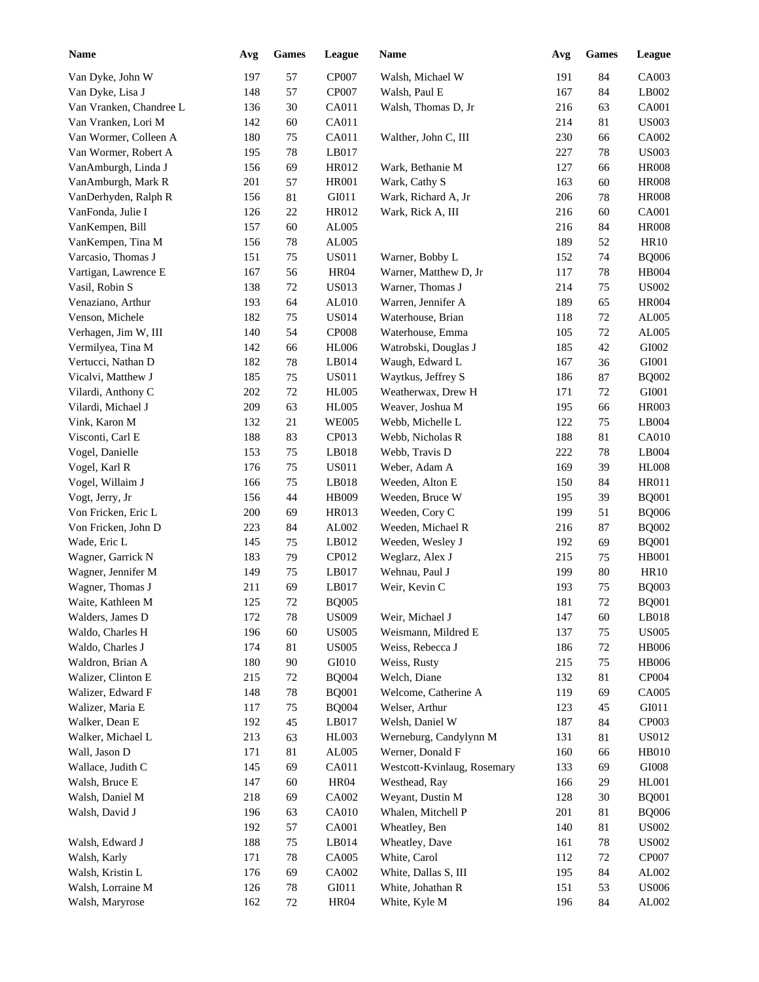| <b>Name</b>                         | Avg        | <b>Games</b> | League       | Name                        | Avg        | <b>Games</b> | League                        |
|-------------------------------------|------------|--------------|--------------|-----------------------------|------------|--------------|-------------------------------|
| Van Dyke, John W                    | 197        | 57           | CP007        | Walsh, Michael W            | 191        | 84           | CA003                         |
| Van Dyke, Lisa J                    | 148        | 57           | CP007        | Walsh, Paul E               | 167        | 84           | LB002                         |
| Van Vranken, Chandree L             | 136        | 30           | CA011        | Walsh, Thomas D, Jr         | 216        | 63           | CA001                         |
| Van Vranken, Lori M                 | 142        | 60           | CA011        |                             | 214        | 81           | <b>US003</b>                  |
| Van Wormer, Colleen A               | 180        | $75\,$       | CA011        | Walther, John C, III        | 230        | 66           | CA002                         |
| Van Wormer, Robert A                | 195        | $78\,$       | LB017        |                             | 227        | 78           | <b>US003</b>                  |
| VanAmburgh, Linda J                 | 156        | 69           | HR012        | Wark, Bethanie M            | 127        | 66           | <b>HR008</b>                  |
| VanAmburgh, Mark R                  | 201        | 57           | <b>HR001</b> | Wark, Cathy S               | 163        | 60           | <b>HR008</b>                  |
| VanDerhyden, Ralph R                | 156        | 81           | GI011        | Wark, Richard A, Jr         | 206        | 78           | <b>HR008</b>                  |
| VanFonda, Julie I                   | 126        | $22\,$       | HR012        | Wark, Rick A, III           | 216        | 60           | <b>CA001</b>                  |
| VanKempen, Bill                     | 157        | 60           | AL005        |                             | 216        | 84           | <b>HR008</b>                  |
| VanKempen, Tina M                   | 156        | $78\,$       | AL005        |                             | 189        | 52           | <b>HR10</b>                   |
| Varcasio, Thomas J                  | 151        | $75\,$       | <b>US011</b> | Warner, Bobby L             | 152        | 74           | <b>BQ006</b>                  |
| Vartigan, Lawrence E                | 167        | 56           | <b>HR04</b>  | Warner, Matthew D, Jr       | 117        | 78           | HB004                         |
| Vasil, Robin S                      | 138        | $72\,$       | <b>US013</b> | Warner, Thomas J            | 214        | 75           | <b>US002</b>                  |
| Venaziano, Arthur                   | 193        | 64           | AL010        | Warren, Jennifer A          | 189        | 65           | <b>HR004</b>                  |
| Venson, Michele                     | 182        | 75           | <b>US014</b> | Waterhouse, Brian           | 118        | 72           | AL005                         |
| Verhagen, Jim W, III                | 140        | 54           | <b>CP008</b> | Waterhouse, Emma            | 105        | 72           | AL005                         |
| Vermilyea, Tina M                   | 142        | 66           | <b>HL006</b> | Watrobski, Douglas J        | 185        | 42           | GI002                         |
| Vertucci, Nathan D                  | 182        | 78           | LB014        | Waugh, Edward L             | 167        | 36           | GI001                         |
| Vicalvi, Matthew J                  | 185        | 75           | <b>US011</b> | Waytkus, Jeffrey S          | 186        | 87           | <b>BQ002</b>                  |
| Vilardi, Anthony C                  | 202        | $72\,$       | <b>HL005</b> | Weatherwax, Drew H          | 171        | 72           | GI001                         |
| Vilardi, Michael J                  | 209        | 63           | <b>HL005</b> | Weaver, Joshua M            | 195        | 66           | <b>HR003</b>                  |
| Vink, Karon M                       | 132        | 21           | <b>WE005</b> | Webb, Michelle L            | 122        | 75           | LB004                         |
| Visconti, Carl E                    | 188        | 83           | CP013        | Webb, Nicholas R            | 188        | 81           | <b>CA010</b>                  |
| Vogel, Danielle                     | 153        | 75           | LB018        | Webb, Travis D              | 222        | 78           | LB004                         |
| Vogel, Karl R                       | 176        | 75           | <b>US011</b> | Weber, Adam A               | 169        | 39           | <b>HL008</b>                  |
| Vogel, Willaim J                    | 166        | 75           | LB018        | Weeden, Alton E             | 150        | 84           | <b>HR011</b>                  |
| Vogt, Jerry, Jr                     | 156        | 44           | HB009        | Weeden, Bruce W             | 195        | 39           | <b>BQ001</b>                  |
| Von Fricken, Eric L                 | 200        | 69           | HR013        | Weeden, Cory C              | 199        | 51           | <b>BQ006</b>                  |
|                                     | 223        | 84           | AL002        | Weeden, Michael R           | 216        | 87           | <b>BQ002</b>                  |
| Von Fricken, John D<br>Wade, Eric L | 145        | 75           | LB012        |                             | 192        | 69           |                               |
|                                     |            |              |              | Weeden, Wesley J            |            |              | <b>BQ001</b>                  |
| Wagner, Garrick N                   | 183        | 79           | CP012        | Weglarz, Alex J             | 215        | 75           | <b>HB001</b>                  |
| Wagner, Jennifer M                  | 149<br>211 | 75<br>69     | LB017        | Wehnau, Paul J              | 199<br>193 | 80           | <b>HR10</b>                   |
| Wagner, Thomas J                    |            |              | LB017        | Weir, Kevin C               |            | 75           | <b>BQ003</b>                  |
| Waite, Kathleen M                   | 125        | $72\,$       | <b>BQ005</b> |                             | 181        | $72\,$       | <b>BQ001</b>                  |
| Walders, James D                    | 172        | 78           | <b>US009</b> | Weir, Michael J             | 147        | 60           | LB018                         |
| Waldo, Charles H                    | 196        | 60           | <b>US005</b> | Weismann, Mildred E         | 137        | 75           | <b>US005</b>                  |
| Waldo, Charles J                    | 174        | 81           | <b>US005</b> | Weiss, Rebecca J            | 186        | $72\,$       | <b>HB006</b>                  |
| Waldron, Brian A                    | 180        | 90           | GI010        | Weiss, Rusty                | 215        | 75           | <b>HB006</b>                  |
| Walizer, Clinton E                  | 215        | 72           | <b>BQ004</b> | Welch, Diane                | 132        | 81           | CP004                         |
| Walizer, Edward F                   | 148        | 78           | <b>BQ001</b> | Welcome, Catherine A        | 119        | 69           | CA005                         |
| Walizer, Maria E                    | 117        | 75           | <b>BQ004</b> | Welser, Arthur              | 123        | 45           | GI011                         |
| Walker, Dean E                      | 192        | 45           | LB017        | Welsh, Daniel W             | 187        | 84           | CP003                         |
| Walker, Michael L                   | 213        | 63           | HL003        | Werneburg, Candylynn M      | 131        | 81           | <b>US012</b>                  |
| Wall, Jason D                       | 171        | 81           | AL005        | Werner, Donald F            | 160        | 66           | HB010                         |
| Wallace, Judith C                   | 145        | 69           | CA011        | Westcott-Kvinlaug, Rosemary | 133        | 69           | $\rm GIO08$                   |
| Walsh, Bruce E                      | 147        | 60           | <b>HR04</b>  | Westhead, Ray               | 166        | 29           | <b>HL001</b>                  |
| Walsh, Daniel M                     | 218        | 69           | CA002        | Weyant, Dustin M            | 128        | 30           | <b>BQ001</b>                  |
| Walsh, David J                      | 196        | 63           | <b>CA010</b> | Whalen, Mitchell P          | 201        | 81           | <b>BQ006</b>                  |
|                                     | 192        | 57           | CA001        | Wheatley, Ben               | 140        | 81           | $\ensuremath{\mathrm{USO02}}$ |
| Walsh, Edward J                     | 188        | 75           | LB014        | Wheatley, Dave              | 161        | 78           | <b>US002</b>                  |
| Walsh, Karly                        | 171        | 78           | CA005        | White, Carol                | 112        | 72           | CP007                         |
| Walsh, Kristin L                    | 176        | 69           | CA002        | White, Dallas S, III        | 195        | 84           | AL002                         |
| Walsh, Lorraine M                   | 126        | $78\,$       | GI011        | White, Johathan R           | 151        | 53           | <b>US006</b>                  |
| Walsh, Maryrose                     | 162        | 72           | <b>HR04</b>  | White, Kyle M               | 196        | 84           | ${\rm AL}002$                 |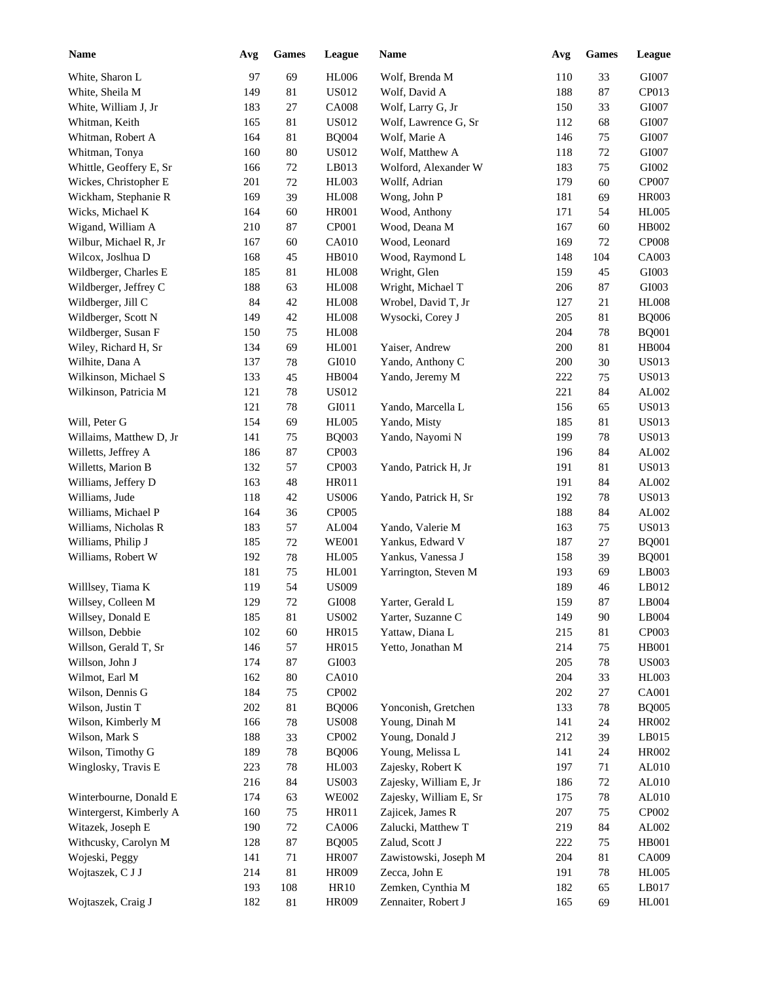| <b>Name</b>             | Avg | <b>Games</b> | League        | <b>Name</b>            | Avg | <b>Games</b> | League       |
|-------------------------|-----|--------------|---------------|------------------------|-----|--------------|--------------|
| White, Sharon L         | 97  | 69           | <b>HL006</b>  | Wolf, Brenda M         | 110 | 33           | GI007        |
| White, Sheila M         | 149 | 81           | US012         | Wolf, David A          | 188 | 87           | CP013        |
| White, William J, Jr    | 183 | 27           | <b>CA008</b>  | Wolf, Larry G, Jr      | 150 | 33           | GI007        |
| Whitman, Keith          | 165 | 81           | US012         | Wolf, Lawrence G, Sr   | 112 | 68           | GI007        |
| Whitman, Robert A       | 164 | 81           | <b>BQ004</b>  | Wolf, Marie A          | 146 | 75           | GI007        |
| Whitman, Tonya          | 160 | 80           | US012         | Wolf, Matthew A        | 118 | 72           | GI007        |
| Whittle, Geoffery E, Sr | 166 | $72\,$       | LB013         | Wolford, Alexander W   | 183 | 75           | GI002        |
| Wickes, Christopher E   | 201 | $72\,$       | HL003         | Wollf, Adrian          | 179 | 60           | CP007        |
| Wickham, Stephanie R    | 169 | 39           | <b>HL008</b>  | Wong, John P           | 181 | 69           | <b>HR003</b> |
| Wicks, Michael K        | 164 | 60           | <b>HR001</b>  | Wood, Anthony          | 171 | 54           | <b>HL005</b> |
| Wigand, William A       | 210 | 87           | CP001         | Wood, Deana M          | 167 | 60           | HB002        |
| Wilbur, Michael R, Jr   | 167 | 60           | <b>CA010</b>  | Wood, Leonard          | 169 | 72           | CP008        |
| Wilcox, Joslhua D       | 168 | 45           | <b>HB010</b>  | Wood, Raymond L        | 148 | 104          | CA003        |
| Wildberger, Charles E   | 185 | 81           | <b>HL008</b>  | Wright, Glen           | 159 | 45           | GI003        |
| Wildberger, Jeffrey C   | 188 | 63           | <b>HL008</b>  | Wright, Michael T      | 206 | 87           | GI003        |
| Wildberger, Jill C      | 84  | 42           | <b>HL008</b>  | Wrobel, David T, Jr    | 127 | 21           | <b>HL008</b> |
| Wildberger, Scott N     | 149 | 42           | <b>HL008</b>  | Wysocki, Corey J       | 205 | 81           | <b>BQ006</b> |
| Wildberger, Susan F     | 150 | 75           | <b>HL008</b>  |                        | 204 | 78           | <b>BQ001</b> |
| Wiley, Richard H, Sr    | 134 | 69           | HL001         | Yaiser, Andrew         | 200 | 81           | HB004        |
| Wilhite, Dana A         | 137 | 78           | ${\rm G}I010$ | Yando, Anthony C       | 200 | 30           | <b>US013</b> |
| Wilkinson, Michael S    | 133 | 45           | HB004         | Yando, Jeremy M        | 222 | 75           | <b>US013</b> |
| Wilkinson, Patricia M   | 121 | 78           | <b>US012</b>  |                        | 221 | 84           | AL002        |
|                         | 121 | 78           | GI011         | Yando, Marcella L      | 156 | 65           | <b>US013</b> |
|                         |     |              |               |                        |     |              |              |
| Will, Peter G           | 154 | 69           | <b>HL005</b>  | Yando, Misty           | 185 | 81           | <b>US013</b> |
| Willaims, Matthew D, Jr | 141 | 75           | <b>BQ003</b>  | Yando, Nayomi N        | 199 | 78           | <b>US013</b> |
| Willetts, Jeffrey A     | 186 | 87           | CP003         |                        | 196 | 84           | AL002        |
| Willetts, Marion B      | 132 | 57           | CP003         | Yando, Patrick H, Jr   | 191 | 81           | <b>US013</b> |
| Williams, Jeffery D     | 163 | 48           | HR011         |                        | 191 | 84           | AL002        |
| Williams, Jude          | 118 | 42           | <b>US006</b>  | Yando, Patrick H, Sr   | 192 | 78           | <b>US013</b> |
| Williams, Michael P     | 164 | 36           | CP005         |                        | 188 | 84           | AL002        |
| Williams, Nicholas R    | 183 | 57           | AL004         | Yando, Valerie M       | 163 | 75           | <b>US013</b> |
| Williams, Philip J      | 185 | 72           | <b>WE001</b>  | Yankus, Edward V       | 187 | 27           | <b>BQ001</b> |
| Williams, Robert W      | 192 | 78           | <b>HL005</b>  | Yankus, Vanessa J      | 158 | 39           | <b>BQ001</b> |
|                         | 181 | 75           | HL001         | Yarrington, Steven M   | 193 | 69           | LB003        |
| Willlsey, Tiama K       | 119 | 54           | <b>US009</b>  |                        | 189 | 46           | LB012        |
| Willsey, Colleen M      | 129 | $72\,$       | $\rm GIO08$   | Yarter, Gerald L       | 159 | 87           | LB004        |
| Willsey, Donald E       | 185 | 81           | <b>US002</b>  | Yarter, Suzanne C      | 149 | 90           | LB004        |
| Willson, Debbie         | 102 | 60           | HR015         | Yattaw, Diana L        | 215 | 81           | CP003        |
| Willson, Gerald T, Sr   | 146 | 57           | HR015         | Yetto, Jonathan M      | 214 | 75           | HB001        |
| Willson, John J         | 174 | 87           | GI003         |                        | 205 | 78           | <b>US003</b> |
| Wilmot, Earl M          | 162 | 80           | <b>CA010</b>  |                        | 204 | 33           | HL003        |
| Wilson, Dennis G        | 184 | 75           | CP002         |                        | 202 | 27           | CA001        |
| Wilson, Justin T        | 202 | 81           | <b>BQ006</b>  | Yonconish, Gretchen    | 133 | 78           | <b>BQ005</b> |
| Wilson, Kimberly M      | 166 | $78\,$       | <b>US008</b>  | Young, Dinah M         | 141 | 24           | HR002        |
| Wilson, Mark S          | 188 | 33           | CP002         | Young, Donald J        | 212 | 39           | LB015        |
| Wilson, Timothy G       | 189 | $78\,$       | <b>BQ006</b>  | Young, Melissa L       | 141 | 24           | HR002        |
| Winglosky, Travis E     | 223 | $78\,$       | HL003         | Zajesky, Robert K      | 197 | 71           | AL010        |
|                         | 216 | 84           | <b>US003</b>  | Zajesky, William E, Jr | 186 | 72           | AL010        |
| Winterbourne, Donald E  | 174 | 63           | <b>WE002</b>  | Zajesky, William E, Sr | 175 | 78           | AL010        |
| Wintergerst, Kimberly A | 160 | 75           | HR011         | Zajicek, James R       | 207 | 75           | CP002        |
| Witazek, Joseph E       | 190 | $72\,$       | CA006         | Zalucki, Matthew T     | 219 | 84           | AL002        |
| Withcusky, Carolyn M    | 128 | 87           | <b>BQ005</b>  | Zalud, Scott J         | 222 | 75           | <b>HB001</b> |
| Wojeski, Peggy          | 141 | 71           | <b>HR007</b>  | Zawistowski, Joseph M  | 204 | 81           | CA009        |
| Wojtaszek, C J J        | 214 | 81           | HR009         | Zecca, John E          | 191 | 78           | <b>HL005</b> |
|                         | 193 | 108          | <b>HR10</b>   | Zemken, Cynthia M      | 182 | 65           | LB017        |
| Wojtaszek, Craig J      | 182 | 81           | HR009         | Zennaiter, Robert J    | 165 | 69           | <b>HL001</b> |
|                         |     |              |               |                        |     |              |              |